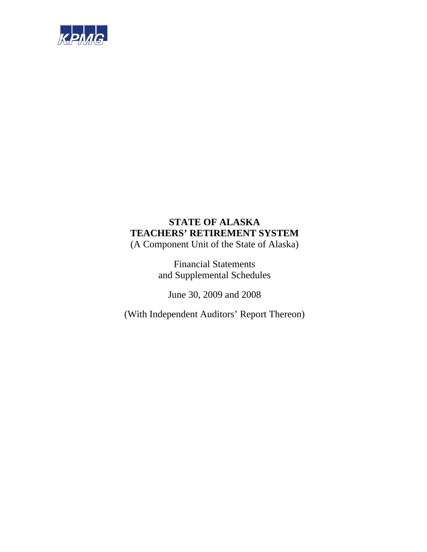

(A Component Unit of the State of Alaska)

Financial Statements and Supplemental Schedules

June 30, 2009 and 2008

(With Independent Auditors' Report Thereon)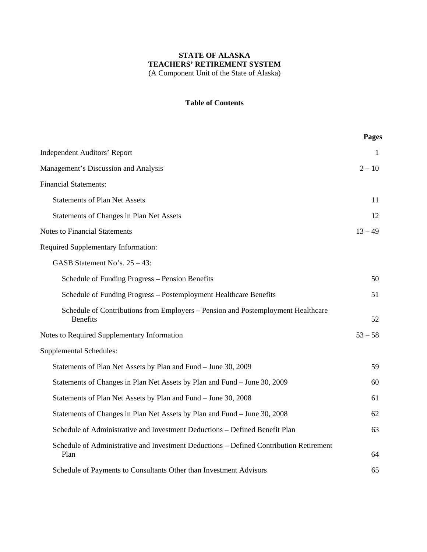# **Table of Contents**

|                                                                                                     | <b>Pages</b> |
|-----------------------------------------------------------------------------------------------------|--------------|
| <b>Independent Auditors' Report</b>                                                                 | 1            |
| Management's Discussion and Analysis                                                                | $2 - 10$     |
| <b>Financial Statements:</b>                                                                        |              |
| <b>Statements of Plan Net Assets</b>                                                                | 11           |
| Statements of Changes in Plan Net Assets                                                            | 12           |
| <b>Notes to Financial Statements</b>                                                                | $13 - 49$    |
| <b>Required Supplementary Information:</b>                                                          |              |
| GASB Statement No's. $25 - 43$ :                                                                    |              |
| Schedule of Funding Progress - Pension Benefits                                                     | 50           |
| Schedule of Funding Progress - Postemployment Healthcare Benefits                                   | 51           |
| Schedule of Contributions from Employers – Pension and Postemployment Healthcare<br><b>Benefits</b> | 52           |
| Notes to Required Supplementary Information                                                         | $53 - 58$    |
| <b>Supplemental Schedules:</b>                                                                      |              |
| Statements of Plan Net Assets by Plan and Fund - June 30, 2009                                      | 59           |
| Statements of Changes in Plan Net Assets by Plan and Fund - June 30, 2009                           | 60           |
| Statements of Plan Net Assets by Plan and Fund - June 30, 2008                                      | 61           |
| Statements of Changes in Plan Net Assets by Plan and Fund - June 30, 2008                           | 62           |
| Schedule of Administrative and Investment Deductions - Defined Benefit Plan                         | 63           |
| Schedule of Administrative and Investment Deductions - Defined Contribution Retirement<br>Plan      | 64           |
| Schedule of Payments to Consultants Other than Investment Advisors                                  | 65           |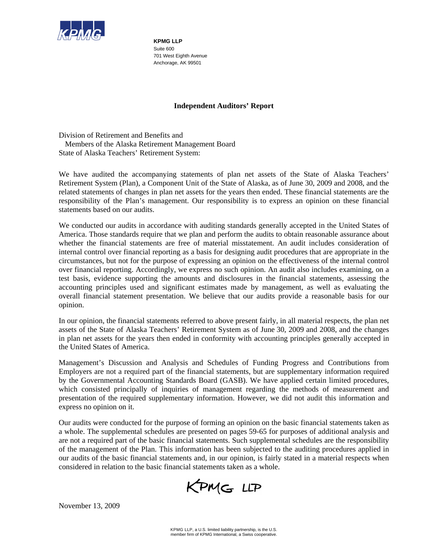

**KPMG LLP**  Suite 600 701 West Eighth Avenue Anchorage, AK 99501

## **Independent Auditors' Report**

Division of Retirement and Benefits and Members of the Alaska Retirement Management Board State of Alaska Teachers' Retirement System:

We have audited the accompanying statements of plan net assets of the State of Alaska Teachers' Retirement System (Plan), a Component Unit of the State of Alaska, as of June 30, 2009 and 2008, and the related statements of changes in plan net assets for the years then ended. These financial statements are the responsibility of the Plan's management. Our responsibility is to express an opinion on these financial statements based on our audits.

We conducted our audits in accordance with auditing standards generally accepted in the United States of America. Those standards require that we plan and perform the audits to obtain reasonable assurance about whether the financial statements are free of material misstatement. An audit includes consideration of internal control over financial reporting as a basis for designing audit procedures that are appropriate in the circumstances, but not for the purpose of expressing an opinion on the effectiveness of the internal control over financial reporting. Accordingly, we express no such opinion. An audit also includes examining, on a test basis, evidence supporting the amounts and disclosures in the financial statements, assessing the accounting principles used and significant estimates made by management, as well as evaluating the overall financial statement presentation. We believe that our audits provide a reasonable basis for our opinion.

In our opinion, the financial statements referred to above present fairly, in all material respects, the plan net assets of the State of Alaska Teachers' Retirement System as of June 30, 2009 and 2008, and the changes in plan net assets for the years then ended in conformity with accounting principles generally accepted in the United States of America.

Management's Discussion and Analysis and Schedules of Funding Progress and Contributions from Employers are not a required part of the financial statements, but are supplementary information required by the Governmental Accounting Standards Board (GASB). We have applied certain limited procedures, which consisted principally of inquiries of management regarding the methods of measurement and presentation of the required supplementary information. However, we did not audit this information and express no opinion on it.

Our audits were conducted for the purpose of forming an opinion on the basic financial statements taken as a whole. The supplemental schedules are presented on pages 59-65 for purposes of additional analysis and are not a required part of the basic financial statements. Such supplemental schedules are the responsibility of the management of the Plan. This information has been subjected to the auditing procedures applied in our audits of the basic financial statements and, in our opinion, is fairly stated in a material respects when considered in relation to the basic financial statements taken as a whole.

KPMG LLP

November 13, 2009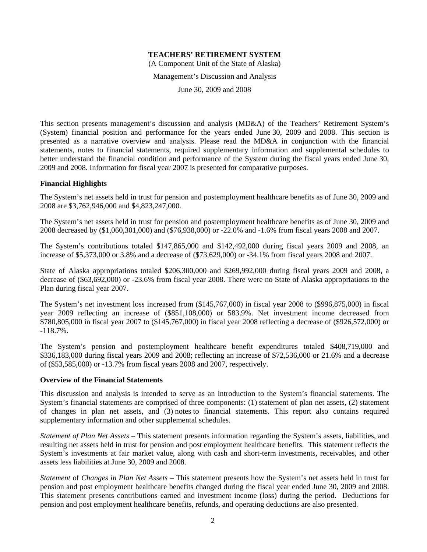(A Component Unit of the State of Alaska)

Management's Discussion and Analysis

June 30, 2009 and 2008

This section presents management's discussion and analysis (MD&A) of the Teachers' Retirement System's (System) financial position and performance for the years ended June 30, 2009 and 2008. This section is presented as a narrative overview and analysis. Please read the MD&A in conjunction with the financial statements, notes to financial statements, required supplementary information and supplemental schedules to better understand the financial condition and performance of the System during the fiscal years ended June 30, 2009 and 2008. Information for fiscal year 2007 is presented for comparative purposes.

#### **Financial Highlights**

The System's net assets held in trust for pension and postemployment healthcare benefits as of June 30, 2009 and 2008 are \$3,762,946,000 and \$4,823,247,000.

The System's net assets held in trust for pension and postemployment healthcare benefits as of June 30, 2009 and 2008 decreased by (\$1,060,301,000) and (\$76,938,000) or -22.0% and -1.6% from fiscal years 2008 and 2007.

The System's contributions totaled \$147,865,000 and \$142,492,000 during fiscal years 2009 and 2008, an increase of \$5,373,000 or 3.8% and a decrease of (\$73,629,000) or -34.1% from fiscal years 2008 and 2007.

State of Alaska appropriations totaled \$206,300,000 and \$269,992,000 during fiscal years 2009 and 2008, a decrease of (\$63,692,000) or -23.6% from fiscal year 2008. There were no State of Alaska appropriations to the Plan during fiscal year 2007.

The System's net investment loss increased from (\$145,767,000) in fiscal year 2008 to (\$996,875,000) in fiscal year 2009 reflecting an increase of (\$851,108,000) or 583.9%. Net investment income decreased from \$780,805,000 in fiscal year 2007 to (\$145,767,000) in fiscal year 2008 reflecting a decrease of (\$926,572,000) or -118.7%.

The System's pension and postemployment healthcare benefit expenditures totaled \$408,719,000 and \$336,183,000 during fiscal years 2009 and 2008; reflecting an increase of \$72,536,000 or 21.6% and a decrease of (\$53,585,000) or -13.7% from fiscal years 2008 and 2007, respectively.

#### **Overview of the Financial Statements**

This discussion and analysis is intended to serve as an introduction to the System's financial statements. The System's financial statements are comprised of three components: (1) statement of plan net assets, (2) statement of changes in plan net assets, and (3) notes to financial statements. This report also contains required supplementary information and other supplemental schedules.

*Statement of Plan Net Assets* – This statement presents information regarding the System's assets, liabilities, and resulting net assets held in trust for pension and post employment healthcare benefits. This statement reflects the System's investments at fair market value, along with cash and short-term investments, receivables, and other assets less liabilities at June 30, 2009 and 2008.

*Statement* of *Changes in Plan Net Assets* – This statement presents how the System's net assets held in trust for pension and post employment healthcare benefits changed during the fiscal year ended June 30, 2009 and 2008. This statement presents contributions earned and investment income (loss) during the period. Deductions for pension and post employment healthcare benefits, refunds, and operating deductions are also presented.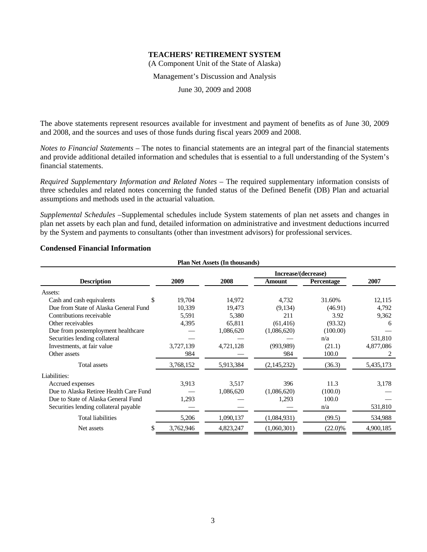(A Component Unit of the State of Alaska)

Management's Discussion and Analysis

June 30, 2009 and 2008

The above statements represent resources available for investment and payment of benefits as of June 30, 2009 and 2008, and the sources and uses of those funds during fiscal years 2009 and 2008.

*Notes to Financial Statements* – The notes to financial statements are an integral part of the financial statements and provide additional detailed information and schedules that is essential to a full understanding of the System's financial statements.

*Required Supplementary Information and Related Notes* – The required supplementary information consists of three schedules and related notes concerning the funded status of the Defined Benefit (DB) Plan and actuarial assumptions and methods used in the actuarial valuation.

*Supplemental Schedules* –Supplemental schedules include System statements of plan net assets and changes in plan net assets by each plan and fund, detailed information on administrative and investment deductions incurred by the System and payments to consultants (other than investment advisors) for professional services.

| <b>Plan Net Assets (In thousands)</b>  |           |           |                     |            |           |  |  |
|----------------------------------------|-----------|-----------|---------------------|------------|-----------|--|--|
|                                        |           |           | Increase/(decrease) |            |           |  |  |
| <b>Description</b>                     | 2009      | 2008      | Amount              | Percentage | 2007      |  |  |
| Assets:                                |           |           |                     |            |           |  |  |
| Cash and cash equivalents<br>\$        | 19,704    | 14,972    | 4,732               | 31.60%     | 12,115    |  |  |
| Due from State of Alaska General Fund  | 10,339    | 19,473    | (9,134)             | (46.91)    | 4,792     |  |  |
| Contributions receivable               | 5,591     | 5,380     | 211                 | 3.92       | 9,362     |  |  |
| Other receivables                      | 4,395     | 65,811    | (61, 416)           | (93.32)    | 6         |  |  |
| Due from postemployment healthcare     |           | 1,086,620 | (1,086,620)         | (100.00)   |           |  |  |
| Securities lending collateral          |           |           |                     | n/a        | 531,810   |  |  |
| Investments, at fair value             | 3,727,139 | 4,721,128 | (993, 989)          | (21.1)     | 4,877,086 |  |  |
| Other assets                           | 984       |           | 984                 | 100.0      |           |  |  |
| <b>Total assets</b>                    | 3,768,152 | 5,913,384 | (2,145,232)         | (36.3)     | 5,435,173 |  |  |
| Liabilities:                           |           |           |                     |            |           |  |  |
| Accrued expenses                       | 3,913     | 3,517     | 396                 | 11.3       | 3,178     |  |  |
| Due to Alaska Retiree Health Care Fund |           | 1,086,620 | (1,086,620)         | (100.0)    |           |  |  |
| Due to State of Alaska General Fund    | 1,293     |           | 1,293               | 100.0      |           |  |  |
| Securities lending collateral payable  |           |           |                     | n/a        | 531,810   |  |  |
| <b>Total liabilities</b>               | 5,206     | 1,090,137 | (1,084,931)         | (99.5)     | 534,988   |  |  |
| Net assets                             | 3,762,946 | 4,823,247 | (1,060,301)         | $(22.0)\%$ | 4,900,185 |  |  |

#### **Condensed Financial Information**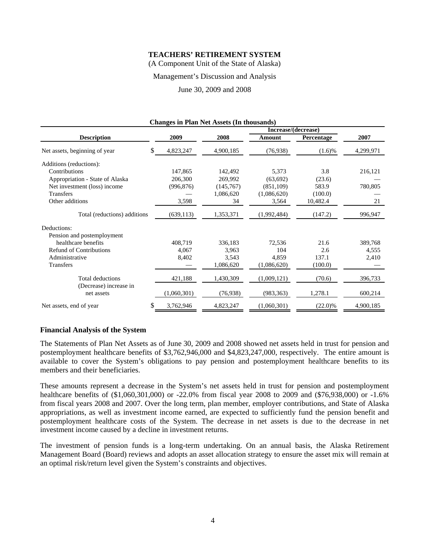(A Component Unit of the State of Alaska)

#### Management's Discussion and Analysis

June 30, 2009 and 2008

| <b>Changes in Plan Net Assets (In thousands)</b> |             |           |                     |            |           |  |  |  |
|--------------------------------------------------|-------------|-----------|---------------------|------------|-----------|--|--|--|
|                                                  |             |           | Increase/(decrease) |            |           |  |  |  |
| <b>Description</b>                               | 2009        | 2008      | Amount              | Percentage | 2007      |  |  |  |
| \$<br>Net assets, beginning of year              | 4,823,247   | 4,900,185 | (76,938)            | $(1.6)\%$  | 4,299,971 |  |  |  |
| Additions (reductions):                          |             |           |                     |            |           |  |  |  |
| Contributions                                    | 147,865     | 142,492   | 5,373               | 3.8        | 216,121   |  |  |  |
| Appropriation - State of Alaska                  | 206,300     | 269,992   | (63, 692)           | (23.6)     |           |  |  |  |
| Net investment (loss) income                     | (996, 876)  | (145,767) | (851,109)           | 583.9      | 780,805   |  |  |  |
| <b>Transfers</b>                                 |             | 1,086,620 | (1,086,620)         | (100.0)    |           |  |  |  |
| Other additions                                  | 3,598       | 34        | 3,564               | 10,482.4   | 21        |  |  |  |
| Total (reductions) additions                     | (639, 113)  | 1,353,371 | (1,992,484)         | (147.2)    | 996,947   |  |  |  |
| Deductions:                                      |             |           |                     |            |           |  |  |  |
| Pension and postemployment                       |             |           |                     |            |           |  |  |  |
| healthcare benefits                              | 408,719     | 336,183   | 72,536              | 21.6       | 389,768   |  |  |  |
| <b>Refund of Contributions</b>                   | 4,067       | 3,963     | 104                 | 2.6        | 4,555     |  |  |  |
| Administrative                                   | 8,402       | 3,543     | 4,859               | 137.1      | 2,410     |  |  |  |
| <b>Transfers</b>                                 |             | 1,086,620 | (1,086,620)         | (100.0)    |           |  |  |  |
| <b>Total deductions</b>                          | 421,188     | 1,430,309 | (1,009,121)         | (70.6)     | 396,733   |  |  |  |
| (Decrease) increase in<br>net assets             | (1,060,301) | (76, 938) | (983, 363)          | 1,278.1    | 600,214   |  |  |  |
| \$<br>Net assets, end of year                    | 3,762,946   | 4,823,247 | (1,060,301)         | $(22.0)\%$ | 4,900,185 |  |  |  |

#### **Financial Analysis of the System**

The Statements of Plan Net Assets as of June 30, 2009 and 2008 showed net assets held in trust for pension and postemployment healthcare benefits of \$3,762,946,000 and \$4,823,247,000, respectively. The entire amount is available to cover the System's obligations to pay pension and postemployment healthcare benefits to its members and their beneficiaries.

These amounts represent a decrease in the System's net assets held in trust for pension and postemployment healthcare benefits of (\$1,060,301,000) or -22.0% from fiscal year 2008 to 2009 and (\$76,938,000) or -1.6% from fiscal years 2008 and 2007. Over the long term, plan member, employer contributions, and State of Alaska appropriations, as well as investment income earned, are expected to sufficiently fund the pension benefit and postemployment healthcare costs of the System. The decrease in net assets is due to the decrease in net investment income caused by a decline in investment returns.

The investment of pension funds is a long-term undertaking. On an annual basis, the Alaska Retirement Management Board (Board) reviews and adopts an asset allocation strategy to ensure the asset mix will remain at an optimal risk/return level given the System's constraints and objectives.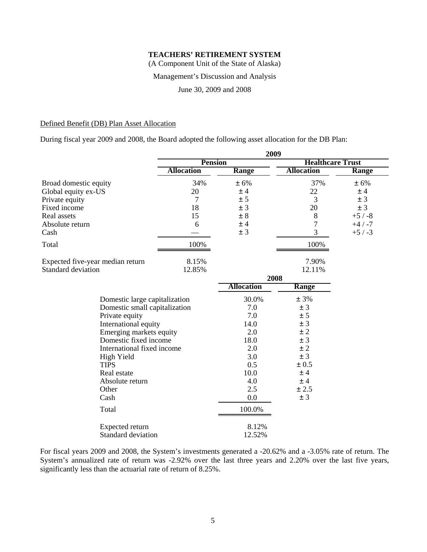(A Component Unit of the State of Alaska)

#### Management's Discussion and Analysis

June 30, 2009 and 2008

#### Defined Benefit (DB) Plan Asset Allocation

During fiscal year 2009 and 2008, the Board adopted the following asset allocation for the DB Plan:

|                                  | 2009              |                   |                         |              |
|----------------------------------|-------------------|-------------------|-------------------------|--------------|
|                                  | <b>Pension</b>    |                   | <b>Healthcare Trust</b> |              |
|                                  | <b>Allocation</b> | <b>Range</b>      | <b>Allocation</b>       | <b>Range</b> |
| Broad domestic equity            | 34%               | ± 6%              | 37%                     | ± 6%         |
| Global equity ex-US              | 20                | ±4                | 22                      | ±4           |
| Private equity                   | 7                 | ± 5               | 3                       | ± 3          |
| Fixed income                     | 18                | ± 3               | 20                      | ± 3          |
| Real assets                      | 15                | ± 8               | 8                       | $+5/ -8$     |
| Absolute return                  | 6                 | ±4                | 7                       | $+4/ -7$     |
| Cash                             |                   | ± 3               | 3                       | $+5/ -3$     |
| Total                            | 100%              |                   | 100%                    |              |
| Expected five-year median return | 8.15%             |                   | 7.90%                   |              |
| <b>Standard deviation</b>        | 12.85%            |                   | 12.11%                  |              |
|                                  |                   |                   | 2008                    |              |
|                                  |                   | <b>Allocation</b> | Range                   |              |
| Domestic large capitalization    |                   | 30.0%             | ± 3%                    |              |
| Domestic small capitalization    |                   | 7.0               | ± 3                     |              |
| Private equity                   |                   | 7.0               | ± 5                     |              |
| International equity             |                   | 14.0              | ± 3                     |              |
| Emerging markets equity          |                   | 2.0               | $\pm$ 2                 |              |
| Domestic fixed income            |                   | 18.0              | ± 3                     |              |
| International fixed income       |                   | 2.0               | ± 2                     |              |
| High Yield                       |                   | 3.0               | ± 3                     |              |
| <b>TIPS</b>                      |                   | 0.5               | $\pm 0.5$               |              |
| Real estate                      |                   | 10.0              | ±4                      |              |
| Absolute return                  |                   | 4.0               | ±4                      |              |
| Other                            |                   | 2.5               | ± 2.5                   |              |
| Cash                             |                   | 0.0               | ± 3                     |              |
| Total                            |                   | 100.0%            |                         |              |
| Expected return                  |                   | 8.12%             |                         |              |
| <b>Standard deviation</b>        |                   | 12.52%            |                         |              |

For fiscal years 2009 and 2008, the System's investments generated a -20.62% and a -3.05% rate of return. The System's annualized rate of return was -2.92% over the last three years and 2.20% over the last five years, significantly less than the actuarial rate of return of 8.25%.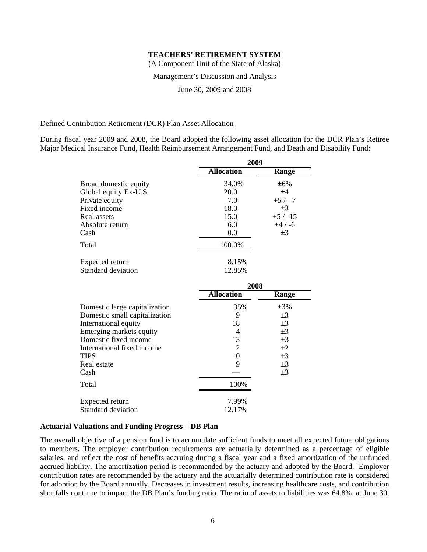(A Component Unit of the State of Alaska)

#### Management's Discussion and Analysis

June 30, 2009 and 2008

#### Defined Contribution Retirement (DCR) Plan Asset Allocation

During fiscal year 2009 and 2008, the Board adopted the following asset allocation for the DCR Plan's Retiree Major Medical Insurance Fund, Health Reimbursement Arrangement Fund, and Death and Disability Fund:

|                                     | 2009              |           |  |  |
|-------------------------------------|-------------------|-----------|--|--|
|                                     | <b>Allocation</b> | Range     |  |  |
| Broad domestic equity               | 34.0%             | ±6%       |  |  |
| Global equity Ex-U.S.               | 20.0              | ±4        |  |  |
| Private equity                      | 7.0               | $+5/ -7$  |  |  |
| Fixed income                        | 18.0              | $\pm 3$   |  |  |
| Real assets                         | 15.0              | $+5/ -15$ |  |  |
| Absolute return                     | 6.0               | $+4/ -6$  |  |  |
| Cash                                | 0.0               | ±3        |  |  |
| Total                               | 100.0%            |           |  |  |
| Expected return                     | 8.15%             |           |  |  |
| Standard deviation                  | 12.85%            |           |  |  |
|                                     | 2008              |           |  |  |
|                                     | <b>Allocation</b> | Range     |  |  |
| Domestic large capitalization       | 35%               | $\pm 3\%$ |  |  |
| $-11$ $+11$ $+11$<br>$\mathbf{r}$ . | $\sim$            | $\sim$    |  |  |

| Domestic large capitalization | 33%    | $±3\%$  |
|-------------------------------|--------|---------|
| Domestic small capitalization | 9      | $\pm 3$ |
| International equity          | 18     | $\pm 3$ |
| Emerging markets equity       |        | $\pm 3$ |
| Domestic fixed income         | 13     | $\pm 3$ |
| International fixed income    | 2      | $\pm 2$ |
| <b>TIPS</b>                   | 10     | $\pm 3$ |
| Real estate                   |        | $\pm 3$ |
| Cash                          |        | $\pm 3$ |
| Total                         | 100%   |         |
| Expected return               | 7.99%  |         |
| Standard deviation            | 12.17% |         |

#### **Actuarial Valuations and Funding Progress – DB Plan**

The overall objective of a pension fund is to accumulate sufficient funds to meet all expected future obligations to members. The employer contribution requirements are actuarially determined as a percentage of eligible salaries, and reflect the cost of benefits accruing during a fiscal year and a fixed amortization of the unfunded accrued liability. The amortization period is recommended by the actuary and adopted by the Board. Employer contribution rates are recommended by the actuary and the actuarially determined contribution rate is considered for adoption by the Board annually. Decreases in investment results, increasing healthcare costs, and contribution shortfalls continue to impact the DB Plan's funding ratio. The ratio of assets to liabilities was 64.8%, at June 30,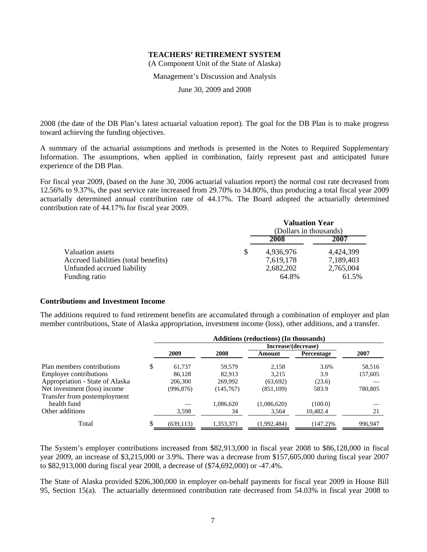(A Component Unit of the State of Alaska)

Management's Discussion and Analysis

June 30, 2009 and 2008

2008 (the date of the DB Plan's latest actuarial valuation report). The goal for the DB Plan is to make progress toward achieving the funding objectives.

A summary of the actuarial assumptions and methods is presented in the Notes to Required Supplementary Information. The assumptions, when applied in combination, fairly represent past and anticipated future experience of the DB Plan.

For fiscal year 2009, (based on the June 30, 2006 actuarial valuation report) the normal cost rate decreased from 12.56% to 9.37%, the past service rate increased from 29.70% to 34.80%, thus producing a total fiscal year 2009 actuarially determined annual contribution rate of 44.17%. The Board adopted the actuarially determined contribution rate of 44.17% for fiscal year 2009.

|                                      |   | <b>Valuation Year</b><br>(Dollars in thousands) |           |
|--------------------------------------|---|-------------------------------------------------|-----------|
|                                      |   | 2008                                            | 2007      |
| Valuation assets                     | S | 4,936,976                                       | 4,424,399 |
| Accrued liabilities (total benefits) |   | 7,619,178                                       | 7,189,403 |
| Unfunded accrued liability           |   | 2,682,202                                       | 2,765,004 |
| Funding ratio                        |   | 64.8%                                           | 61.5%     |

#### **Contributions and Investment Income**

The additions required to fund retirement benefits are accumulated through a combination of employer and plan member contributions, State of Alaska appropriation, investment income (loss), other additions, and a transfer.

|                                 |   | <b>Additions (reductions) (In thousands)</b> |           |                     |             |         |  |  |  |
|---------------------------------|---|----------------------------------------------|-----------|---------------------|-------------|---------|--|--|--|
|                                 |   |                                              |           | Increase/(decrease) |             |         |  |  |  |
|                                 |   | 2009                                         | 2008      | Amount              | Percentage  | 2007    |  |  |  |
| Plan members contributions      | S | 61.737                                       | 59,579    | 2,158               | 3.6%        | 58,516  |  |  |  |
| <b>Employer contributions</b>   |   | 86.128                                       | 82.913    | 3,215               | 3.9         | 157,605 |  |  |  |
| Appropriation - State of Alaska |   | 206,300                                      | 269,992   | (63,692)            | (23.6)      |         |  |  |  |
| Net investment (loss) income    |   | (996, 876)                                   | (145,767) | (851, 109)          | 583.9       | 780,805 |  |  |  |
| Transfer from postemployment    |   |                                              |           |                     |             |         |  |  |  |
| health fund                     |   |                                              | 1,086,620 | (1,086,620)         | (100.0)     |         |  |  |  |
| Other additions                 |   | 3,598                                        | 34        | 3,564               | 10,482.4    | 21      |  |  |  |
| Total                           |   | (639, 113)                                   | 1,353,371 | (1,992,484)         | $(147.2)\%$ | 996,947 |  |  |  |

The System's employer contributions increased from \$82,913,000 in fiscal year 2008 to \$86,128,000 in fiscal year 2009, an increase of \$3,215,000 or 3.9%. There was a decrease from \$157,605,000 during fiscal year 2007 to \$82,913,000 during fiscal year 2008, a decrease of (\$74,692,000) or -47.4%.

The State of Alaska provided \$206,300,000 in employer on-behalf payments for fiscal year 2009 in House Bill 95, Section 15(a). The actuarially determined contribution rate decreased from 54.03% in fiscal year 2008 to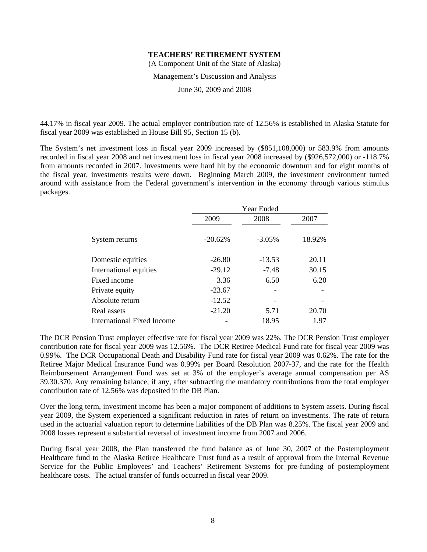(A Component Unit of the State of Alaska)

#### Management's Discussion and Analysis

June 30, 2009 and 2008

44.17% in fiscal year 2009. The actual employer contribution rate of 12.56% is established in Alaska Statute for fiscal year 2009 was established in House Bill 95, Section 15 (b).

The System's net investment loss in fiscal year 2009 increased by (\$851,108,000) or 583.9% from amounts recorded in fiscal year 2008 and net investment loss in fiscal year 2008 increased by (\$926,572,000) or -118.7% from amounts recorded in 2007. Investments were hard hit by the economic downturn and for eight months of the fiscal year, investments results were down. Beginning March 2009, the investment environment turned around with assistance from the Federal government's intervention in the economy through various stimulus packages.

|                            | Year Ended |           |        |  |  |
|----------------------------|------------|-----------|--------|--|--|
|                            | 2009       | 2008      | 2007   |  |  |
| System returns             | $-20.62%$  | $-3.05\%$ | 18.92% |  |  |
| Domestic equities          | $-26.80$   | $-13.53$  | 20.11  |  |  |
| International equities     | $-29.12$   | $-7.48$   | 30.15  |  |  |
| Fixed income               | 3.36       | 6.50      | 6.20   |  |  |
| Private equity             | $-23.67$   |           |        |  |  |
| Absolute return            | $-12.52$   |           |        |  |  |
| Real assets                | $-21.20$   | 5.71      | 20.70  |  |  |
| International Fixed Income |            | 18.95     | 1.97   |  |  |

The DCR Pension Trust employer effective rate for fiscal year 2009 was 22%. The DCR Pension Trust employer contribution rate for fiscal year 2009 was 12.56%. The DCR Retiree Medical Fund rate for fiscal year 2009 was 0.99%. The DCR Occupational Death and Disability Fund rate for fiscal year 2009 was 0.62%. The rate for the Retiree Major Medical Insurance Fund was 0.99% per Board Resolution 2007-37, and the rate for the Health Reimbursement Arrangement Fund was set at 3% of the employer's average annual compensation per AS 39.30.370. Any remaining balance, if any, after subtracting the mandatory contributions from the total employer contribution rate of 12.56% was deposited in the DB Plan.

Over the long term, investment income has been a major component of additions to System assets. During fiscal year 2009, the System experienced a significant reduction in rates of return on investments. The rate of return used in the actuarial valuation report to determine liabilities of the DB Plan was 8.25%. The fiscal year 2009 and 2008 losses represent a substantial reversal of investment income from 2007 and 2006.

During fiscal year 2008, the Plan transferred the fund balance as of June 30, 2007 of the Postemployment Healthcare fund to the Alaska Retiree Healthcare Trust fund as a result of approval from the Internal Revenue Service for the Public Employees' and Teachers' Retirement Systems for pre-funding of postemployment healthcare costs. The actual transfer of funds occurred in fiscal year 2009.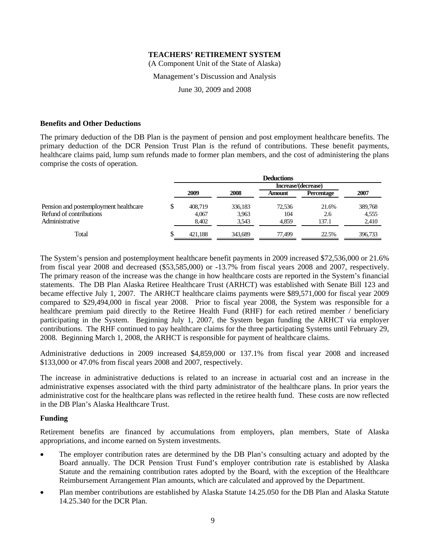(A Component Unit of the State of Alaska)

#### Management's Discussion and Analysis

June 30, 2009 and 2008

#### **Benefits and Other Deductions**

The primary deduction of the DB Plan is the payment of pension and post employment healthcare benefits. The primary deduction of the DCR Pension Trust Plan is the refund of contributions. These benefit payments, healthcare claims paid, lump sum refunds made to former plan members, and the cost of administering the plans comprise the costs of operation.

|                                       | <b>Deductions</b> |         |                     |            |         |  |  |
|---------------------------------------|-------------------|---------|---------------------|------------|---------|--|--|
|                                       |                   |         | Increase/(decrease) |            |         |  |  |
|                                       | 2009              | 2008    | Amount              | Percentage | 2007    |  |  |
| Pension and postemployment healthcare | \$<br>408,719     | 336,183 | 72.536              | 21.6%      | 389,768 |  |  |
| Refund of contributions               | 4.067             | 3,963   | 104                 | 2.6        | 4,555   |  |  |
| Administrative                        | 8.402             | 3.543   | 4.859               | 137.1      | 2,410   |  |  |
| Total                                 | \$<br>421.188     | 343,689 | 77.499              | 22.5%      | 396,733 |  |  |

The System's pension and postemployment healthcare benefit payments in 2009 increased \$72,536,000 or 21.6% from fiscal year 2008 and decreased (\$53,585,000) or -13.7% from fiscal years 2008 and 2007, respectively. The primary reason of the increase was the change in how healthcare costs are reported in the System's financial statements. The DB Plan Alaska Retiree Healthcare Trust (ARHCT) was established with Senate Bill 123 and became effective July 1, 2007. The ARHCT healthcare claims payments were \$89,571,000 for fiscal year 2009 compared to \$29,494,000 in fiscal year 2008. Prior to fiscal year 2008, the System was responsible for a healthcare premium paid directly to the Retiree Health Fund (RHF) for each retired member / beneficiary participating in the System. Beginning July 1, 2007, the System began funding the ARHCT via employer contributions. The RHF continued to pay healthcare claims for the three participating Systems until February 29, 2008. Beginning March 1, 2008, the ARHCT is responsible for payment of healthcare claims.

Administrative deductions in 2009 increased \$4,859,000 or 137.1% from fiscal year 2008 and increased \$133,000 or 47.0% from fiscal years 2008 and 2007, respectively.

The increase in administrative deductions is related to an increase in actuarial cost and an increase in the administrative expenses associated with the third party administrator of the healthcare plans. In prior years the administrative cost for the healthcare plans was reflected in the retiree health fund. These costs are now reflected in the DB Plan's Alaska Healthcare Trust.

#### **Funding**

Retirement benefits are financed by accumulations from employers, plan members, State of Alaska appropriations, and income earned on System investments.

- The employer contribution rates are determined by the DB Plan's consulting actuary and adopted by the Board annually. The DCR Pension Trust Fund's employer contribution rate is established by Alaska Statute and the remaining contribution rates adopted by the Board, with the exception of the Healthcare Reimbursement Arrangement Plan amounts, which are calculated and approved by the Department.
- Plan member contributions are established by Alaska Statute 14.25.050 for the DB Plan and Alaska Statute 14.25.340 for the DCR Plan.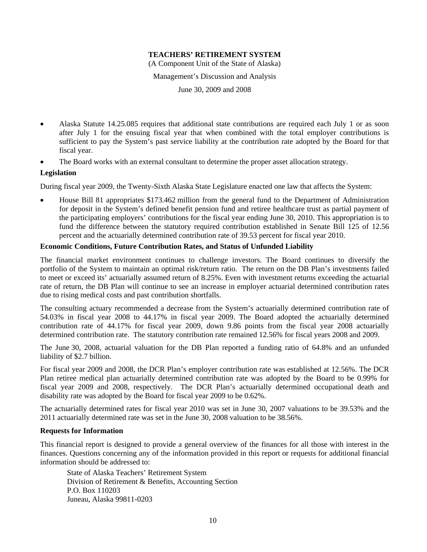(A Component Unit of the State of Alaska)

Management's Discussion and Analysis

June 30, 2009 and 2008

- Alaska Statute 14.25.085 requires that additional state contributions are required each July 1 or as soon after July 1 for the ensuing fiscal year that when combined with the total employer contributions is sufficient to pay the System's past service liability at the contribution rate adopted by the Board for that fiscal year.
- The Board works with an external consultant to determine the proper asset allocation strategy.

#### **Legislation**

During fiscal year 2009, the Twenty-Sixth Alaska State Legislature enacted one law that affects the System:

• House Bill 81 appropriates \$173.462 million from the general fund to the Department of Administration for deposit in the System's defined benefit pension fund and retiree healthcare trust as partial payment of the participating employers' contributions for the fiscal year ending June 30, 2010. This appropriation is to fund the difference between the statutory required contribution established in Senate Bill 125 of 12.56 percent and the actuarially determined contribution rate of 39.53 percent for fiscal year 2010.

#### **Economic Conditions, Future Contribution Rates, and Status of Unfunded Liability**

The financial market environment continues to challenge investors. The Board continues to diversify the portfolio of the System to maintain an optimal risk/return ratio. The return on the DB Plan's investments failed to meet or exceed its' actuarially assumed return of 8.25%. Even with investment returns exceeding the actuarial rate of return, the DB Plan will continue to see an increase in employer actuarial determined contribution rates due to rising medical costs and past contribution shortfalls.

The consulting actuary recommended a decrease from the System's actuarially determined contribution rate of 54.03% in fiscal year 2008 to 44.17% in fiscal year 2009. The Board adopted the actuarially determined contribution rate of 44.17% for fiscal year 2009, down 9.86 points from the fiscal year 2008 actuarially determined contribution rate. The statutory contribution rate remained 12.56% for fiscal years 2008 and 2009.

The June 30, 2008, actuarial valuation for the DB Plan reported a funding ratio of 64.8% and an unfunded liability of \$2.7 billion.

For fiscal year 2009 and 2008, the DCR Plan's employer contribution rate was established at 12.56%. The DCR Plan retiree medical plan actuarially determined contribution rate was adopted by the Board to be 0.99% for fiscal year 2009 and 2008, respectively. The DCR Plan's actuarially determined occupational death and disability rate was adopted by the Board for fiscal year 2009 to be 0.62%.

The actuarially determined rates for fiscal year 2010 was set in June 30, 2007 valuations to be 39.53% and the 2011 actuarially determined rate was set in the June 30, 2008 valuation to be 38.56%.

#### **Requests for Information**

This financial report is designed to provide a general overview of the finances for all those with interest in the finances. Questions concerning any of the information provided in this report or requests for additional financial information should be addressed to:

State of Alaska Teachers' Retirement System Division of Retirement & Benefits, Accounting Section P.O. Box 110203 Juneau, Alaska 99811-0203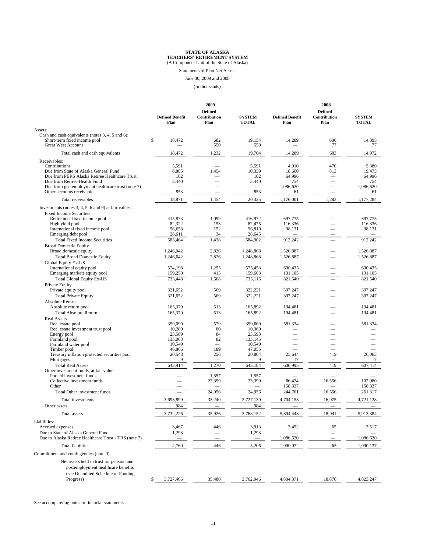Statements of Plan Net Assets

June 30, 2009 and 2008

(In thousands)

|                                                                                                        | 2009                           |                                        |                               | 2008                           |                                        |                               |
|--------------------------------------------------------------------------------------------------------|--------------------------------|----------------------------------------|-------------------------------|--------------------------------|----------------------------------------|-------------------------------|
|                                                                                                        | <b>Defined Benefit</b><br>Plan | <b>Defined</b><br>Contribution<br>Plan | <b>SYSTEM</b><br><b>TOTAL</b> | <b>Defined Benefit</b><br>Plan | <b>Defined</b><br>Contribution<br>Plan | <b>SYSTEM</b><br><b>TOTAL</b> |
| Assets:                                                                                                |                                |                                        |                               |                                |                                        |                               |
| Cash and cash equivalents (notes 3, 4, 5 and 6):<br>Short-term fixed income pool<br>Great West Account | \$<br>18,472                   | 682<br>550                             | 19,154<br>550                 | 14,289                         | 606<br>77                              | 14,895<br>77                  |
| Total cash and cash equivalents                                                                        | 18,472                         | 1,232                                  | 19,704                        | 14,289                         | 683                                    | 14,972                        |
| Receivables:                                                                                           |                                |                                        |                               |                                |                                        |                               |
| Contributions                                                                                          | 5,591                          |                                        | 5,591                         | 4,910                          | 470                                    | 5,380                         |
| Due from State of Alaska General Fund                                                                  | 8,885                          | 1,454                                  | 10,339                        | 18,660                         | 813                                    | 19,473                        |
| Due from PERS Alaska Retiree Healthcare Trust                                                          | 102                            |                                        | 102                           | 64,996                         |                                        | 64,996                        |
| Due from Retiree Health Fund<br>Due from postemployment healthcare trust (note 7)                      | 3,440<br>÷.                    |                                        | 3,440<br>÷.                   | 754<br>1,086,620               |                                        | 754<br>1,086,620              |
| Other accounts receivable                                                                              | 853                            | -                                      | 853                           | 61                             | -                                      | 61                            |
| Total receivables                                                                                      | 18,871                         | 1,454                                  | 20,325                        | 1,176,001                      | 1,283                                  | 1,177,284                     |
|                                                                                                        |                                |                                        |                               |                                |                                        |                               |
| Investments (notes $3, 4, 5, 6$ and $9$ ) at fair value:<br><b>Fixed Income Securities</b>             |                                |                                        |                               |                                |                                        |                               |
| Retirement fixed income pool                                                                           | 415,873                        | 1,099                                  | 416,972                       | 697,775                        |                                        | 697,775                       |
| High yield pool                                                                                        | 82,322                         | 153                                    | 82,475                        | 116,336                        |                                        | 116,336                       |
| International fixed income pool                                                                        | 56,658                         | 152                                    | 56,810                        | 98,131                         |                                        | 98,131                        |
| Emerging debt pool                                                                                     | 28,611                         | 34                                     | 28,645                        |                                |                                        |                               |
| <b>Total Fixed Income Securities</b>                                                                   | 583,464                        | 1,438                                  | 584,902                       | 912,242                        |                                        | 912,242                       |
| <b>Broad Domestic Equity</b>                                                                           |                                |                                        |                               |                                |                                        |                               |
| Broad domestic equity                                                                                  | 1,246,042                      | 2,826                                  | 1,248,868                     | 1,526,887                      |                                        | 1,526,887                     |
| <b>Total Broad Domestic Equity</b>                                                                     | 1.246.042                      | 2,826                                  | 1,248,868                     | 1,526,887                      |                                        | 1,526,887                     |
| Global Equity Ex-US<br>International equity pool                                                       | 574,198                        | 1,255                                  | 575,453                       | 690,435                        |                                        | 690,435                       |
| Emerging markets equity pool                                                                           | 159,250                        | 413                                    | 159,663                       | 131,105                        |                                        | 131,105                       |
| <b>Total Global Equity Ex-US</b>                                                                       | 733,448                        | 1,668                                  | 735.116                       | 821,540                        |                                        | 821,540                       |
| Private Equity                                                                                         |                                |                                        |                               |                                |                                        |                               |
| Private equity pool                                                                                    | 321,652                        | 569                                    | 322,221                       | 397,247                        |                                        | 397,247                       |
| <b>Total Private Equity</b>                                                                            | 321.652                        | 569                                    | 322.221                       | 397.247                        |                                        | 397,247                       |
| Absolute Return                                                                                        |                                |                                        |                               |                                |                                        |                               |
| Absolute return pool                                                                                   | 165,379                        | 513                                    | 165,892                       | 194,481                        |                                        | 194,481                       |
| <b>Total Absolute Return</b>                                                                           | 165,379                        | 513                                    | 165,892                       | 194,481                        |                                        | 194.481                       |
| <b>Real Assets</b>                                                                                     |                                |                                        |                               |                                |                                        |                               |
| Real estate pool<br>Real estate investment trust pool                                                  | 399,090<br>10,280              | 579<br>80                              | 399,669<br>10,360             | 581,334                        |                                        | 581,334                       |
| Energy pool                                                                                            | 23,509                         | 84                                     | 23,593                        |                                |                                        |                               |
| Farmland pool                                                                                          | 133,063                        | 82                                     | 133,145                       |                                |                                        |                               |
| Farmland water pool                                                                                    | 10,549                         |                                        | 10,549                        |                                |                                        |                               |
| Timber pool                                                                                            | 46,866                         | 189                                    | 47,055                        |                                |                                        |                               |
| Treasury inflation protected securities pool                                                           | 20,548<br>9                    | 256                                    | 20,804<br>9                   | 25,644                         | 419                                    | 26,063                        |
| Mortgages<br><b>Total Real Assets</b>                                                                  | 643,914                        | 1,270                                  | 645,184                       | 17<br>606,995                  | 419                                    | 17<br>607,414                 |
| Other investment funds, at fair value:                                                                 |                                |                                        |                               |                                |                                        |                               |
| Pooled investment funds                                                                                |                                | 1,557                                  | 1,557                         |                                |                                        |                               |
| Collective investment funds                                                                            |                                | 23,399                                 | 23,399                        | 86,424                         | 16,556                                 | 102,980                       |
| Other                                                                                                  |                                |                                        |                               | 158,337                        |                                        | 158,337                       |
| Total Other investment funds                                                                           |                                | 24,956                                 | 24,956                        | 244,761                        | 16,556                                 | 261,317                       |
| Total investments                                                                                      | 3,693,899                      | 33,240                                 | 3,727,139                     | 4,704,153                      | 16,975                                 | 4,721,128                     |
| Other assets                                                                                           | 984                            |                                        | 984                           |                                |                                        |                               |
| Total assets                                                                                           | 3,732,226                      | 35,926                                 | 3,768,152                     | 5,894,443                      | 18,941                                 | 5,913,384                     |
| Liabilities:                                                                                           |                                |                                        |                               |                                |                                        |                               |
| Accrued expenses                                                                                       | 3,467                          | 446                                    | 3,913                         | 3,452                          | 65                                     | 3,517                         |
| Due to State of Alaska General Fund                                                                    | 1,293                          |                                        | 1,293                         |                                |                                        |                               |
| Due to Alaska Retiree Healthcare Trust - TRS (note 7)                                                  |                                |                                        |                               | 1,086,620                      |                                        | 1,086,620                     |
| <b>Total liabilities</b>                                                                               | 4,760                          | 446                                    | 5,206                         | 1,090,072                      | 65                                     | 1,090,137                     |
| Commitment and contingencies (note 9)                                                                  |                                |                                        |                               |                                |                                        |                               |
| Net assets held in trust for pension and<br>postemployment healthcare benefits                         |                                |                                        |                               |                                |                                        |                               |
| (see Unaudited Schedule of Funding<br>Progress)                                                        | \$<br>3,727,466                | 35,480                                 | 3,762,946                     | 4,804,371                      | 18,876                                 | 4,823,247                     |
|                                                                                                        |                                |                                        |                               |                                |                                        |                               |

See accompanying notes to financial statements.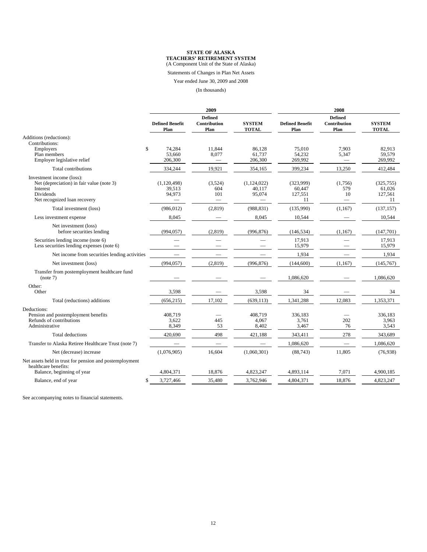Statements of Changes in Plan Net Assets

Year ended June 30, 2009 and 2008

(In thousands)

|                                                                                                                                 | 2009                            |                                             |                                 | 2008                                 |                                            |                                       |
|---------------------------------------------------------------------------------------------------------------------------------|---------------------------------|---------------------------------------------|---------------------------------|--------------------------------------|--------------------------------------------|---------------------------------------|
|                                                                                                                                 | <b>Defined Benefit</b><br>Plan  | <b>Defined</b><br>Contribution<br>Plan      | <b>SYSTEM</b><br><b>TOTAL</b>   | <b>Defined Benefit</b><br>Plan       | <b>Defined</b><br>Contribution<br>Plan     | <b>SYSTEM</b><br><b>TOTAL</b>         |
| Additions (reductions):<br>Contributions:                                                                                       |                                 |                                             |                                 |                                      |                                            |                                       |
| $\mathbb{S}$<br>Employers<br>Plan members<br>Employer legislative relief                                                        | 74,284<br>53.660<br>206,300     | 11,844<br>8,077<br>$\overline{\phantom{m}}$ | 86,128<br>61.737<br>206,300     | 75,010<br>54,232<br>269,992          | 7,903<br>5,347<br>$\overline{\phantom{m}}$ | 82,913<br>59,579<br>269,992           |
| Total contributions                                                                                                             | 334,244                         | 19,921                                      | 354,165                         | 399,234                              | 13,250                                     | 412,484                               |
| Investment income (loss):<br>Net (depreciation) in fair value (note 3)<br>Interest<br>Dividends<br>Net recognized loan recovery | (1,120,498)<br>39,513<br>94,973 | (3,524)<br>604<br>101                       | (1,124,022)<br>40,117<br>95,074 | (323,999)<br>60,447<br>127,551<br>11 | (1,756)<br>579<br>10                       | (325, 755)<br>61,026<br>127,561<br>11 |
| Total investment (loss)                                                                                                         | (986, 012)                      | (2,819)                                     | (988, 831)                      | (135,990)                            | (1,167)                                    | (137, 157)                            |
| Less investment expense                                                                                                         | 8,045                           |                                             | 8,045                           | 10,544                               |                                            | 10,544                                |
| Net investment (loss)<br>before securities lending                                                                              | (994, 057)                      | (2,819)                                     | (996, 876)                      | (146, 534)                           | (1,167)                                    | (147,701)                             |
| Securities lending income (note 6)<br>Less securities lending expenses (note 6)                                                 |                                 |                                             |                                 | 17,913<br>15,979                     |                                            | 17,913<br>15,979                      |
| Net income from securities lending activities                                                                                   |                                 |                                             |                                 | 1,934                                |                                            | 1,934                                 |
| Net investment (loss)                                                                                                           | (994, 057)                      | (2,819)                                     | (996, 876)                      | (144,600)                            | (1,167)                                    | (145,767)                             |
| Transfer from postemployment healthcare fund<br>(note 7)                                                                        |                                 |                                             |                                 | 1,086,620                            |                                            | 1,086,620                             |
| Other:<br>Other                                                                                                                 | 3,598                           |                                             | 3,598                           | 34                                   |                                            | 34                                    |
| Total (reductions) additions                                                                                                    | (656, 215)                      | 17,102                                      | (639, 113)                      | 1,341,288                            | 12,083                                     | 1,353,371                             |
| Deductions:<br>Pension and postemployment benefits<br>Refunds of contributions<br>Administrative                                | 408,719<br>3,622<br>8,349       | 445<br>53                                   | 408,719<br>4,067<br>8,402       | 336,183<br>3,761<br>3,467            | 202<br>76                                  | 336,183<br>3,963<br>3,543             |
| <b>Total deductions</b>                                                                                                         | 420,690                         | 498                                         | 421,188                         | 343,411                              | 278                                        | 343,689                               |
| Transfer to Alaska Retiree Healthcare Trust (note 7)                                                                            |                                 |                                             |                                 | 1,086,620                            | $\equiv$                                   | 1,086,620                             |
| Net (decrease) increase                                                                                                         | (1,076,905)                     | 16,604                                      | (1,060,301)                     | (88, 743)                            | 11,805                                     | (76, 938)                             |
| Net assets held in trust for pension and postemployment<br>healthcare benefits:                                                 |                                 |                                             |                                 |                                      |                                            |                                       |
| Balance, beginning of year                                                                                                      | 4,804,371                       | 18,876                                      | 4,823,247                       | 4,893,114                            | 7,071                                      | 4,900,185                             |
| Balance, end of year<br>\$                                                                                                      | 3,727,466                       | 35,480                                      | 3,762,946                       | 4,804,371                            | 18,876                                     | 4,823,247                             |

See accompanying notes to financial statements.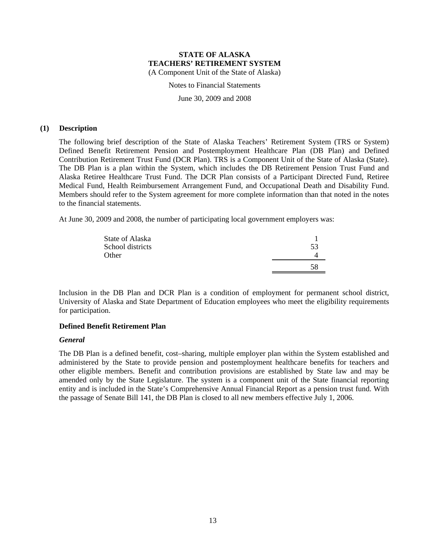Notes to Financial Statements

June 30, 2009 and 2008

#### **(1) Description**

The following brief description of the State of Alaska Teachers' Retirement System (TRS or System) Defined Benefit Retirement Pension and Postemployment Healthcare Plan (DB Plan) and Defined Contribution Retirement Trust Fund (DCR Plan). TRS is a Component Unit of the State of Alaska (State). The DB Plan is a plan within the System, which includes the DB Retirement Pension Trust Fund and Alaska Retiree Healthcare Trust Fund. The DCR Plan consists of a Participant Directed Fund, Retiree Medical Fund, Health Reimbursement Arrangement Fund, and Occupational Death and Disability Fund. Members should refer to the System agreement for more complete information than that noted in the notes to the financial statements.

At June 30, 2009 and 2008, the number of participating local government employers was:

| State of Alaska  |    |
|------------------|----|
| School districts | 53 |
| Other            |    |
|                  | 58 |

Inclusion in the DB Plan and DCR Plan is a condition of employment for permanent school district, University of Alaska and State Department of Education employees who meet the eligibility requirements for participation.

#### **Defined Benefit Retirement Plan**

#### *General*

The DB Plan is a defined benefit, cost–sharing, multiple employer plan within the System established and administered by the State to provide pension and postemployment healthcare benefits for teachers and other eligible members. Benefit and contribution provisions are established by State law and may be amended only by the State Legislature. The system is a component unit of the State financial reporting entity and is included in the State's Comprehensive Annual Financial Report as a pension trust fund. With the passage of Senate Bill 141, the DB Plan is closed to all new members effective July 1, 2006.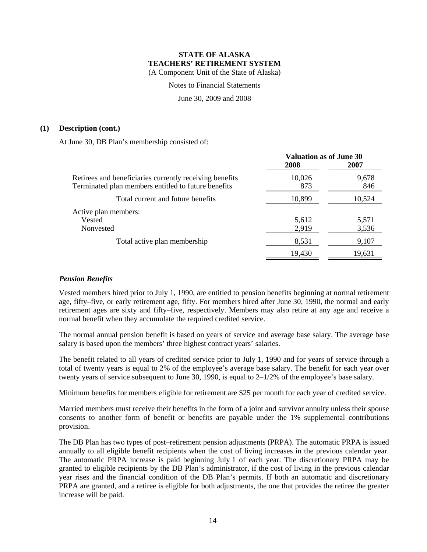Notes to Financial Statements

June 30, 2009 and 2008

#### **(1) Description (cont.)**

At June 30, DB Plan's membership consisted of:

|                                                                                                                | <b>Valuation as of June 30</b><br>2008 | 2007           |
|----------------------------------------------------------------------------------------------------------------|----------------------------------------|----------------|
| Retirees and beneficiaries currently receiving benefits<br>Terminated plan members entitled to future benefits | 10,026<br>873                          | 9,678<br>846   |
| Total current and future benefits                                                                              | 10,899                                 | 10,524         |
| Active plan members:<br>Vested<br>Nonvested                                                                    | 5,612<br>2,919                         | 5,571<br>3,536 |
| Total active plan membership                                                                                   | 8,531                                  | 9,107          |
|                                                                                                                | 19,430                                 | 19,631         |

### *Pension Benefits*

Vested members hired prior to July 1, 1990, are entitled to pension benefits beginning at normal retirement age, fifty–five, or early retirement age, fifty. For members hired after June 30, 1990, the normal and early retirement ages are sixty and fifty–five, respectively. Members may also retire at any age and receive a normal benefit when they accumulate the required credited service.

The normal annual pension benefit is based on years of service and average base salary. The average base salary is based upon the members' three highest contract years' salaries.

The benefit related to all years of credited service prior to July 1, 1990 and for years of service through a total of twenty years is equal to 2% of the employee's average base salary. The benefit for each year over twenty years of service subsequent to June 30, 1990, is equal to 2–1/2% of the employee's base salary.

Minimum benefits for members eligible for retirement are \$25 per month for each year of credited service.

Married members must receive their benefits in the form of a joint and survivor annuity unless their spouse consents to another form of benefit or benefits are payable under the 1% supplemental contributions provision.

The DB Plan has two types of post–retirement pension adjustments (PRPA). The automatic PRPA is issued annually to all eligible benefit recipients when the cost of living increases in the previous calendar year. The automatic PRPA increase is paid beginning July 1 of each year. The discretionary PRPA may be granted to eligible recipients by the DB Plan's administrator, if the cost of living in the previous calendar year rises and the financial condition of the DB Plan's permits. If both an automatic and discretionary PRPA are granted, and a retiree is eligible for both adjustments, the one that provides the retiree the greater increase will be paid.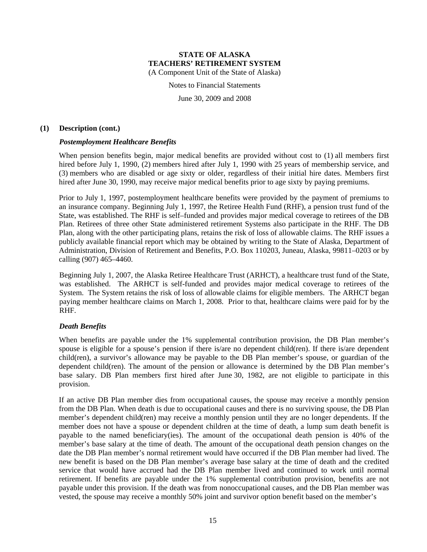Notes to Financial Statements

June 30, 2009 and 2008

#### **(1) Description (cont.)**

### *Postemployment Healthcare Benefits*

When pension benefits begin, major medical benefits are provided without cost to (1) all members first hired before July 1, 1990, (2) members hired after July 1, 1990 with 25 years of membership service, and (3) members who are disabled or age sixty or older, regardless of their initial hire dates. Members first hired after June 30, 1990, may receive major medical benefits prior to age sixty by paying premiums.

Prior to July 1, 1997, postemployment healthcare benefits were provided by the payment of premiums to an insurance company. Beginning July 1, 1997, the Retiree Health Fund (RHF), a pension trust fund of the State, was established. The RHF is self–funded and provides major medical coverage to retirees of the DB Plan. Retirees of three other State administered retirement Systems also participate in the RHF. The DB Plan, along with the other participating plans, retains the risk of loss of allowable claims. The RHF issues a publicly available financial report which may be obtained by writing to the State of Alaska, Department of Administration, Division of Retirement and Benefits, P.O. Box 110203, Juneau, Alaska, 99811–0203 or by calling (907) 465–4460.

Beginning July 1, 2007, the Alaska Retiree Healthcare Trust (ARHCT), a healthcare trust fund of the State, was established. The ARHCT is self-funded and provides major medical coverage to retirees of the System. The System retains the risk of loss of allowable claims for eligible members. The ARHCT began paying member healthcare claims on March 1, 2008. Prior to that, healthcare claims were paid for by the RHF.

### *Death Benefits*

When benefits are payable under the 1% supplemental contribution provision, the DB Plan member's spouse is eligible for a spouse's pension if there is/are no dependent child(ren). If there is/are dependent child(ren), a survivor's allowance may be payable to the DB Plan member's spouse, or guardian of the dependent child(ren). The amount of the pension or allowance is determined by the DB Plan member's base salary. DB Plan members first hired after June 30, 1982, are not eligible to participate in this provision.

If an active DB Plan member dies from occupational causes, the spouse may receive a monthly pension from the DB Plan. When death is due to occupational causes and there is no surviving spouse, the DB Plan member's dependent child(ren) may receive a monthly pension until they are no longer dependents. If the member does not have a spouse or dependent children at the time of death, a lump sum death benefit is payable to the named beneficiary(ies). The amount of the occupational death pension is 40% of the member's base salary at the time of death. The amount of the occupational death pension changes on the date the DB Plan member's normal retirement would have occurred if the DB Plan member had lived. The new benefit is based on the DB Plan member's average base salary at the time of death and the credited service that would have accrued had the DB Plan member lived and continued to work until normal retirement. If benefits are payable under the 1% supplemental contribution provision, benefits are not payable under this provision. If the death was from nonoccupational causes, and the DB Plan member was vested, the spouse may receive a monthly 50% joint and survivor option benefit based on the member's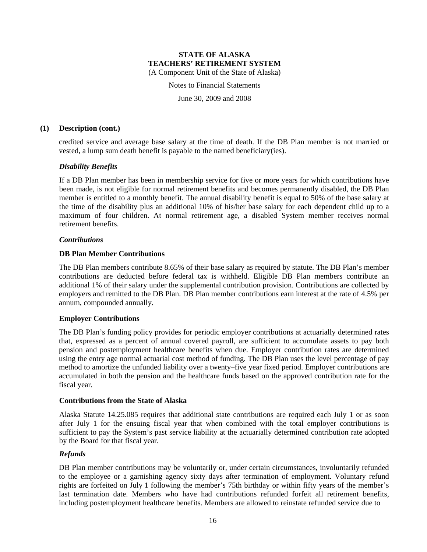Notes to Financial Statements

June 30, 2009 and 2008

#### **(1) Description (cont.)**

credited service and average base salary at the time of death. If the DB Plan member is not married or vested, a lump sum death benefit is payable to the named beneficiary(ies).

### *Disability Benefits*

If a DB Plan member has been in membership service for five or more years for which contributions have been made, is not eligible for normal retirement benefits and becomes permanently disabled, the DB Plan member is entitled to a monthly benefit. The annual disability benefit is equal to 50% of the base salary at the time of the disability plus an additional 10% of his/her base salary for each dependent child up to a maximum of four children. At normal retirement age, a disabled System member receives normal retirement benefits.

#### *Contributions*

#### **DB Plan Member Contributions**

The DB Plan members contribute 8.65% of their base salary as required by statute. The DB Plan's member contributions are deducted before federal tax is withheld. Eligible DB Plan members contribute an additional 1% of their salary under the supplemental contribution provision. Contributions are collected by employers and remitted to the DB Plan. DB Plan member contributions earn interest at the rate of 4.5% per annum, compounded annually.

#### **Employer Contributions**

The DB Plan's funding policy provides for periodic employer contributions at actuarially determined rates that, expressed as a percent of annual covered payroll, are sufficient to accumulate assets to pay both pension and postemployment healthcare benefits when due. Employer contribution rates are determined using the entry age normal actuarial cost method of funding. The DB Plan uses the level percentage of pay method to amortize the unfunded liability over a twenty–five year fixed period. Employer contributions are accumulated in both the pension and the healthcare funds based on the approved contribution rate for the fiscal year.

#### **Contributions from the State of Alaska**

Alaska Statute 14.25.085 requires that additional state contributions are required each July 1 or as soon after July 1 for the ensuing fiscal year that when combined with the total employer contributions is sufficient to pay the System's past service liability at the actuarially determined contribution rate adopted by the Board for that fiscal year.

### *Refunds*

DB Plan member contributions may be voluntarily or, under certain circumstances, involuntarily refunded to the employee or a garnishing agency sixty days after termination of employment. Voluntary refund rights are forfeited on July 1 following the member's 75th birthday or within fifty years of the member's last termination date. Members who have had contributions refunded forfeit all retirement benefits, including postemployment healthcare benefits. Members are allowed to reinstate refunded service due to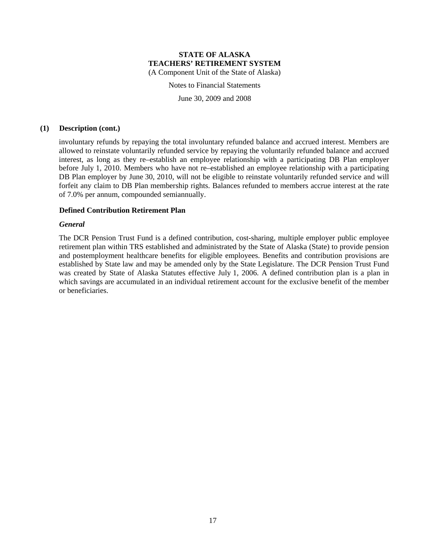Notes to Financial Statements

June 30, 2009 and 2008

#### **(1) Description (cont.)**

involuntary refunds by repaying the total involuntary refunded balance and accrued interest. Members are allowed to reinstate voluntarily refunded service by repaying the voluntarily refunded balance and accrued interest, as long as they re–establish an employee relationship with a participating DB Plan employer before July 1, 2010. Members who have not re–established an employee relationship with a participating DB Plan employer by June 30, 2010, will not be eligible to reinstate voluntarily refunded service and will forfeit any claim to DB Plan membership rights. Balances refunded to members accrue interest at the rate of 7.0% per annum, compounded semiannually.

#### **Defined Contribution Retirement Plan**

#### *General*

The DCR Pension Trust Fund is a defined contribution, cost-sharing, multiple employer public employee retirement plan within TRS established and administrated by the State of Alaska (State) to provide pension and postemployment healthcare benefits for eligible employees. Benefits and contribution provisions are established by State law and may be amended only by the State Legislature. The DCR Pension Trust Fund was created by State of Alaska Statutes effective July 1, 2006. A defined contribution plan is a plan in which savings are accumulated in an individual retirement account for the exclusive benefit of the member or beneficiaries.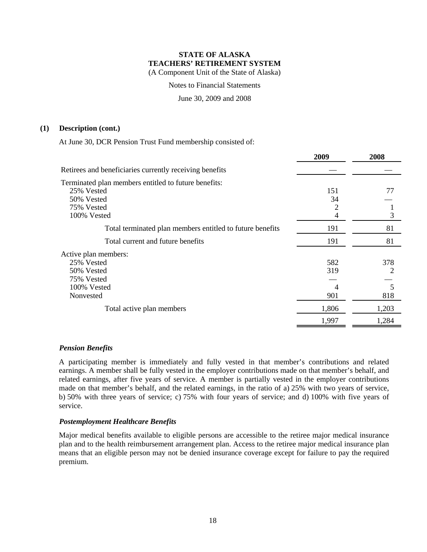Notes to Financial Statements

June 30, 2009 and 2008

#### **(1) Description (cont.)**

At June 30, DCR Pension Trust Fund membership consisted of:

|                                                                                                               | 2009                   | 2008                 |
|---------------------------------------------------------------------------------------------------------------|------------------------|----------------------|
| Retirees and beneficiaries currently receiving benefits                                                       |                        |                      |
| Terminated plan members entitled to future benefits:<br>25% Vested<br>50% Vested<br>75% Vested<br>100% Vested | 151<br>34<br>2<br>4    | 77<br>3              |
| Total terminated plan members entitled to future benefits                                                     | 191                    | 81                   |
| Total current and future benefits                                                                             | 191                    | 81                   |
| Active plan members:<br>25% Vested<br>50% Vested<br>75% Vested<br>100% Vested<br>Nonvested                    | 582<br>319<br>4<br>901 | 378<br>2<br>5<br>818 |
| Total active plan members                                                                                     | 1,806                  | 1,203                |
|                                                                                                               | 1,997                  | 1,284                |
|                                                                                                               |                        |                      |

### *Pension Benefits*

A participating member is immediately and fully vested in that member's contributions and related earnings. A member shall be fully vested in the employer contributions made on that member's behalf, and related earnings, after five years of service. A member is partially vested in the employer contributions made on that member's behalf, and the related earnings, in the ratio of a) 25% with two years of service, b) 50% with three years of service; c) 75% with four years of service; and d) 100% with five years of service.

#### *Postemployment Healthcare Benefits*

Major medical benefits available to eligible persons are accessible to the retiree major medical insurance plan and to the health reimbursement arrangement plan. Access to the retiree major medical insurance plan means that an eligible person may not be denied insurance coverage except for failure to pay the required premium.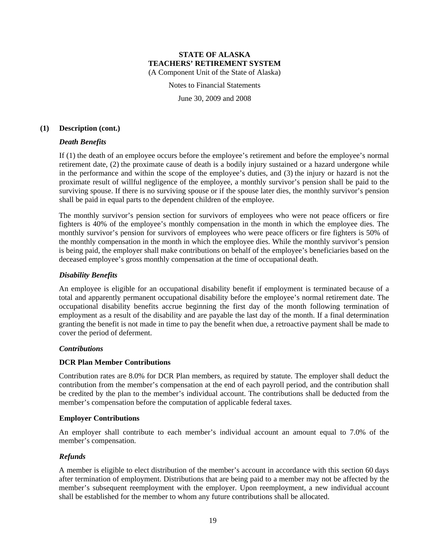Notes to Financial Statements

June 30, 2009 and 2008

#### **(1) Description (cont.)**

### *Death Benefits*

If (1) the death of an employee occurs before the employee's retirement and before the employee's normal retirement date, (2) the proximate cause of death is a bodily injury sustained or a hazard undergone while in the performance and within the scope of the employee's duties, and (3) the injury or hazard is not the proximate result of willful negligence of the employee, a monthly survivor's pension shall be paid to the surviving spouse. If there is no surviving spouse or if the spouse later dies, the monthly survivor's pension shall be paid in equal parts to the dependent children of the employee.

The monthly survivor's pension section for survivors of employees who were not peace officers or fire fighters is 40% of the employee's monthly compensation in the month in which the employee dies. The monthly survivor's pension for survivors of employees who were peace officers or fire fighters is 50% of the monthly compensation in the month in which the employee dies. While the monthly survivor's pension is being paid, the employer shall make contributions on behalf of the employee's beneficiaries based on the deceased employee's gross monthly compensation at the time of occupational death.

#### *Disability Benefits*

An employee is eligible for an occupational disability benefit if employment is terminated because of a total and apparently permanent occupational disability before the employee's normal retirement date. The occupational disability benefits accrue beginning the first day of the month following termination of employment as a result of the disability and are payable the last day of the month. If a final determination granting the benefit is not made in time to pay the benefit when due, a retroactive payment shall be made to cover the period of deferment.

### *Contributions*

### **DCR Plan Member Contributions**

Contribution rates are 8.0% for DCR Plan members, as required by statute. The employer shall deduct the contribution from the member's compensation at the end of each payroll period, and the contribution shall be credited by the plan to the member's individual account. The contributions shall be deducted from the member's compensation before the computation of applicable federal taxes.

#### **Employer Contributions**

An employer shall contribute to each member's individual account an amount equal to 7.0% of the member's compensation.

### *Refunds*

A member is eligible to elect distribution of the member's account in accordance with this section 60 days after termination of employment. Distributions that are being paid to a member may not be affected by the member's subsequent reemployment with the employer. Upon reemployment, a new individual account shall be established for the member to whom any future contributions shall be allocated.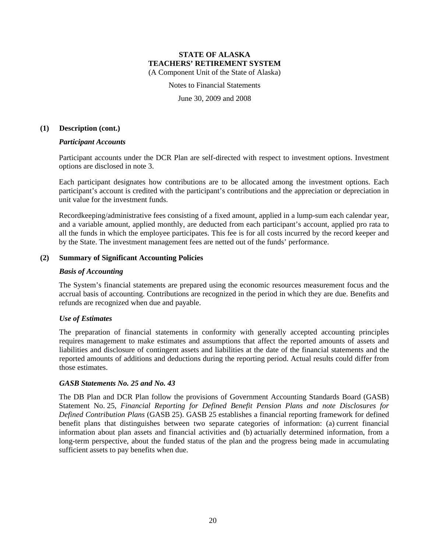Notes to Financial Statements

June 30, 2009 and 2008

#### **(1) Description (cont.)**

#### *Participant Accounts*

Participant accounts under the DCR Plan are self-directed with respect to investment options. Investment options are disclosed in note 3.

Each participant designates how contributions are to be allocated among the investment options. Each participant's account is credited with the participant's contributions and the appreciation or depreciation in unit value for the investment funds.

Recordkeeping/administrative fees consisting of a fixed amount, applied in a lump-sum each calendar year, and a variable amount, applied monthly, are deducted from each participant's account, applied pro rata to all the funds in which the employee participates. This fee is for all costs incurred by the record keeper and by the State. The investment management fees are netted out of the funds' performance.

#### **(2) Summary of Significant Accounting Policies**

#### *Basis of Accounting*

The System's financial statements are prepared using the economic resources measurement focus and the accrual basis of accounting. Contributions are recognized in the period in which they are due. Benefits and refunds are recognized when due and payable.

### *Use of Estimates*

The preparation of financial statements in conformity with generally accepted accounting principles requires management to make estimates and assumptions that affect the reported amounts of assets and liabilities and disclosure of contingent assets and liabilities at the date of the financial statements and the reported amounts of additions and deductions during the reporting period. Actual results could differ from those estimates.

### *GASB Statements No. 25 and No. 43*

The DB Plan and DCR Plan follow the provisions of Government Accounting Standards Board (GASB) Statement No. 25, *Financial Reporting for Defined Benefit Pension Plans and note Disclosures for Defined Contribution Plans* (GASB 25). GASB 25 establishes a financial reporting framework for defined benefit plans that distinguishes between two separate categories of information: (a) current financial information about plan assets and financial activities and (b) actuarially determined information, from a long-term perspective, about the funded status of the plan and the progress being made in accumulating sufficient assets to pay benefits when due.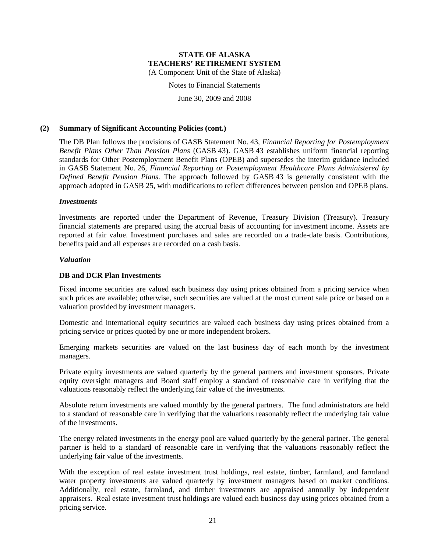Notes to Financial Statements

June 30, 2009 and 2008

#### **(2) Summary of Significant Accounting Policies (cont.)**

The DB Plan follows the provisions of GASB Statement No. 43, *Financial Reporting for Postemployment Benefit Plans Other Than Pension Plans* (GASB 43). GASB 43 establishes uniform financial reporting standards for Other Postemployment Benefit Plans (OPEB) and supersedes the interim guidance included in GASB Statement No. 26, *Financial Reporting or Postemployment Healthcare Plans Administered by Defined Benefit Pension Plans*. The approach followed by GASB 43 is generally consistent with the approach adopted in GASB 25, with modifications to reflect differences between pension and OPEB plans.

#### *Investments*

Investments are reported under the Department of Revenue, Treasury Division (Treasury). Treasury financial statements are prepared using the accrual basis of accounting for investment income. Assets are reported at fair value. Investment purchases and sales are recorded on a trade-date basis. Contributions, benefits paid and all expenses are recorded on a cash basis.

#### *Valuation*

#### **DB and DCR Plan Investments**

Fixed income securities are valued each business day using prices obtained from a pricing service when such prices are available; otherwise, such securities are valued at the most current sale price or based on a valuation provided by investment managers.

Domestic and international equity securities are valued each business day using prices obtained from a pricing service or prices quoted by one or more independent brokers.

Emerging markets securities are valued on the last business day of each month by the investment managers.

Private equity investments are valued quarterly by the general partners and investment sponsors. Private equity oversight managers and Board staff employ a standard of reasonable care in verifying that the valuations reasonably reflect the underlying fair value of the investments.

Absolute return investments are valued monthly by the general partners. The fund administrators are held to a standard of reasonable care in verifying that the valuations reasonably reflect the underlying fair value of the investments.

The energy related investments in the energy pool are valued quarterly by the general partner. The general partner is held to a standard of reasonable care in verifying that the valuations reasonably reflect the underlying fair value of the investments.

With the exception of real estate investment trust holdings, real estate, timber, farmland, and farmland water property investments are valued quarterly by investment managers based on market conditions. Additionally, real estate, farmland, and timber investments are appraised annually by independent appraisers. Real estate investment trust holdings are valued each business day using prices obtained from a pricing service.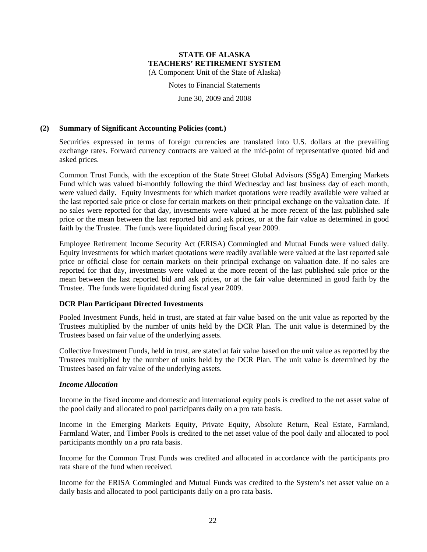Notes to Financial Statements

June 30, 2009 and 2008

#### **(2) Summary of Significant Accounting Policies (cont.)**

Securities expressed in terms of foreign currencies are translated into U.S. dollars at the prevailing exchange rates. Forward currency contracts are valued at the mid-point of representative quoted bid and asked prices.

Common Trust Funds, with the exception of the State Street Global Advisors (SSgA) Emerging Markets Fund which was valued bi-monthly following the third Wednesday and last business day of each month, were valued daily. Equity investments for which market quotations were readily available were valued at the last reported sale price or close for certain markets on their principal exchange on the valuation date. If no sales were reported for that day, investments were valued at he more recent of the last published sale price or the mean between the last reported bid and ask prices, or at the fair value as determined in good faith by the Trustee. The funds were liquidated during fiscal year 2009.

Employee Retirement Income Security Act (ERISA) Commingled and Mutual Funds were valued daily. Equity investments for which market quotations were readily available were valued at the last reported sale price or official close for certain markets on their principal exchange on valuation date. If no sales are reported for that day, investments were valued at the more recent of the last published sale price or the mean between the last reported bid and ask prices, or at the fair value determined in good faith by the Trustee. The funds were liquidated during fiscal year 2009.

#### **DCR Plan Participant Directed Investments**

Pooled Investment Funds, held in trust, are stated at fair value based on the unit value as reported by the Trustees multiplied by the number of units held by the DCR Plan. The unit value is determined by the Trustees based on fair value of the underlying assets.

Collective Investment Funds, held in trust, are stated at fair value based on the unit value as reported by the Trustees multiplied by the number of units held by the DCR Plan. The unit value is determined by the Trustees based on fair value of the underlying assets.

#### *Income Allocation*

Income in the fixed income and domestic and international equity pools is credited to the net asset value of the pool daily and allocated to pool participants daily on a pro rata basis.

Income in the Emerging Markets Equity, Private Equity, Absolute Return, Real Estate, Farmland, Farmland Water, and Timber Pools is credited to the net asset value of the pool daily and allocated to pool participants monthly on a pro rata basis.

Income for the Common Trust Funds was credited and allocated in accordance with the participants pro rata share of the fund when received.

Income for the ERISA Commingled and Mutual Funds was credited to the System's net asset value on a daily basis and allocated to pool participants daily on a pro rata basis.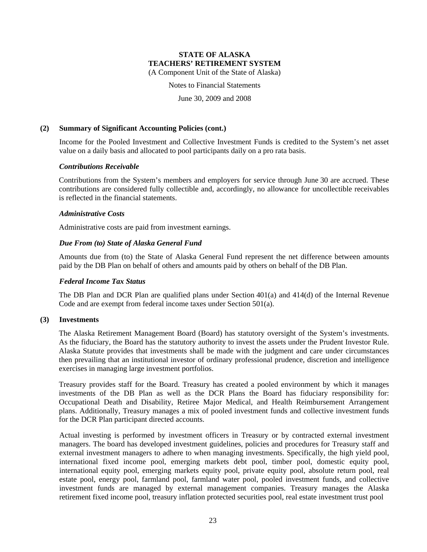Notes to Financial Statements

June 30, 2009 and 2008

#### **(2) Summary of Significant Accounting Policies (cont.)**

Income for the Pooled Investment and Collective Investment Funds is credited to the System's net asset value on a daily basis and allocated to pool participants daily on a pro rata basis.

#### *Contributions Receivable*

Contributions from the System's members and employers for service through June 30 are accrued. These contributions are considered fully collectible and, accordingly, no allowance for uncollectible receivables is reflected in the financial statements.

#### *Administrative Costs*

Administrative costs are paid from investment earnings.

### *Due From (to) State of Alaska General Fund*

Amounts due from (to) the State of Alaska General Fund represent the net difference between amounts paid by the DB Plan on behalf of others and amounts paid by others on behalf of the DB Plan.

#### *Federal Income Tax Status*

The DB Plan and DCR Plan are qualified plans under Section 401(a) and 414(d) of the Internal Revenue Code and are exempt from federal income taxes under Section 501(a).

#### **(3) Investments**

The Alaska Retirement Management Board (Board) has statutory oversight of the System's investments. As the fiduciary, the Board has the statutory authority to invest the assets under the Prudent Investor Rule. Alaska Statute provides that investments shall be made with the judgment and care under circumstances then prevailing that an institutional investor of ordinary professional prudence, discretion and intelligence exercises in managing large investment portfolios.

Treasury provides staff for the Board. Treasury has created a pooled environment by which it manages investments of the DB Plan as well as the DCR Plans the Board has fiduciary responsibility for: Occupational Death and Disability, Retiree Major Medical, and Health Reimbursement Arrangement plans. Additionally, Treasury manages a mix of pooled investment funds and collective investment funds for the DCR Plan participant directed accounts.

Actual investing is performed by investment officers in Treasury or by contracted external investment managers. The board has developed investment guidelines, policies and procedures for Treasury staff and external investment managers to adhere to when managing investments. Specifically, the high yield pool, international fixed income pool, emerging markets debt pool, timber pool, domestic equity pool, international equity pool, emerging markets equity pool, private equity pool, absolute return pool, real estate pool, energy pool, farmland pool, farmland water pool, pooled investment funds, and collective investment funds are managed by external management companies. Treasury manages the Alaska retirement fixed income pool, treasury inflation protected securities pool, real estate investment trust pool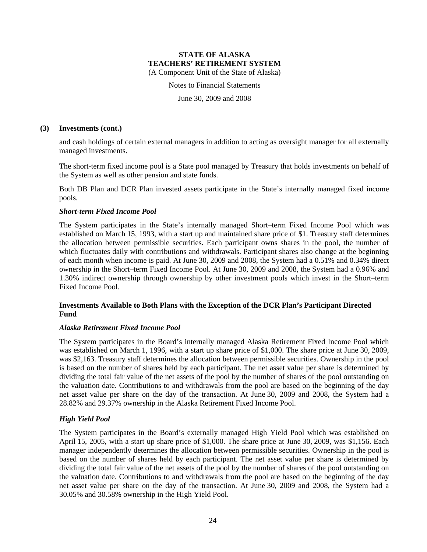Notes to Financial Statements

June 30, 2009 and 2008

#### **(3) Investments (cont.)**

and cash holdings of certain external managers in addition to acting as oversight manager for all externally managed investments.

The short-term fixed income pool is a State pool managed by Treasury that holds investments on behalf of the System as well as other pension and state funds.

Both DB Plan and DCR Plan invested assets participate in the State's internally managed fixed income pools.

#### *Short-term Fixed Income Pool*

The System participates in the State's internally managed Short–term Fixed Income Pool which was established on March 15, 1993, with a start up and maintained share price of \$1. Treasury staff determines the allocation between permissible securities. Each participant owns shares in the pool, the number of which fluctuates daily with contributions and withdrawals. Participant shares also change at the beginning of each month when income is paid. At June 30, 2009 and 2008, the System had a 0.51% and 0.34% direct ownership in the Short–term Fixed Income Pool. At June 30, 2009 and 2008, the System had a 0.96% and 1.30% indirect ownership through ownership by other investment pools which invest in the Short–term Fixed Income Pool.

### **Investments Available to Both Plans with the Exception of the DCR Plan's Participant Directed Fund**

#### *Alaska Retirement Fixed Income Pool*

The System participates in the Board's internally managed Alaska Retirement Fixed Income Pool which was established on March 1, 1996, with a start up share price of \$1,000. The share price at June 30, 2009, was \$2,163. Treasury staff determines the allocation between permissible securities. Ownership in the pool is based on the number of shares held by each participant. The net asset value per share is determined by dividing the total fair value of the net assets of the pool by the number of shares of the pool outstanding on the valuation date. Contributions to and withdrawals from the pool are based on the beginning of the day net asset value per share on the day of the transaction. At June 30, 2009 and 2008, the System had a 28.82% and 29.37% ownership in the Alaska Retirement Fixed Income Pool.

#### *High Yield Pool*

The System participates in the Board's externally managed High Yield Pool which was established on April 15, 2005, with a start up share price of \$1,000. The share price at June 30, 2009, was \$1,156. Each manager independently determines the allocation between permissible securities. Ownership in the pool is based on the number of shares held by each participant. The net asset value per share is determined by dividing the total fair value of the net assets of the pool by the number of shares of the pool outstanding on the valuation date. Contributions to and withdrawals from the pool are based on the beginning of the day net asset value per share on the day of the transaction. At June 30, 2009 and 2008, the System had a 30.05% and 30.58% ownership in the High Yield Pool.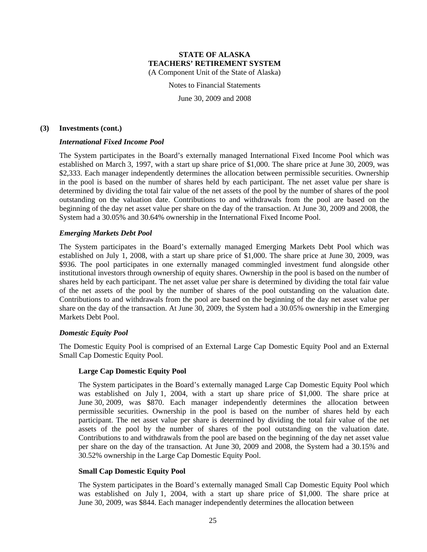Notes to Financial Statements

June 30, 2009 and 2008

#### **(3) Investments (cont.)**

#### *International Fixed Income Pool*

The System participates in the Board's externally managed International Fixed Income Pool which was established on March 3, 1997, with a start up share price of \$1,000. The share price at June 30, 2009, was \$2,333. Each manager independently determines the allocation between permissible securities. Ownership in the pool is based on the number of shares held by each participant. The net asset value per share is determined by dividing the total fair value of the net assets of the pool by the number of shares of the pool outstanding on the valuation date. Contributions to and withdrawals from the pool are based on the beginning of the day net asset value per share on the day of the transaction. At June 30, 2009 and 2008, the System had a 30.05% and 30.64% ownership in the International Fixed Income Pool.

#### *Emerging Markets Debt Pool*

The System participates in the Board's externally managed Emerging Markets Debt Pool which was established on July 1, 2008, with a start up share price of \$1,000. The share price at June 30, 2009, was \$936. The pool participates in one externally managed commingled investment fund alongside other institutional investors through ownership of equity shares. Ownership in the pool is based on the number of shares held by each participant. The net asset value per share is determined by dividing the total fair value of the net assets of the pool by the number of shares of the pool outstanding on the valuation date. Contributions to and withdrawals from the pool are based on the beginning of the day net asset value per share on the day of the transaction. At June 30, 2009, the System had a 30.05% ownership in the Emerging Markets Debt Pool.

#### *Domestic Equity Pool*

The Domestic Equity Pool is comprised of an External Large Cap Domestic Equity Pool and an External Small Cap Domestic Equity Pool.

#### **Large Cap Domestic Equity Pool**

The System participates in the Board's externally managed Large Cap Domestic Equity Pool which was established on July 1, 2004, with a start up share price of \$1,000. The share price at June 30, 2009, was \$870. Each manager independently determines the allocation between permissible securities. Ownership in the pool is based on the number of shares held by each participant. The net asset value per share is determined by dividing the total fair value of the net assets of the pool by the number of shares of the pool outstanding on the valuation date. Contributions to and withdrawals from the pool are based on the beginning of the day net asset value per share on the day of the transaction. At June 30, 2009 and 2008, the System had a 30.15% and 30.52% ownership in the Large Cap Domestic Equity Pool.

#### **Small Cap Domestic Equity Pool**

The System participates in the Board's externally managed Small Cap Domestic Equity Pool which was established on July 1, 2004, with a start up share price of \$1,000. The share price at June 30, 2009, was \$844. Each manager independently determines the allocation between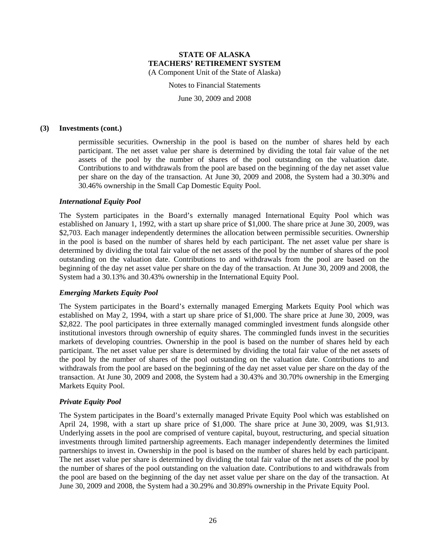Notes to Financial Statements

June 30, 2009 and 2008

#### **(3) Investments (cont.)**

permissible securities. Ownership in the pool is based on the number of shares held by each participant. The net asset value per share is determined by dividing the total fair value of the net assets of the pool by the number of shares of the pool outstanding on the valuation date. Contributions to and withdrawals from the pool are based on the beginning of the day net asset value per share on the day of the transaction. At June 30, 2009 and 2008, the System had a 30.30% and 30.46% ownership in the Small Cap Domestic Equity Pool.

#### *International Equity Pool*

The System participates in the Board's externally managed International Equity Pool which was established on January 1, 1992, with a start up share price of \$1,000. The share price at June 30, 2009, was \$2,703. Each manager independently determines the allocation between permissible securities. Ownership in the pool is based on the number of shares held by each participant. The net asset value per share is determined by dividing the total fair value of the net assets of the pool by the number of shares of the pool outstanding on the valuation date. Contributions to and withdrawals from the pool are based on the beginning of the day net asset value per share on the day of the transaction. At June 30, 2009 and 2008, the System had a 30.13% and 30.43% ownership in the International Equity Pool.

#### *Emerging Markets Equity Pool*

The System participates in the Board's externally managed Emerging Markets Equity Pool which was established on May 2, 1994, with a start up share price of \$1,000. The share price at June 30, 2009, was \$2,822. The pool participates in three externally managed commingled investment funds alongside other institutional investors through ownership of equity shares. The commingled funds invest in the securities markets of developing countries. Ownership in the pool is based on the number of shares held by each participant. The net asset value per share is determined by dividing the total fair value of the net assets of the pool by the number of shares of the pool outstanding on the valuation date. Contributions to and withdrawals from the pool are based on the beginning of the day net asset value per share on the day of the transaction. At June 30, 2009 and 2008, the System had a 30.43% and 30.70% ownership in the Emerging Markets Equity Pool.

#### *Private Equity Pool*

The System participates in the Board's externally managed Private Equity Pool which was established on April 24, 1998, with a start up share price of \$1,000. The share price at June 30, 2009, was \$1,913. Underlying assets in the pool are comprised of venture capital, buyout, restructuring, and special situation investments through limited partnership agreements. Each manager independently determines the limited partnerships to invest in. Ownership in the pool is based on the number of shares held by each participant. The net asset value per share is determined by dividing the total fair value of the net assets of the pool by the number of shares of the pool outstanding on the valuation date. Contributions to and withdrawals from the pool are based on the beginning of the day net asset value per share on the day of the transaction. At June 30, 2009 and 2008, the System had a 30.29% and 30.89% ownership in the Private Equity Pool.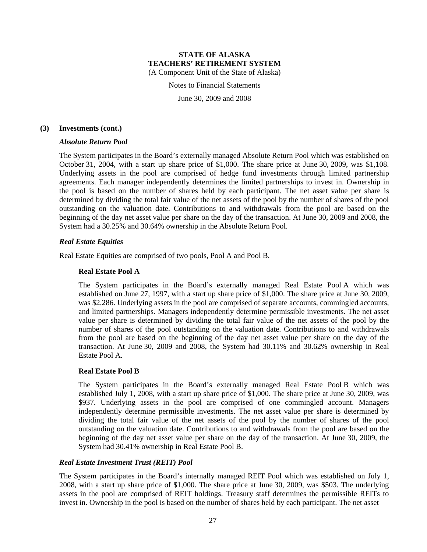Notes to Financial Statements

June 30, 2009 and 2008

#### **(3) Investments (cont.)**

#### *Absolute Return Pool*

The System participates in the Board's externally managed Absolute Return Pool which was established on October 31, 2004, with a start up share price of \$1,000. The share price at June 30, 2009, was \$1,108. Underlying assets in the pool are comprised of hedge fund investments through limited partnership agreements. Each manager independently determines the limited partnerships to invest in. Ownership in the pool is based on the number of shares held by each participant. The net asset value per share is determined by dividing the total fair value of the net assets of the pool by the number of shares of the pool outstanding on the valuation date. Contributions to and withdrawals from the pool are based on the beginning of the day net asset value per share on the day of the transaction. At June 30, 2009 and 2008, the System had a 30.25% and 30.64% ownership in the Absolute Return Pool.

#### *Real Estate Equities*

Real Estate Equities are comprised of two pools, Pool A and Pool B.

#### **Real Estate Pool A**

The System participates in the Board's externally managed Real Estate Pool A which was established on June 27, 1997, with a start up share price of \$1,000. The share price at June 30, 2009, was \$2,286. Underlying assets in the pool are comprised of separate accounts, commingled accounts, and limited partnerships. Managers independently determine permissible investments. The net asset value per share is determined by dividing the total fair value of the net assets of the pool by the number of shares of the pool outstanding on the valuation date. Contributions to and withdrawals from the pool are based on the beginning of the day net asset value per share on the day of the transaction. At June 30, 2009 and 2008, the System had 30.11% and 30.62% ownership in Real Estate Pool A.

#### **Real Estate Pool B**

The System participates in the Board's externally managed Real Estate Pool B which was established July 1, 2008, with a start up share price of \$1,000. The share price at June 30, 2009, was \$937. Underlying assets in the pool are comprised of one commingled account. Managers independently determine permissible investments. The net asset value per share is determined by dividing the total fair value of the net assets of the pool by the number of shares of the pool outstanding on the valuation date. Contributions to and withdrawals from the pool are based on the beginning of the day net asset value per share on the day of the transaction. At June 30, 2009, the System had 30.41% ownership in Real Estate Pool B.

#### *Real Estate Investment Trust (REIT) Pool*

The System participates in the Board's internally managed REIT Pool which was established on July 1, 2008, with a start up share price of \$1,000. The share price at June 30, 2009, was \$503. The underlying assets in the pool are comprised of REIT holdings. Treasury staff determines the permissible REITs to invest in. Ownership in the pool is based on the number of shares held by each participant. The net asset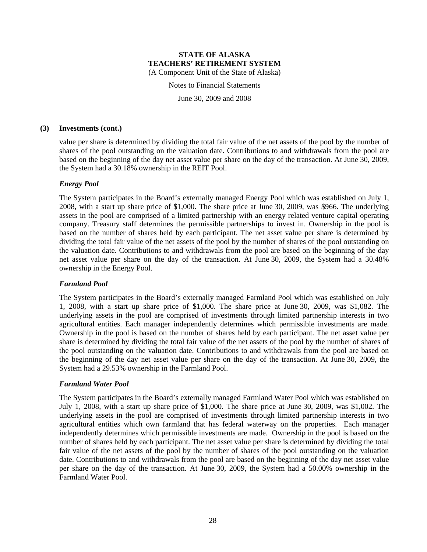Notes to Financial Statements

June 30, 2009 and 2008

#### **(3) Investments (cont.)**

value per share is determined by dividing the total fair value of the net assets of the pool by the number of shares of the pool outstanding on the valuation date. Contributions to and withdrawals from the pool are based on the beginning of the day net asset value per share on the day of the transaction. At June 30, 2009, the System had a 30.18% ownership in the REIT Pool.

#### *Energy Pool*

The System participates in the Board's externally managed Energy Pool which was established on July 1, 2008, with a start up share price of \$1,000. The share price at June 30, 2009, was \$966. The underlying assets in the pool are comprised of a limited partnership with an energy related venture capital operating company. Treasury staff determines the permissible partnerships to invest in. Ownership in the pool is based on the number of shares held by each participant. The net asset value per share is determined by dividing the total fair value of the net assets of the pool by the number of shares of the pool outstanding on the valuation date. Contributions to and withdrawals from the pool are based on the beginning of the day net asset value per share on the day of the transaction. At June 30, 2009, the System had a 30.48% ownership in the Energy Pool.

### *Farmland Pool*

The System participates in the Board's externally managed Farmland Pool which was established on July 1, 2008, with a start up share price of \$1,000. The share price at June 30, 2009, was \$1,082. The underlying assets in the pool are comprised of investments through limited partnership interests in two agricultural entities. Each manager independently determines which permissible investments are made. Ownership in the pool is based on the number of shares held by each participant. The net asset value per share is determined by dividing the total fair value of the net assets of the pool by the number of shares of the pool outstanding on the valuation date. Contributions to and withdrawals from the pool are based on the beginning of the day net asset value per share on the day of the transaction. At June 30, 2009, the System had a 29.53% ownership in the Farmland Pool.

#### *Farmland Water Pool*

The System participates in the Board's externally managed Farmland Water Pool which was established on July 1, 2008, with a start up share price of \$1,000. The share price at June 30, 2009, was \$1,002. The underlying assets in the pool are comprised of investments through limited partnership interests in two agricultural entities which own farmland that has federal waterway on the properties. Each manager independently determines which permissible investments are made. Ownership in the pool is based on the number of shares held by each participant. The net asset value per share is determined by dividing the total fair value of the net assets of the pool by the number of shares of the pool outstanding on the valuation date. Contributions to and withdrawals from the pool are based on the beginning of the day net asset value per share on the day of the transaction. At June 30, 2009, the System had a 50.00% ownership in the Farmland Water Pool.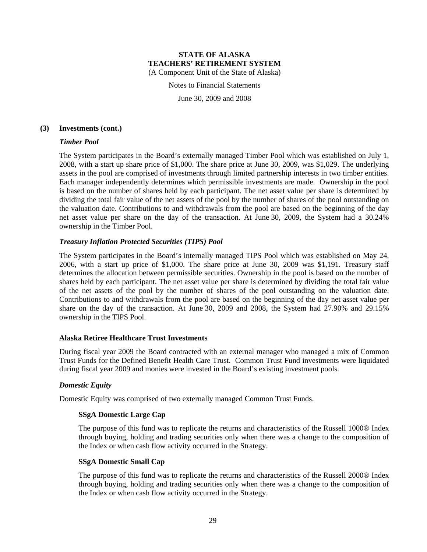Notes to Financial Statements

June 30, 2009 and 2008

#### **(3) Investments (cont.)**

#### *Timber Pool*

The System participates in the Board's externally managed Timber Pool which was established on July 1, 2008, with a start up share price of \$1,000. The share price at June 30, 2009, was \$1,029. The underlying assets in the pool are comprised of investments through limited partnership interests in two timber entities. Each manager independently determines which permissible investments are made. Ownership in the pool is based on the number of shares held by each participant. The net asset value per share is determined by dividing the total fair value of the net assets of the pool by the number of shares of the pool outstanding on the valuation date. Contributions to and withdrawals from the pool are based on the beginning of the day net asset value per share on the day of the transaction. At June 30, 2009, the System had a 30.24% ownership in the Timber Pool.

#### *Treasury Inflation Protected Securities (TIPS) Pool*

The System participates in the Board's internally managed TIPS Pool which was established on May 24, 2006, with a start up price of \$1,000. The share price at June 30, 2009 was \$1,191. Treasury staff determines the allocation between permissible securities. Ownership in the pool is based on the number of shares held by each participant. The net asset value per share is determined by dividing the total fair value of the net assets of the pool by the number of shares of the pool outstanding on the valuation date. Contributions to and withdrawals from the pool are based on the beginning of the day net asset value per share on the day of the transaction. At June 30, 2009 and 2008, the System had 27.90% and 29.15% ownership in the TIPS Pool.

#### **Alaska Retiree Healthcare Trust Investments**

During fiscal year 2009 the Board contracted with an external manager who managed a mix of Common Trust Funds for the Defined Benefit Health Care Trust. Common Trust Fund investments were liquidated during fiscal year 2009 and monies were invested in the Board's existing investment pools.

#### *Domestic Equity*

Domestic Equity was comprised of two externally managed Common Trust Funds.

#### **SSgA Domestic Large Cap**

The purpose of this fund was to replicate the returns and characteristics of the Russell 1000® Index through buying, holding and trading securities only when there was a change to the composition of the Index or when cash flow activity occurred in the Strategy.

#### **SSgA Domestic Small Cap**

The purpose of this fund was to replicate the returns and characteristics of the Russell 2000® Index through buying, holding and trading securities only when there was a change to the composition of the Index or when cash flow activity occurred in the Strategy.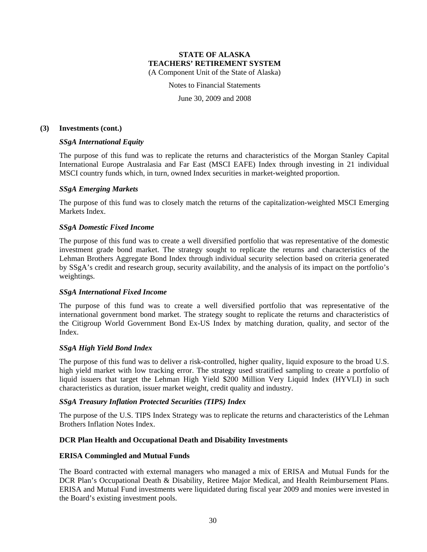Notes to Financial Statements

June 30, 2009 and 2008

#### **(3) Investments (cont.)**

#### *SSgA International Equity*

The purpose of this fund was to replicate the returns and characteristics of the Morgan Stanley Capital International Europe Australasia and Far East (MSCI EAFE) Index through investing in 21 individual MSCI country funds which, in turn, owned Index securities in market-weighted proportion.

#### *SSgA Emerging Markets*

The purpose of this fund was to closely match the returns of the capitalization-weighted MSCI Emerging Markets Index.

#### *SSgA Domestic Fixed Income*

The purpose of this fund was to create a well diversified portfolio that was representative of the domestic investment grade bond market. The strategy sought to replicate the returns and characteristics of the Lehman Brothers Aggregate Bond Index through individual security selection based on criteria generated by SSgA's credit and research group, security availability, and the analysis of its impact on the portfolio's weightings.

#### *SSgA International Fixed Income*

The purpose of this fund was to create a well diversified portfolio that was representative of the international government bond market. The strategy sought to replicate the returns and characteristics of the Citigroup World Government Bond Ex-US Index by matching duration, quality, and sector of the Index.

#### *SSgA High Yield Bond Index*

The purpose of this fund was to deliver a risk-controlled, higher quality, liquid exposure to the broad U.S. high yield market with low tracking error. The strategy used stratified sampling to create a portfolio of liquid issuers that target the Lehman High Yield \$200 Million Very Liquid Index (HYVLI) in such characteristics as duration, issuer market weight, credit quality and industry.

#### *SSgA Treasury Inflation Protected Securities (TIPS) Index*

The purpose of the U.S. TIPS Index Strategy was to replicate the returns and characteristics of the Lehman Brothers Inflation Notes Index.

#### **DCR Plan Health and Occupational Death and Disability Investments**

#### **ERISA Commingled and Mutual Funds**

The Board contracted with external managers who managed a mix of ERISA and Mutual Funds for the DCR Plan's Occupational Death & Disability, Retiree Major Medical, and Health Reimbursement Plans. ERISA and Mutual Fund investments were liquidated during fiscal year 2009 and monies were invested in the Board's existing investment pools.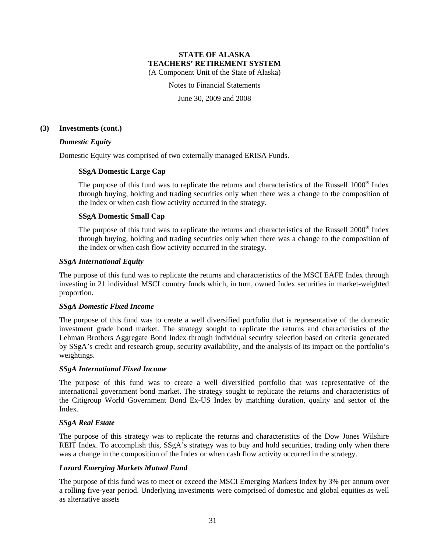Notes to Financial Statements

June 30, 2009 and 2008

#### **(3) Investments (cont.)**

#### *Domestic Equity*

Domestic Equity was comprised of two externally managed ERISA Funds.

#### **SSgA Domestic Large Cap**

The purpose of this fund was to replicate the returns and characteristics of the Russell 1000® Index through buying, holding and trading securities only when there was a change to the composition of the Index or when cash flow activity occurred in the strategy.

### **SSgA Domestic Small Cap**

The purpose of this fund was to replicate the returns and characteristics of the Russell 2000<sup>®</sup> Index through buying, holding and trading securities only when there was a change to the composition of the Index or when cash flow activity occurred in the strategy.

#### *SSgA International Equity*

The purpose of this fund was to replicate the returns and characteristics of the MSCI EAFE Index through investing in 21 individual MSCI country funds which, in turn, owned Index securities in market-weighted proportion.

#### *SSgA Domestic Fixed Income*

The purpose of this fund was to create a well diversified portfolio that is representative of the domestic investment grade bond market. The strategy sought to replicate the returns and characteristics of the Lehman Brothers Aggregate Bond Index through individual security selection based on criteria generated by SSgA's credit and research group, security availability, and the analysis of its impact on the portfolio's weightings.

#### *SSgA International Fixed Income*

The purpose of this fund was to create a well diversified portfolio that was representative of the international government bond market. The strategy sought to replicate the returns and characteristics of the Citigroup World Government Bond Ex-US Index by matching duration, quality and sector of the Index.

#### *SSgA Real Estate*

The purpose of this strategy was to replicate the returns and characteristics of the Dow Jones Wilshire REIT Index. To accomplish this, SSgA's strategy was to buy and hold securities, trading only when there was a change in the composition of the Index or when cash flow activity occurred in the strategy.

### *Lazard Emerging Markets Mutual Fund*

The purpose of this fund was to meet or exceed the MSCI Emerging Markets Index by 3% per annum over a rolling five-year period. Underlying investments were comprised of domestic and global equities as well as alternative assets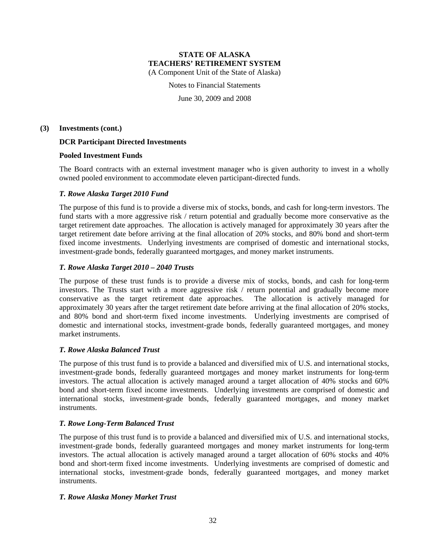Notes to Financial Statements

June 30, 2009 and 2008

#### **(3) Investments (cont.)**

#### **DCR Participant Directed Investments**

#### **Pooled Investment Funds**

The Board contracts with an external investment manager who is given authority to invest in a wholly owned pooled environment to accommodate eleven participant-directed funds.

#### *T. Rowe Alaska Target 2010 Fund*

The purpose of this fund is to provide a diverse mix of stocks, bonds, and cash for long-term investors. The fund starts with a more aggressive risk / return potential and gradually become more conservative as the target retirement date approaches. The allocation is actively managed for approximately 30 years after the target retirement date before arriving at the final allocation of 20% stocks, and 80% bond and short-term fixed income investments. Underlying investments are comprised of domestic and international stocks, investment-grade bonds, federally guaranteed mortgages, and money market instruments.

#### *T. Rowe Alaska Target 2010 – 2040 Trusts*

The purpose of these trust funds is to provide a diverse mix of stocks, bonds, and cash for long-term investors. The Trusts start with a more aggressive risk / return potential and gradually become more conservative as the target retirement date approaches. The allocation is actively managed for approximately 30 years after the target retirement date before arriving at the final allocation of 20% stocks, and 80% bond and short-term fixed income investments. Underlying investments are comprised of domestic and international stocks, investment-grade bonds, federally guaranteed mortgages, and money market instruments.

#### *T. Rowe Alaska Balanced Trust*

The purpose of this trust fund is to provide a balanced and diversified mix of U.S. and international stocks, investment-grade bonds, federally guaranteed mortgages and money market instruments for long-term investors. The actual allocation is actively managed around a target allocation of 40% stocks and 60% bond and short-term fixed income investments. Underlying investments are comprised of domestic and international stocks, investment-grade bonds, federally guaranteed mortgages, and money market instruments.

### *T. Rowe Long-Term Balanced Trust*

The purpose of this trust fund is to provide a balanced and diversified mix of U.S. and international stocks, investment-grade bonds, federally guaranteed mortgages and money market instruments for long-term investors. The actual allocation is actively managed around a target allocation of 60% stocks and 40% bond and short-term fixed income investments. Underlying investments are comprised of domestic and international stocks, investment-grade bonds, federally guaranteed mortgages, and money market instruments.

### *T. Rowe Alaska Money Market Trust*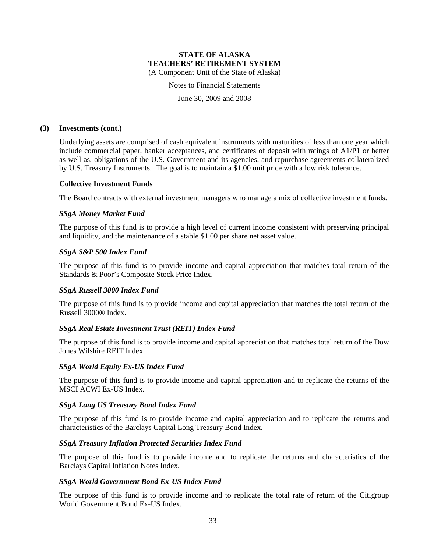Notes to Financial Statements

June 30, 2009 and 2008

#### **(3) Investments (cont.)**

Underlying assets are comprised of cash equivalent instruments with maturities of less than one year which include commercial paper, banker acceptances, and certificates of deposit with ratings of A1/P1 or better as well as, obligations of the U.S. Government and its agencies, and repurchase agreements collateralized by U.S. Treasury Instruments. The goal is to maintain a \$1.00 unit price with a low risk tolerance.

#### **Collective Investment Funds**

The Board contracts with external investment managers who manage a mix of collective investment funds.

#### *SSgA Money Market Fund*

The purpose of this fund is to provide a high level of current income consistent with preserving principal and liquidity, and the maintenance of a stable \$1.00 per share net asset value.

#### *SSgA S&P 500 Index Fund*

The purpose of this fund is to provide income and capital appreciation that matches total return of the Standards & Poor's Composite Stock Price Index.

#### *SSgA Russell 3000 Index Fund*

The purpose of this fund is to provide income and capital appreciation that matches the total return of the Russell 3000® Index.

### *SSgA Real Estate Investment Trust (REIT) Index Fund*

The purpose of this fund is to provide income and capital appreciation that matches total return of the Dow Jones Wilshire REIT Index.

#### *SSgA World Equity Ex-US Index Fund*

The purpose of this fund is to provide income and capital appreciation and to replicate the returns of the MSCI ACWI Ex-US Index.

#### *SSgA Long US Treasury Bond Index Fund*

The purpose of this fund is to provide income and capital appreciation and to replicate the returns and characteristics of the Barclays Capital Long Treasury Bond Index.

#### *SSgA Treasury Inflation Protected Securities Index Fund*

The purpose of this fund is to provide income and to replicate the returns and characteristics of the Barclays Capital Inflation Notes Index.

#### *SSgA World Government Bond Ex-US Index Fund*

The purpose of this fund is to provide income and to replicate the total rate of return of the Citigroup World Government Bond Ex-US Index.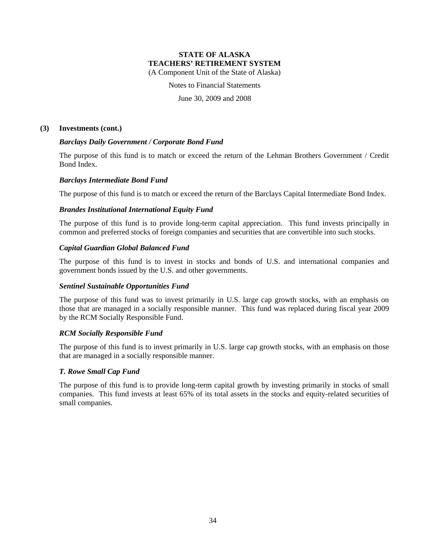Notes to Financial Statements

June 30, 2009 and 2008

#### **(3) Investments (cont.)**

#### *Barclays Daily Government / Corporate Bond Fund*

The purpose of this fund is to match or exceed the return of the Lehman Brothers Government / Credit Bond Index.

#### *Barclays Intermediate Bond Fund*

The purpose of this fund is to match or exceed the return of the Barclays Capital Intermediate Bond Index.

#### *Brandes Institutional International Equity Fund*

The purpose of this fund is to provide long-term capital appreciation. This fund invests principally in common and preferred stocks of foreign companies and securities that are convertible into such stocks.

#### *Capital Guardian Global Balanced Fund*

The purpose of this fund is to invest in stocks and bonds of U.S. and international companies and government bonds issued by the U.S. and other governments.

### *Sentinel Sustainable Opportunities Fund*

The purpose of this fund was to invest primarily in U.S. large cap growth stocks, with an emphasis on those that are managed in a socially responsible manner. This fund was replaced during fiscal year 2009 by the RCM Socially Responsible Fund.

#### *RCM Socially Responsible Fund*

The purpose of this fund is to invest primarily in U.S. large cap growth stocks, with an emphasis on those that are managed in a socially responsible manner.

#### *T. Rowe Small Cap Fund*

The purpose of this fund is to provide long-term capital growth by investing primarily in stocks of small companies. This fund invests at least 65% of its total assets in the stocks and equity-related securities of small companies.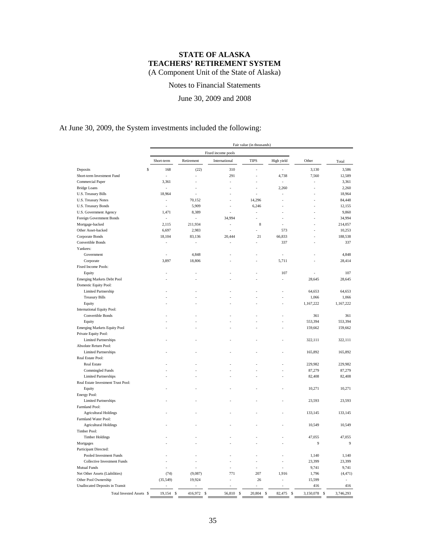Notes to Financial Statements

June 30, 2009 and 2008

At June 30, 2009, the System investments included the following:

|                                               |              |                          |                    | Fair value (in thousands) |                |                 |           |
|-----------------------------------------------|--------------|--------------------------|--------------------|---------------------------|----------------|-----------------|-----------|
|                                               |              |                          | Fixed income pools |                           |                |                 |           |
|                                               | Short-term   | Retirement               | International      | <b>TIPS</b>               | High yield     | Other           | Total     |
| \$<br>Deposits                                | 168          | (22)                     | 310                |                           |                | 3,130           | 3,586     |
| Short-term Investment Fund                    |              |                          | 291                |                           | 4,738          | 7,560           | 12,589    |
| Commercial Paper                              | 3,361        |                          |                    |                           | L.             |                 | 3,361     |
| <b>Bridge Loans</b>                           |              |                          |                    |                           | 2,260          |                 | 2,260     |
| U.S. Treasury Bills                           | 18,964       |                          |                    |                           |                |                 | 18,964    |
| U.S. Treasury Notes                           | ÷            | 70,152                   |                    | 14,296                    |                |                 | 84,448    |
|                                               | J.           | 5,909                    | L.                 | 6,246                     |                |                 | 12,155    |
| U.S. Treasury Bonds<br>U.S. Government Agency | 1,471        | 8,389                    |                    |                           |                |                 | 9,860     |
| Foreign Government Bonds                      |              |                          | 34,994             |                           |                |                 | 34,994    |
|                                               |              |                          |                    |                           |                |                 |           |
| Mortgage-backed                               | 2,115        | 211,934                  |                    | 8                         |                |                 | 214,057   |
| Other Asset-backed                            | 6,697        | 2,983                    |                    |                           | 573            |                 | 10,253    |
| Corporate Bonds                               | 18,104       | 83,136                   | 20,444             | 21                        | 66,833         |                 | 188,538   |
| Convertible Bonds                             |              |                          |                    |                           | 337            |                 | 337       |
| Yankees:                                      |              |                          |                    |                           |                |                 |           |
| Government                                    |              | 4,848                    |                    |                           |                |                 | 4,848     |
| Corporate                                     | 3,897        | 18,806                   |                    |                           | 5,711          |                 | 28,414    |
| Fixed Income Pools:                           |              |                          |                    |                           |                |                 |           |
| Equity                                        |              |                          |                    |                           | 107            |                 | 107       |
| Emerging Markets Debt Pool                    |              |                          |                    |                           |                | 28,645          | 28,645    |
| Domestic Equity Pool:                         |              |                          |                    |                           |                |                 |           |
| Limited Partnership                           |              |                          |                    |                           |                | 64,653          | 64,653    |
| <b>Treasury Bills</b>                         |              |                          |                    |                           |                | 1,066           | 1,066     |
| Equity                                        |              |                          |                    |                           |                | 1,167,222       | 1,167,222 |
| International Equity Pool:                    |              |                          |                    |                           |                |                 |           |
| Convertible Bonds                             |              |                          |                    |                           |                | 361             | 361       |
| Equity                                        |              |                          |                    |                           |                | 553,394         | 553,394   |
| Emerging Markets Equity Pool                  |              |                          |                    |                           |                | 159,662         | 159,662   |
| Private Equity Pool:                          |              |                          |                    |                           |                |                 |           |
| <b>Limited Partnerships</b>                   |              |                          |                    |                           |                | 322,111         | 322,111   |
| Absolute Return Pool:                         |              |                          |                    |                           |                |                 |           |
| <b>Limited Partnerships</b>                   |              |                          |                    |                           |                | 165,892         | 165,892   |
| Real Estate Pool:                             |              |                          |                    |                           |                |                 |           |
| Real Estate                                   |              |                          |                    |                           |                | 229,982         | 229,982   |
| Commingled Funds                              |              |                          |                    |                           |                | 87,279          | 87,279    |
| <b>Limited Partnerships</b>                   |              |                          |                    |                           |                | 82,408          | 82,408    |
| Real Estate Investment Trust Pool:            |              |                          |                    |                           |                |                 |           |
| Equity                                        |              |                          |                    |                           |                | 10,271          | 10,271    |
| Energy Pool:                                  |              |                          |                    |                           |                |                 |           |
| <b>Limited Partnerships</b>                   |              |                          |                    |                           |                | 23,593          | 23,593    |
| Farmland Pool:                                |              |                          |                    |                           |                |                 |           |
| <b>Agricultural Holdings</b>                  |              |                          |                    |                           |                | 133,145         | 133,145   |
| Farmland Water Pool:                          |              |                          |                    |                           |                |                 |           |
|                                               |              |                          |                    |                           |                | 10,549          | 10,549    |
| <b>Agricultural Holdings</b>                  |              |                          |                    |                           |                |                 |           |
| Timber Pool:                                  |              |                          |                    |                           |                |                 |           |
| <b>Timber Holdings</b>                        |              |                          |                    |                           |                | 47,055          | 47,055    |
| Mortgages                                     |              |                          |                    |                           |                | 9               | 9         |
| Participant Directed:                         |              |                          |                    |                           |                |                 |           |
| Pooled Investment Funds                       |              |                          |                    |                           |                | 1,140           | 1,140     |
| <b>Collective Investment Funds</b>            |              |                          |                    |                           |                | 23,399          | 23,399    |
| <b>Mutual Funds</b>                           |              |                          |                    |                           |                | 9,741           | 9,741     |
| Net Other Assets (Liabilities)                | (74)         | (9,087)                  | 771                | 207                       | 1,916          | 1,796           | (4, 471)  |
| Other Pool Ownership                          | (35, 549)    | 19,924                   |                    | 26                        |                | 15,599          |           |
| Unallocated Deposits in Transit               |              |                          |                    |                           |                | 416             | 416       |
| Total Invested Assets \$                      | 19,154<br>\$ | 416,972<br>$\mathcal{S}$ | 56,810 \$          | 20,804<br>$\mathbb{S}$    | 82,475<br>- \$ | 3,150,078<br>\$ | 3,746,293 |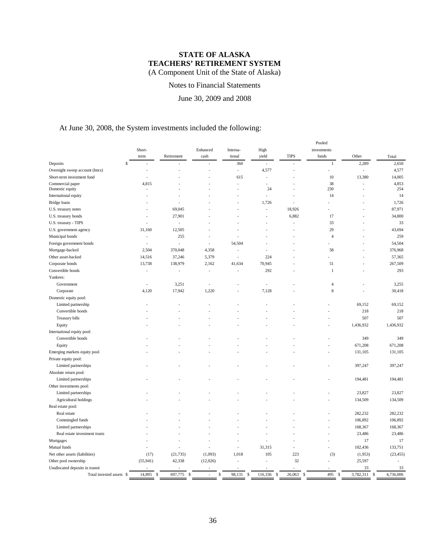## Notes to Financial Statements

June 30, 2009 and 2008

# At June 30, 2008, the System investments included the following:

| Enhanced<br>Interna-<br>High<br>yield<br><b>TIPS</b><br>funds<br>Other<br>Retirement<br>cash<br>tional<br>term<br>Total<br>$\mathbb S$<br>2,289<br>2,650<br>Deposits<br>360<br>$\mathbf{1}$<br>L,<br>4,577<br>Overnight sweep account (lmcs)<br>4,577<br>L,<br>L,<br>10<br>13,380<br>14,005<br>Short-term investment fund<br>615<br>Ĭ.<br>L,<br>4,853<br>4,815<br>38<br>Commercial paper<br>J.<br>÷.<br>Domestic equity<br>24<br>230<br>254<br>Ĭ.<br>14<br>14<br>International equity<br>1,726<br>Bridge loans<br>1,726<br>69,045<br>18,926<br>87,971<br>U.S. treasury notes<br>27,901<br>6,882<br>34,800<br>U.S. treasury bonds<br>17<br>33<br>U.S. treasury - TIPS<br>33<br>$\overline{a}$<br>29<br>43,694<br>31,160<br>12,505<br>U.S. government agency<br>259<br>Municipal bonds<br>255<br>$\overline{4}$<br>54,504<br>Foreign government bonds<br>54,504<br>L,<br>J.<br>J.<br>370,048<br>2,504<br>376,968<br>Mortgage-backed<br>4,358<br>58<br>Ĭ.<br>Other asset-backed<br>37,246<br>5,379<br>224<br>57,365<br>14,516<br>J.<br>267,509<br>Corporate bonds<br>13,738<br>138,979<br>2,162<br>41,634<br>70,945<br>51<br>292<br>293<br>Convertible bonds<br>$\mathbf{1}$<br>$\overline{a}$<br>Ĭ.<br>$\overline{a}$<br>Yankees:<br>Government<br>3,251<br>3,255<br>4<br>Ĭ.<br>8<br>1,220<br>30,418<br>Corporate<br>4,120<br>17,942<br>7,128<br>Domestic equity pool:<br>69,152<br>69,152<br>Limited partnership<br>218<br>Convertible bonds<br>218<br>507<br>507<br>Treasury bills<br>1,436,932<br>1,436,932<br>Equity<br>International equity pool:<br>Convertible bonds<br>349<br>349<br>671,208<br>671,208<br>Equity<br>Emerging markets equity pool<br>131,105<br>131,105<br>Private equity pool:<br>Limited partnerships<br>397,247<br>397,247<br>Absolute return pool:<br>194,481<br>194,481<br>Limited partnerships<br>Other investments pool:<br>Limited partnerships<br>23,827<br>23,827<br>Agricultural holdings<br>134,509<br>134,509<br>Real estate pool:<br>282,232<br>Real estate<br>282,232<br>106,892<br>106,892<br>Commingled funds<br>168,367<br>168,367<br>Limited partnerships<br>23,486<br>23,486<br>Real estate investment trusts<br>17<br>Mortgages<br>17<br>Mutual funds<br>31,315<br>102,436<br>133,751<br>Ĭ.<br>Net other assets (liabilities)<br>(17)<br>(21, 735)<br>(1,093)<br>1,018<br>105<br>223<br>(3)<br>(1,953)<br>(23, 455)<br>32<br>25,597<br>Other pool ownership<br>(55, 941)<br>42,338<br>(12,026)<br>Unallocated deposits in transit<br>33<br>33<br>14,895<br>697,775<br>98,131<br>495<br>3,782,311<br>4,736,006<br>116,336<br>26,063<br>$\mathbb{S}$<br>Total invested assets \$<br>\$<br>\$<br>\$<br>\$<br>\$<br>\$<br>\$ |        |  |  | Pooled      |  |
|---------------------------------------------------------------------------------------------------------------------------------------------------------------------------------------------------------------------------------------------------------------------------------------------------------------------------------------------------------------------------------------------------------------------------------------------------------------------------------------------------------------------------------------------------------------------------------------------------------------------------------------------------------------------------------------------------------------------------------------------------------------------------------------------------------------------------------------------------------------------------------------------------------------------------------------------------------------------------------------------------------------------------------------------------------------------------------------------------------------------------------------------------------------------------------------------------------------------------------------------------------------------------------------------------------------------------------------------------------------------------------------------------------------------------------------------------------------------------------------------------------------------------------------------------------------------------------------------------------------------------------------------------------------------------------------------------------------------------------------------------------------------------------------------------------------------------------------------------------------------------------------------------------------------------------------------------------------------------------------------------------------------------------------------------------------------------------------------------------------------------------------------------------------------------------------------------------------------------------------------------------------------------------------------------------------------------------------------------------------------------------------------------------------------------------------------------------------------------------------------------------------------------------------------------------------------------------------------------------------------------------------------------------------------|--------|--|--|-------------|--|
|                                                                                                                                                                                                                                                                                                                                                                                                                                                                                                                                                                                                                                                                                                                                                                                                                                                                                                                                                                                                                                                                                                                                                                                                                                                                                                                                                                                                                                                                                                                                                                                                                                                                                                                                                                                                                                                                                                                                                                                                                                                                                                                                                                                                                                                                                                                                                                                                                                                                                                                                                                                                                                                                     | Short- |  |  | investments |  |
|                                                                                                                                                                                                                                                                                                                                                                                                                                                                                                                                                                                                                                                                                                                                                                                                                                                                                                                                                                                                                                                                                                                                                                                                                                                                                                                                                                                                                                                                                                                                                                                                                                                                                                                                                                                                                                                                                                                                                                                                                                                                                                                                                                                                                                                                                                                                                                                                                                                                                                                                                                                                                                                                     |        |  |  |             |  |
|                                                                                                                                                                                                                                                                                                                                                                                                                                                                                                                                                                                                                                                                                                                                                                                                                                                                                                                                                                                                                                                                                                                                                                                                                                                                                                                                                                                                                                                                                                                                                                                                                                                                                                                                                                                                                                                                                                                                                                                                                                                                                                                                                                                                                                                                                                                                                                                                                                                                                                                                                                                                                                                                     |        |  |  |             |  |
|                                                                                                                                                                                                                                                                                                                                                                                                                                                                                                                                                                                                                                                                                                                                                                                                                                                                                                                                                                                                                                                                                                                                                                                                                                                                                                                                                                                                                                                                                                                                                                                                                                                                                                                                                                                                                                                                                                                                                                                                                                                                                                                                                                                                                                                                                                                                                                                                                                                                                                                                                                                                                                                                     |        |  |  |             |  |
|                                                                                                                                                                                                                                                                                                                                                                                                                                                                                                                                                                                                                                                                                                                                                                                                                                                                                                                                                                                                                                                                                                                                                                                                                                                                                                                                                                                                                                                                                                                                                                                                                                                                                                                                                                                                                                                                                                                                                                                                                                                                                                                                                                                                                                                                                                                                                                                                                                                                                                                                                                                                                                                                     |        |  |  |             |  |
|                                                                                                                                                                                                                                                                                                                                                                                                                                                                                                                                                                                                                                                                                                                                                                                                                                                                                                                                                                                                                                                                                                                                                                                                                                                                                                                                                                                                                                                                                                                                                                                                                                                                                                                                                                                                                                                                                                                                                                                                                                                                                                                                                                                                                                                                                                                                                                                                                                                                                                                                                                                                                                                                     |        |  |  |             |  |
|                                                                                                                                                                                                                                                                                                                                                                                                                                                                                                                                                                                                                                                                                                                                                                                                                                                                                                                                                                                                                                                                                                                                                                                                                                                                                                                                                                                                                                                                                                                                                                                                                                                                                                                                                                                                                                                                                                                                                                                                                                                                                                                                                                                                                                                                                                                                                                                                                                                                                                                                                                                                                                                                     |        |  |  |             |  |
|                                                                                                                                                                                                                                                                                                                                                                                                                                                                                                                                                                                                                                                                                                                                                                                                                                                                                                                                                                                                                                                                                                                                                                                                                                                                                                                                                                                                                                                                                                                                                                                                                                                                                                                                                                                                                                                                                                                                                                                                                                                                                                                                                                                                                                                                                                                                                                                                                                                                                                                                                                                                                                                                     |        |  |  |             |  |
|                                                                                                                                                                                                                                                                                                                                                                                                                                                                                                                                                                                                                                                                                                                                                                                                                                                                                                                                                                                                                                                                                                                                                                                                                                                                                                                                                                                                                                                                                                                                                                                                                                                                                                                                                                                                                                                                                                                                                                                                                                                                                                                                                                                                                                                                                                                                                                                                                                                                                                                                                                                                                                                                     |        |  |  |             |  |
|                                                                                                                                                                                                                                                                                                                                                                                                                                                                                                                                                                                                                                                                                                                                                                                                                                                                                                                                                                                                                                                                                                                                                                                                                                                                                                                                                                                                                                                                                                                                                                                                                                                                                                                                                                                                                                                                                                                                                                                                                                                                                                                                                                                                                                                                                                                                                                                                                                                                                                                                                                                                                                                                     |        |  |  |             |  |
|                                                                                                                                                                                                                                                                                                                                                                                                                                                                                                                                                                                                                                                                                                                                                                                                                                                                                                                                                                                                                                                                                                                                                                                                                                                                                                                                                                                                                                                                                                                                                                                                                                                                                                                                                                                                                                                                                                                                                                                                                                                                                                                                                                                                                                                                                                                                                                                                                                                                                                                                                                                                                                                                     |        |  |  |             |  |
|                                                                                                                                                                                                                                                                                                                                                                                                                                                                                                                                                                                                                                                                                                                                                                                                                                                                                                                                                                                                                                                                                                                                                                                                                                                                                                                                                                                                                                                                                                                                                                                                                                                                                                                                                                                                                                                                                                                                                                                                                                                                                                                                                                                                                                                                                                                                                                                                                                                                                                                                                                                                                                                                     |        |  |  |             |  |
|                                                                                                                                                                                                                                                                                                                                                                                                                                                                                                                                                                                                                                                                                                                                                                                                                                                                                                                                                                                                                                                                                                                                                                                                                                                                                                                                                                                                                                                                                                                                                                                                                                                                                                                                                                                                                                                                                                                                                                                                                                                                                                                                                                                                                                                                                                                                                                                                                                                                                                                                                                                                                                                                     |        |  |  |             |  |
|                                                                                                                                                                                                                                                                                                                                                                                                                                                                                                                                                                                                                                                                                                                                                                                                                                                                                                                                                                                                                                                                                                                                                                                                                                                                                                                                                                                                                                                                                                                                                                                                                                                                                                                                                                                                                                                                                                                                                                                                                                                                                                                                                                                                                                                                                                                                                                                                                                                                                                                                                                                                                                                                     |        |  |  |             |  |
|                                                                                                                                                                                                                                                                                                                                                                                                                                                                                                                                                                                                                                                                                                                                                                                                                                                                                                                                                                                                                                                                                                                                                                                                                                                                                                                                                                                                                                                                                                                                                                                                                                                                                                                                                                                                                                                                                                                                                                                                                                                                                                                                                                                                                                                                                                                                                                                                                                                                                                                                                                                                                                                                     |        |  |  |             |  |
|                                                                                                                                                                                                                                                                                                                                                                                                                                                                                                                                                                                                                                                                                                                                                                                                                                                                                                                                                                                                                                                                                                                                                                                                                                                                                                                                                                                                                                                                                                                                                                                                                                                                                                                                                                                                                                                                                                                                                                                                                                                                                                                                                                                                                                                                                                                                                                                                                                                                                                                                                                                                                                                                     |        |  |  |             |  |
|                                                                                                                                                                                                                                                                                                                                                                                                                                                                                                                                                                                                                                                                                                                                                                                                                                                                                                                                                                                                                                                                                                                                                                                                                                                                                                                                                                                                                                                                                                                                                                                                                                                                                                                                                                                                                                                                                                                                                                                                                                                                                                                                                                                                                                                                                                                                                                                                                                                                                                                                                                                                                                                                     |        |  |  |             |  |
|                                                                                                                                                                                                                                                                                                                                                                                                                                                                                                                                                                                                                                                                                                                                                                                                                                                                                                                                                                                                                                                                                                                                                                                                                                                                                                                                                                                                                                                                                                                                                                                                                                                                                                                                                                                                                                                                                                                                                                                                                                                                                                                                                                                                                                                                                                                                                                                                                                                                                                                                                                                                                                                                     |        |  |  |             |  |
|                                                                                                                                                                                                                                                                                                                                                                                                                                                                                                                                                                                                                                                                                                                                                                                                                                                                                                                                                                                                                                                                                                                                                                                                                                                                                                                                                                                                                                                                                                                                                                                                                                                                                                                                                                                                                                                                                                                                                                                                                                                                                                                                                                                                                                                                                                                                                                                                                                                                                                                                                                                                                                                                     |        |  |  |             |  |
|                                                                                                                                                                                                                                                                                                                                                                                                                                                                                                                                                                                                                                                                                                                                                                                                                                                                                                                                                                                                                                                                                                                                                                                                                                                                                                                                                                                                                                                                                                                                                                                                                                                                                                                                                                                                                                                                                                                                                                                                                                                                                                                                                                                                                                                                                                                                                                                                                                                                                                                                                                                                                                                                     |        |  |  |             |  |
|                                                                                                                                                                                                                                                                                                                                                                                                                                                                                                                                                                                                                                                                                                                                                                                                                                                                                                                                                                                                                                                                                                                                                                                                                                                                                                                                                                                                                                                                                                                                                                                                                                                                                                                                                                                                                                                                                                                                                                                                                                                                                                                                                                                                                                                                                                                                                                                                                                                                                                                                                                                                                                                                     |        |  |  |             |  |
|                                                                                                                                                                                                                                                                                                                                                                                                                                                                                                                                                                                                                                                                                                                                                                                                                                                                                                                                                                                                                                                                                                                                                                                                                                                                                                                                                                                                                                                                                                                                                                                                                                                                                                                                                                                                                                                                                                                                                                                                                                                                                                                                                                                                                                                                                                                                                                                                                                                                                                                                                                                                                                                                     |        |  |  |             |  |
|                                                                                                                                                                                                                                                                                                                                                                                                                                                                                                                                                                                                                                                                                                                                                                                                                                                                                                                                                                                                                                                                                                                                                                                                                                                                                                                                                                                                                                                                                                                                                                                                                                                                                                                                                                                                                                                                                                                                                                                                                                                                                                                                                                                                                                                                                                                                                                                                                                                                                                                                                                                                                                                                     |        |  |  |             |  |
|                                                                                                                                                                                                                                                                                                                                                                                                                                                                                                                                                                                                                                                                                                                                                                                                                                                                                                                                                                                                                                                                                                                                                                                                                                                                                                                                                                                                                                                                                                                                                                                                                                                                                                                                                                                                                                                                                                                                                                                                                                                                                                                                                                                                                                                                                                                                                                                                                                                                                                                                                                                                                                                                     |        |  |  |             |  |
|                                                                                                                                                                                                                                                                                                                                                                                                                                                                                                                                                                                                                                                                                                                                                                                                                                                                                                                                                                                                                                                                                                                                                                                                                                                                                                                                                                                                                                                                                                                                                                                                                                                                                                                                                                                                                                                                                                                                                                                                                                                                                                                                                                                                                                                                                                                                                                                                                                                                                                                                                                                                                                                                     |        |  |  |             |  |
|                                                                                                                                                                                                                                                                                                                                                                                                                                                                                                                                                                                                                                                                                                                                                                                                                                                                                                                                                                                                                                                                                                                                                                                                                                                                                                                                                                                                                                                                                                                                                                                                                                                                                                                                                                                                                                                                                                                                                                                                                                                                                                                                                                                                                                                                                                                                                                                                                                                                                                                                                                                                                                                                     |        |  |  |             |  |
|                                                                                                                                                                                                                                                                                                                                                                                                                                                                                                                                                                                                                                                                                                                                                                                                                                                                                                                                                                                                                                                                                                                                                                                                                                                                                                                                                                                                                                                                                                                                                                                                                                                                                                                                                                                                                                                                                                                                                                                                                                                                                                                                                                                                                                                                                                                                                                                                                                                                                                                                                                                                                                                                     |        |  |  |             |  |
|                                                                                                                                                                                                                                                                                                                                                                                                                                                                                                                                                                                                                                                                                                                                                                                                                                                                                                                                                                                                                                                                                                                                                                                                                                                                                                                                                                                                                                                                                                                                                                                                                                                                                                                                                                                                                                                                                                                                                                                                                                                                                                                                                                                                                                                                                                                                                                                                                                                                                                                                                                                                                                                                     |        |  |  |             |  |
|                                                                                                                                                                                                                                                                                                                                                                                                                                                                                                                                                                                                                                                                                                                                                                                                                                                                                                                                                                                                                                                                                                                                                                                                                                                                                                                                                                                                                                                                                                                                                                                                                                                                                                                                                                                                                                                                                                                                                                                                                                                                                                                                                                                                                                                                                                                                                                                                                                                                                                                                                                                                                                                                     |        |  |  |             |  |
|                                                                                                                                                                                                                                                                                                                                                                                                                                                                                                                                                                                                                                                                                                                                                                                                                                                                                                                                                                                                                                                                                                                                                                                                                                                                                                                                                                                                                                                                                                                                                                                                                                                                                                                                                                                                                                                                                                                                                                                                                                                                                                                                                                                                                                                                                                                                                                                                                                                                                                                                                                                                                                                                     |        |  |  |             |  |
|                                                                                                                                                                                                                                                                                                                                                                                                                                                                                                                                                                                                                                                                                                                                                                                                                                                                                                                                                                                                                                                                                                                                                                                                                                                                                                                                                                                                                                                                                                                                                                                                                                                                                                                                                                                                                                                                                                                                                                                                                                                                                                                                                                                                                                                                                                                                                                                                                                                                                                                                                                                                                                                                     |        |  |  |             |  |
|                                                                                                                                                                                                                                                                                                                                                                                                                                                                                                                                                                                                                                                                                                                                                                                                                                                                                                                                                                                                                                                                                                                                                                                                                                                                                                                                                                                                                                                                                                                                                                                                                                                                                                                                                                                                                                                                                                                                                                                                                                                                                                                                                                                                                                                                                                                                                                                                                                                                                                                                                                                                                                                                     |        |  |  |             |  |
|                                                                                                                                                                                                                                                                                                                                                                                                                                                                                                                                                                                                                                                                                                                                                                                                                                                                                                                                                                                                                                                                                                                                                                                                                                                                                                                                                                                                                                                                                                                                                                                                                                                                                                                                                                                                                                                                                                                                                                                                                                                                                                                                                                                                                                                                                                                                                                                                                                                                                                                                                                                                                                                                     |        |  |  |             |  |
|                                                                                                                                                                                                                                                                                                                                                                                                                                                                                                                                                                                                                                                                                                                                                                                                                                                                                                                                                                                                                                                                                                                                                                                                                                                                                                                                                                                                                                                                                                                                                                                                                                                                                                                                                                                                                                                                                                                                                                                                                                                                                                                                                                                                                                                                                                                                                                                                                                                                                                                                                                                                                                                                     |        |  |  |             |  |
|                                                                                                                                                                                                                                                                                                                                                                                                                                                                                                                                                                                                                                                                                                                                                                                                                                                                                                                                                                                                                                                                                                                                                                                                                                                                                                                                                                                                                                                                                                                                                                                                                                                                                                                                                                                                                                                                                                                                                                                                                                                                                                                                                                                                                                                                                                                                                                                                                                                                                                                                                                                                                                                                     |        |  |  |             |  |
|                                                                                                                                                                                                                                                                                                                                                                                                                                                                                                                                                                                                                                                                                                                                                                                                                                                                                                                                                                                                                                                                                                                                                                                                                                                                                                                                                                                                                                                                                                                                                                                                                                                                                                                                                                                                                                                                                                                                                                                                                                                                                                                                                                                                                                                                                                                                                                                                                                                                                                                                                                                                                                                                     |        |  |  |             |  |
|                                                                                                                                                                                                                                                                                                                                                                                                                                                                                                                                                                                                                                                                                                                                                                                                                                                                                                                                                                                                                                                                                                                                                                                                                                                                                                                                                                                                                                                                                                                                                                                                                                                                                                                                                                                                                                                                                                                                                                                                                                                                                                                                                                                                                                                                                                                                                                                                                                                                                                                                                                                                                                                                     |        |  |  |             |  |
|                                                                                                                                                                                                                                                                                                                                                                                                                                                                                                                                                                                                                                                                                                                                                                                                                                                                                                                                                                                                                                                                                                                                                                                                                                                                                                                                                                                                                                                                                                                                                                                                                                                                                                                                                                                                                                                                                                                                                                                                                                                                                                                                                                                                                                                                                                                                                                                                                                                                                                                                                                                                                                                                     |        |  |  |             |  |
|                                                                                                                                                                                                                                                                                                                                                                                                                                                                                                                                                                                                                                                                                                                                                                                                                                                                                                                                                                                                                                                                                                                                                                                                                                                                                                                                                                                                                                                                                                                                                                                                                                                                                                                                                                                                                                                                                                                                                                                                                                                                                                                                                                                                                                                                                                                                                                                                                                                                                                                                                                                                                                                                     |        |  |  |             |  |
|                                                                                                                                                                                                                                                                                                                                                                                                                                                                                                                                                                                                                                                                                                                                                                                                                                                                                                                                                                                                                                                                                                                                                                                                                                                                                                                                                                                                                                                                                                                                                                                                                                                                                                                                                                                                                                                                                                                                                                                                                                                                                                                                                                                                                                                                                                                                                                                                                                                                                                                                                                                                                                                                     |        |  |  |             |  |
|                                                                                                                                                                                                                                                                                                                                                                                                                                                                                                                                                                                                                                                                                                                                                                                                                                                                                                                                                                                                                                                                                                                                                                                                                                                                                                                                                                                                                                                                                                                                                                                                                                                                                                                                                                                                                                                                                                                                                                                                                                                                                                                                                                                                                                                                                                                                                                                                                                                                                                                                                                                                                                                                     |        |  |  |             |  |
|                                                                                                                                                                                                                                                                                                                                                                                                                                                                                                                                                                                                                                                                                                                                                                                                                                                                                                                                                                                                                                                                                                                                                                                                                                                                                                                                                                                                                                                                                                                                                                                                                                                                                                                                                                                                                                                                                                                                                                                                                                                                                                                                                                                                                                                                                                                                                                                                                                                                                                                                                                                                                                                                     |        |  |  |             |  |
|                                                                                                                                                                                                                                                                                                                                                                                                                                                                                                                                                                                                                                                                                                                                                                                                                                                                                                                                                                                                                                                                                                                                                                                                                                                                                                                                                                                                                                                                                                                                                                                                                                                                                                                                                                                                                                                                                                                                                                                                                                                                                                                                                                                                                                                                                                                                                                                                                                                                                                                                                                                                                                                                     |        |  |  |             |  |
|                                                                                                                                                                                                                                                                                                                                                                                                                                                                                                                                                                                                                                                                                                                                                                                                                                                                                                                                                                                                                                                                                                                                                                                                                                                                                                                                                                                                                                                                                                                                                                                                                                                                                                                                                                                                                                                                                                                                                                                                                                                                                                                                                                                                                                                                                                                                                                                                                                                                                                                                                                                                                                                                     |        |  |  |             |  |
|                                                                                                                                                                                                                                                                                                                                                                                                                                                                                                                                                                                                                                                                                                                                                                                                                                                                                                                                                                                                                                                                                                                                                                                                                                                                                                                                                                                                                                                                                                                                                                                                                                                                                                                                                                                                                                                                                                                                                                                                                                                                                                                                                                                                                                                                                                                                                                                                                                                                                                                                                                                                                                                                     |        |  |  |             |  |
|                                                                                                                                                                                                                                                                                                                                                                                                                                                                                                                                                                                                                                                                                                                                                                                                                                                                                                                                                                                                                                                                                                                                                                                                                                                                                                                                                                                                                                                                                                                                                                                                                                                                                                                                                                                                                                                                                                                                                                                                                                                                                                                                                                                                                                                                                                                                                                                                                                                                                                                                                                                                                                                                     |        |  |  |             |  |
|                                                                                                                                                                                                                                                                                                                                                                                                                                                                                                                                                                                                                                                                                                                                                                                                                                                                                                                                                                                                                                                                                                                                                                                                                                                                                                                                                                                                                                                                                                                                                                                                                                                                                                                                                                                                                                                                                                                                                                                                                                                                                                                                                                                                                                                                                                                                                                                                                                                                                                                                                                                                                                                                     |        |  |  |             |  |
|                                                                                                                                                                                                                                                                                                                                                                                                                                                                                                                                                                                                                                                                                                                                                                                                                                                                                                                                                                                                                                                                                                                                                                                                                                                                                                                                                                                                                                                                                                                                                                                                                                                                                                                                                                                                                                                                                                                                                                                                                                                                                                                                                                                                                                                                                                                                                                                                                                                                                                                                                                                                                                                                     |        |  |  |             |  |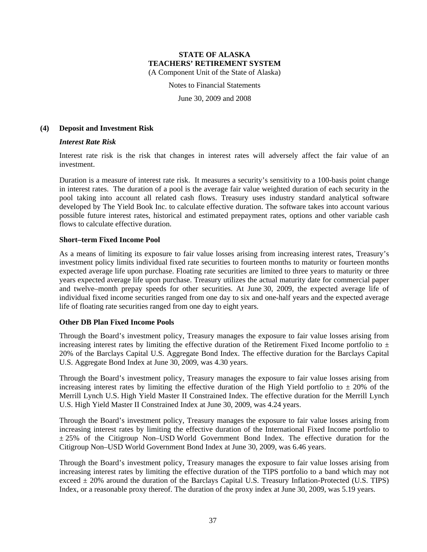Notes to Financial Statements

June 30, 2009 and 2008

#### **(4) Deposit and Investment Risk**

#### *Interest Rate Risk*

Interest rate risk is the risk that changes in interest rates will adversely affect the fair value of an investment.

Duration is a measure of interest rate risk. It measures a security's sensitivity to a 100-basis point change in interest rates. The duration of a pool is the average fair value weighted duration of each security in the pool taking into account all related cash flows. Treasury uses industry standard analytical software developed by The Yield Book Inc. to calculate effective duration. The software takes into account various possible future interest rates, historical and estimated prepayment rates, options and other variable cash flows to calculate effective duration.

#### **Short–term Fixed Income Pool**

As a means of limiting its exposure to fair value losses arising from increasing interest rates, Treasury's investment policy limits individual fixed rate securities to fourteen months to maturity or fourteen months expected average life upon purchase. Floating rate securities are limited to three years to maturity or three years expected average life upon purchase. Treasury utilizes the actual maturity date for commercial paper and twelve–month prepay speeds for other securities. At June 30, 2009, the expected average life of individual fixed income securities ranged from one day to six and one-half years and the expected average life of floating rate securities ranged from one day to eight years.

### **Other DB Plan Fixed Income Pools**

Through the Board's investment policy, Treasury manages the exposure to fair value losses arising from increasing interest rates by limiting the effective duration of the Retirement Fixed Income portfolio to  $\pm$ 20% of the Barclays Capital U.S. Aggregate Bond Index. The effective duration for the Barclays Capital U.S. Aggregate Bond Index at June 30, 2009, was 4.30 years.

Through the Board's investment policy, Treasury manages the exposure to fair value losses arising from increasing interest rates by limiting the effective duration of the High Yield portfolio to  $\pm$  20% of the Merrill Lynch U.S. High Yield Master II Constrained Index. The effective duration for the Merrill Lynch U.S. High Yield Master II Constrained Index at June 30, 2009, was 4.24 years.

Through the Board's investment policy, Treasury manages the exposure to fair value losses arising from increasing interest rates by limiting the effective duration of the International Fixed Income portfolio to  $\pm$  25% of the Citigroup Non–USD World Government Bond Index. The effective duration for the Citigroup Non–USD World Government Bond Index at June 30, 2009, was 6.46 years.

Through the Board's investment policy, Treasury manages the exposure to fair value losses arising from increasing interest rates by limiting the effective duration of the TIPS portfolio to a band which may not exceed  $\pm$  20% around the duration of the Barclays Capital U.S. Treasury Inflation-Protected (U.S. TIPS) Index, or a reasonable proxy thereof. The duration of the proxy index at June 30, 2009, was 5.19 years.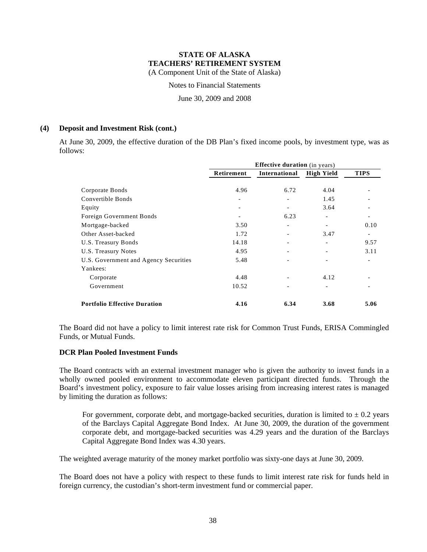Notes to Financial Statements

June 30, 2009 and 2008

#### **(4) Deposit and Investment Risk (cont.)**

At June 30, 2009, the effective duration of the DB Plan's fixed income pools, by investment type, was as follows:

|                                       | <b>Effective duration</b> (in years) |                          |                          |             |  |  |
|---------------------------------------|--------------------------------------|--------------------------|--------------------------|-------------|--|--|
|                                       | Retirement                           | International            | <b>High Yield</b>        | <b>TIPS</b> |  |  |
| Corporate Bonds<br>Convertible Bonds  | 4.96<br>$\qquad \qquad$              | 6.72                     | 4.04<br>1.45             |             |  |  |
| Equity                                |                                      |                          | 3.64                     |             |  |  |
| Foreign Government Bonds              |                                      | 6.23                     | $\overline{\phantom{a}}$ |             |  |  |
| Mortgage-backed                       | 3.50                                 |                          |                          | 0.10        |  |  |
| Other Asset-backed                    | 1.72                                 |                          | 3.47                     |             |  |  |
| U.S. Treasury Bonds                   | 14.18                                | $\overline{\phantom{0}}$ |                          | 9.57        |  |  |
| U.S. Treasury Notes                   | 4.95                                 |                          |                          | 3.11        |  |  |
| U.S. Government and Agency Securities | 5.48                                 |                          |                          |             |  |  |
| Yankees:                              |                                      |                          |                          |             |  |  |
| Corporate                             | 4.48                                 |                          | 4.12                     |             |  |  |
| Government                            | 10.52                                |                          |                          |             |  |  |
| <b>Portfolio Effective Duration</b>   | 4.16                                 | 6.34                     | 3.68                     | 5.06        |  |  |

The Board did not have a policy to limit interest rate risk for Common Trust Funds, ERISA Commingled Funds, or Mutual Funds.

#### **DCR Plan Pooled Investment Funds**

The Board contracts with an external investment manager who is given the authority to invest funds in a wholly owned pooled environment to accommodate eleven participant directed funds. Through the Board's investment policy, exposure to fair value losses arising from increasing interest rates is managed by limiting the duration as follows:

For government, corporate debt, and mortgage-backed securities, duration is limited to  $\pm$  0.2 years of the Barclays Capital Aggregate Bond Index. At June 30, 2009, the duration of the government corporate debt, and mortgage-backed securities was 4.29 years and the duration of the Barclays Capital Aggregate Bond Index was 4.30 years.

The weighted average maturity of the money market portfolio was sixty-one days at June 30, 2009.

The Board does not have a policy with respect to these funds to limit interest rate risk for funds held in foreign currency, the custodian's short-term investment fund or commercial paper.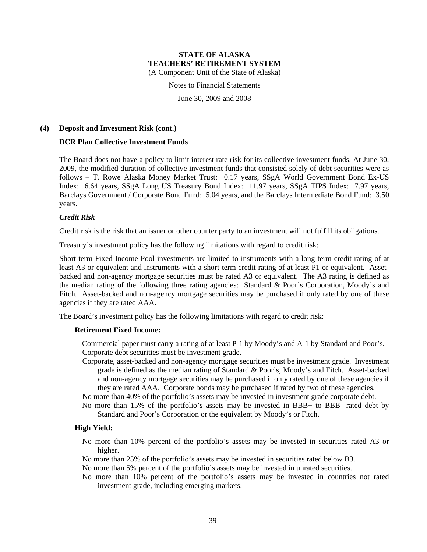Notes to Financial Statements

June 30, 2009 and 2008

#### **(4) Deposit and Investment Risk (cont.)**

#### **DCR Plan Collective Investment Funds**

The Board does not have a policy to limit interest rate risk for its collective investment funds. At June 30, 2009, the modified duration of collective investment funds that consisted solely of debt securities were as follows – T. Rowe Alaska Money Market Trust: 0.17 years, SSgA World Government Bond Ex-US Index: 6.64 years, SSgA Long US Treasury Bond Index: 11.97 years, SSgA TIPS Index: 7.97 years, Barclays Government / Corporate Bond Fund: 5.04 years, and the Barclays Intermediate Bond Fund: 3.50 years.

#### *Credit Risk*

Credit risk is the risk that an issuer or other counter party to an investment will not fulfill its obligations.

Treasury's investment policy has the following limitations with regard to credit risk:

Short-term Fixed Income Pool investments are limited to instruments with a long-term credit rating of at least A3 or equivalent and instruments with a short-term credit rating of at least P1 or equivalent. Assetbacked and non-agency mortgage securities must be rated A3 or equivalent. The A3 rating is defined as the median rating of the following three rating agencies: Standard & Poor's Corporation, Moody's and Fitch. Asset-backed and non-agency mortgage securities may be purchased if only rated by one of these agencies if they are rated AAA.

The Board's investment policy has the following limitations with regard to credit risk:

#### **Retirement Fixed Income:**

Commercial paper must carry a rating of at least P-1 by Moody's and A-1 by Standard and Poor's. Corporate debt securities must be investment grade.

Corporate, asset-backed and non-agency mortgage securities must be investment grade. Investment grade is defined as the median rating of Standard & Poor's, Moody's and Fitch. Asset-backed and non-agency mortgage securities may be purchased if only rated by one of these agencies if they are rated AAA. Corporate bonds may be purchased if rated by two of these agencies.

No more than 40% of the portfolio's assets may be invested in investment grade corporate debt.

No more than 15% of the portfolio's assets may be invested in BBB+ to BBB- rated debt by Standard and Poor's Corporation or the equivalent by Moody's or Fitch.

#### **High Yield:**

- No more than 10% percent of the portfolio's assets may be invested in securities rated A3 or higher.
- No more than 25% of the portfolio's assets may be invested in securities rated below B3.
- No more than 5% percent of the portfolio's assets may be invested in unrated securities.
- No more than 10% percent of the portfolio's assets may be invested in countries not rated investment grade, including emerging markets.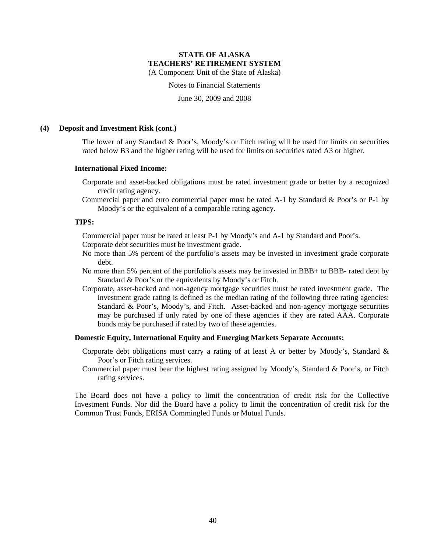Notes to Financial Statements

June 30, 2009 and 2008

#### **(4) Deposit and Investment Risk (cont.)**

The lower of any Standard & Poor's, Moody's or Fitch rating will be used for limits on securities rated below B3 and the higher rating will be used for limits on securities rated A3 or higher.

#### **International Fixed Income:**

- Corporate and asset-backed obligations must be rated investment grade or better by a recognized credit rating agency.
- Commercial paper and euro commercial paper must be rated A-1 by Standard & Poor's or P-1 by Moody's or the equivalent of a comparable rating agency.

#### **TIPS:**

Commercial paper must be rated at least P-1 by Moody's and A-1 by Standard and Poor's.

Corporate debt securities must be investment grade.

- No more than 5% percent of the portfolio's assets may be invested in investment grade corporate debt.
- No more than 5% percent of the portfolio's assets may be invested in BBB+ to BBB- rated debt by Standard & Poor's or the equivalents by Moody's or Fitch.
- Corporate, asset-backed and non-agency mortgage securities must be rated investment grade. The investment grade rating is defined as the median rating of the following three rating agencies: Standard & Poor's, Moody's, and Fitch. Asset-backed and non-agency mortgage securities may be purchased if only rated by one of these agencies if they are rated AAA. Corporate bonds may be purchased if rated by two of these agencies.

#### **Domestic Equity, International Equity and Emerging Markets Separate Accounts:**

- Corporate debt obligations must carry a rating of at least A or better by Moody's, Standard & Poor's or Fitch rating services.
- Commercial paper must bear the highest rating assigned by Moody's, Standard & Poor's, or Fitch rating services.

The Board does not have a policy to limit the concentration of credit risk for the Collective Investment Funds. Nor did the Board have a policy to limit the concentration of credit risk for the Common Trust Funds, ERISA Commingled Funds or Mutual Funds.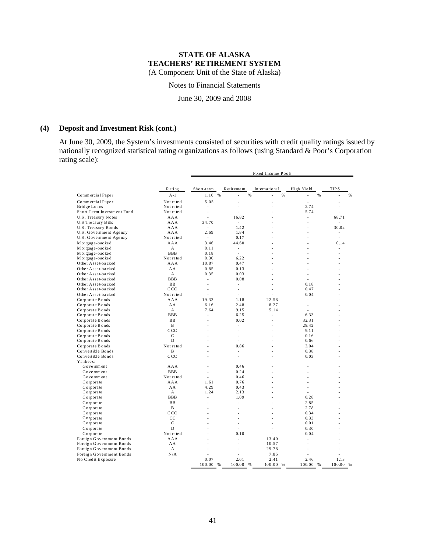Notes to Financial Statements

June 30, 2009 and 2008

#### **(4) Deposit and Investment Risk (cont.)**

At June 30, 2009, the System's investments consisted of securities with credit quality ratings issued by nationally recognized statistical rating organizations as follows (using Standard & Poor's Corporation rating scale):

|                            |                 | Fixed Income Pools |                          |                |                     |                |
|----------------------------|-----------------|--------------------|--------------------------|----------------|---------------------|----------------|
|                            | Rating          | Short-term         | R et ir eme nt           | International  | High Yield          | <b>TIPS</b>    |
| Commercial Paper           | $A-1$           | 1.10 %             | %                        | %              | %<br>$\overline{a}$ | %<br>Ĭ.        |
| Commercial Paper           | Not rated       | 5.05               | $\overline{a}$           | Ĭ.             | ÷,                  | Ĭ.             |
| Bridge Loans               | Not rated       | ÷,                 |                          | J.             | 2.74                | Ĭ.             |
| Short Term Investment Fund | Not rated       | ÷,                 |                          |                | 5.74                |                |
| U.S. Treasury Notes        | AAA             |                    | 16.82                    |                | $\overline{a}$      | 68.71          |
| U.S Treasury Bills         | AAA             | 34.70              | $\overline{a}$           |                | $\overline{a}$      | ÷              |
| U.S. Treasury Bonds        | AAA             | ٠                  | 1.42                     |                |                     | 30.02          |
| U.S. Government Agency     | AAA             | 2.69               | 1.84                     |                |                     | $\overline{a}$ |
| U.S. Government Agency     | Not rated       | $\overline{a}$     | 0.17                     |                | ÷                   | $\overline{a}$ |
| M or tgage-backed          | AAA             | 3.46               | 44.60                    |                |                     | 0.14           |
| M or tgage-backed          | A               | 0.11               | $\overline{a}$           |                | ۰                   | ۰              |
| M or tgage-backed          | <b>BBB</b>      | 0.18               |                          |                |                     |                |
| M or tgage-backed          | Not rated       | 0.30               | 6.22                     |                |                     |                |
| Other Asset-backed         | AAA             | 10.87              | 0.47                     |                |                     |                |
| Other Asset-backed         | AA              | 0.85               | 0.13                     | ۰              | ۰                   | ۰              |
| Other Asset-backed         | A               | 0.35               | 0.03                     | i.             | J.                  | ۰              |
| Other Asset-backed         | <b>BBB</b>      | $\overline{a}$     | 0.08                     | ÷              | $\overline{a}$      | $\overline{a}$ |
| Other Asset-backed         | BB              | ÷,                 | ÷                        |                | 0.18                |                |
| Other Asset-backed         | CCC             |                    |                          |                | 0.47                |                |
| Other Asset-backed         | Not rated       | $\overline{a}$     | $\overline{a}$           |                | 0.04                | $\overline{a}$ |
| Corporate Bonds            | AAA             | 19.33              | 1.18                     | 22.58          | $\overline{a}$      |                |
| Corporate Bonds            | AA              | 6.16               | 2.48                     | 8.27           | $\overline{a}$      | $\overline{a}$ |
| Corporate Bonds            | A               | 7.64               | 9.15                     | 5.14           | $\overline{a}$      |                |
| Corporate Bonds            | <b>BBB</b>      | ÷,                 | 6.25                     | ÷,             | 6.33                |                |
| Corporate Bonds            | <b>BB</b>       | ÷                  | 0.02                     | ÷              | 32.31               | $\overline{a}$ |
| Corporate Bonds            | B               |                    | $\overline{a}$           | ÷              | 29.42               |                |
| Corporate Bonds            | CCC             |                    |                          | $\overline{a}$ | 9.11                |                |
| Corporate Bonds            | C               |                    | $\overline{\phantom{a}}$ |                | 0.16                |                |
| Corporate Bonds            | D               |                    |                          |                | 0.66                |                |
| Corporate Bonds            | Not rated       |                    | 0.86                     |                | 3.04                |                |
| Convertible Bonds          | B               |                    | $\overline{\phantom{a}}$ |                | 0.38                |                |
| Convertible Bonds          | C <sub>CC</sub> | ÷                  | J.                       |                | 0.03                |                |
| Yankees:                   |                 |                    |                          |                |                     |                |
| Government                 | AAA             |                    | 0.46                     |                | $\overline{a}$      |                |
| Government                 | <b>BBB</b>      | ÷,                 | 0.24                     |                |                     |                |
| Government                 | Not rated       | ÷,                 | 0.46                     |                |                     |                |
| Corporate                  | AAA             | 1.61               | 0.76                     |                |                     |                |
| Corporate                  | AA              | 4.29               | 0.43                     |                | $\overline{a}$      |                |
| Corporate                  | A               | 1.24               | 2.13                     |                | $\overline{a}$      |                |
| Corporate                  | <b>BBB</b>      | $\overline{a}$     | 1.09                     |                | 0.28                |                |
| Corporate                  | <b>BB</b>       |                    |                          |                | 2.85                |                |
| Corporate                  | B               |                    |                          |                | 2.78                |                |
| Corporate                  | C.C.C.          |                    |                          |                | 0.34                |                |
| Corporate                  | CC              |                    |                          |                | 0.33                |                |
| Corporate                  | $\mathsf{C}$    |                    |                          |                | 0.01                |                |
| Corporate                  | D               |                    |                          | ÷              | 0.30                | $\overline{a}$ |
| Corporate                  | Not rated       |                    | 0.10                     |                | 0.04                |                |
| Foreign Government Bonds   | AAA             |                    |                          | 13.40          |                     |                |
| Foreign Government Bonds   | AA              |                    |                          | 10.57          | $\overline{a}$      |                |
| Foreign Government Bonds   | A               |                    |                          | 29.78          | $\overline{a}$      |                |
| Foreign Government Bonds   | N/A             | ÷                  | ÷.                       | 7.85           | $\overline{a}$      |                |
| No Credit Exposure         |                 | 0.07               | 2.61                     | 2.41           | 2.46                | 1.13           |
|                            |                 | 100.00<br>%        | 100.00<br>$\%$           | 100.00 %       | 100.00<br>%         | 100.00         |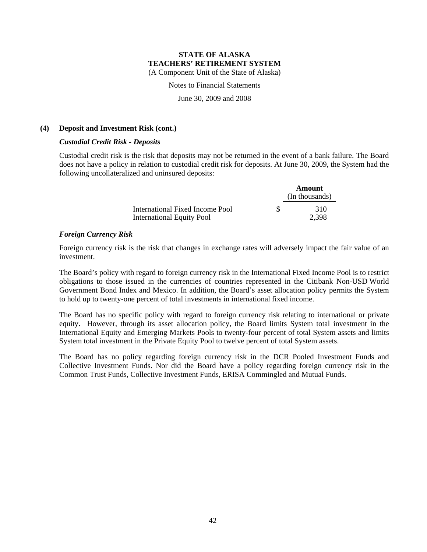Notes to Financial Statements

June 30, 2009 and 2008

#### **(4) Deposit and Investment Risk (cont.)**

#### *Custodial Credit Risk - Deposits*

Custodial credit risk is the risk that deposits may not be returned in the event of a bank failure. The Board does not have a policy in relation to custodial credit risk for deposits. At June 30, 2009, the System had the following uncollateralized and uninsured deposits:

|                                  |   | Amount         |
|----------------------------------|---|----------------|
|                                  |   | (In thousands) |
| International Fixed Income Pool  | S | 310            |
| <b>International Equity Pool</b> |   | 2.398          |

### *Foreign Currency Risk*

Foreign currency risk is the risk that changes in exchange rates will adversely impact the fair value of an investment.

The Board's policy with regard to foreign currency risk in the International Fixed Income Pool is to restrict obligations to those issued in the currencies of countries represented in the Citibank Non-USD World Government Bond Index and Mexico. In addition, the Board's asset allocation policy permits the System to hold up to twenty-one percent of total investments in international fixed income.

The Board has no specific policy with regard to foreign currency risk relating to international or private equity. However, through its asset allocation policy, the Board limits System total investment in the International Equity and Emerging Markets Pools to twenty-four percent of total System assets and limits System total investment in the Private Equity Pool to twelve percent of total System assets.

The Board has no policy regarding foreign currency risk in the DCR Pooled Investment Funds and Collective Investment Funds. Nor did the Board have a policy regarding foreign currency risk in the Common Trust Funds, Collective Investment Funds, ERISA Commingled and Mutual Funds.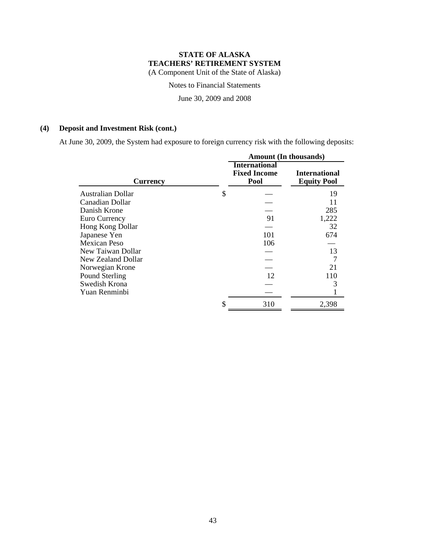Notes to Financial Statements

June 30, 2009 and 2008

## **(4) Deposit and Investment Risk (cont.)**

At June 30, 2009, the System had exposure to foreign currency risk with the following deposits:

|                          | <b>Amount</b> (In thousands)                        |                                            |  |  |  |
|--------------------------|-----------------------------------------------------|--------------------------------------------|--|--|--|
| <b>Currency</b>          | <b>International</b><br><b>Fixed Income</b><br>Pool | <b>International</b><br><b>Equity Pool</b> |  |  |  |
| <b>Australian Dollar</b> | \$                                                  | 19                                         |  |  |  |
| Canadian Dollar          |                                                     | 11                                         |  |  |  |
| Danish Krone             |                                                     | 285                                        |  |  |  |
| Euro Currency            | 91                                                  | 1,222                                      |  |  |  |
| Hong Kong Dollar         |                                                     | 32                                         |  |  |  |
| Japanese Yen             | 101                                                 | 674                                        |  |  |  |
| <b>Mexican Peso</b>      | 106                                                 |                                            |  |  |  |
| New Taiwan Dollar        |                                                     | 13                                         |  |  |  |
| New Zealand Dollar       |                                                     |                                            |  |  |  |
| Norwegian Krone          |                                                     | 21                                         |  |  |  |
| Pound Sterling           | 12                                                  | 110                                        |  |  |  |
| Swedish Krona            |                                                     |                                            |  |  |  |
| Yuan Renminbi            |                                                     |                                            |  |  |  |
|                          | 310                                                 | 2,398                                      |  |  |  |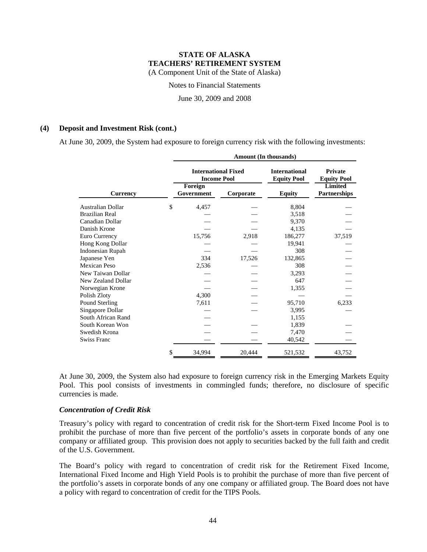Notes to Financial Statements

June 30, 2009 and 2008

#### **(4) Deposit and Investment Risk (cont.)**

At June 30, 2009, the System had exposure to foreign currency risk with the following investments:

|                          | <b>Amount</b> (In thousands) |                                                  |                                            |                                      |  |  |
|--------------------------|------------------------------|--------------------------------------------------|--------------------------------------------|--------------------------------------|--|--|
|                          |                              | <b>International Fixed</b><br><b>Income Pool</b> | <b>International</b><br><b>Equity Pool</b> | <b>Private</b><br><b>Equity Pool</b> |  |  |
| <b>Currency</b>          | Foreign<br>Government        | Corporate                                        | Equity                                     | <b>Limited</b><br>Partnerships       |  |  |
| <b>Australian Dollar</b> | \$<br>4,457                  |                                                  | 8,804                                      |                                      |  |  |
| <b>Brazilian Real</b>    |                              |                                                  | 3,518                                      |                                      |  |  |
| Canadian Dollar          |                              |                                                  | 9,370                                      |                                      |  |  |
| Danish Krone             |                              |                                                  | 4,135                                      |                                      |  |  |
| Euro Currency            | 15,756                       | 2,918                                            | 186,277                                    | 37,519                               |  |  |
| Hong Kong Dollar         |                              |                                                  | 19,941                                     |                                      |  |  |
| <b>Indonesian Rupah</b>  |                              |                                                  | 308                                        |                                      |  |  |
| Japanese Yen             | 334                          | 17,526                                           | 132,865                                    |                                      |  |  |
| Mexican Peso             | 2,536                        |                                                  | 308                                        |                                      |  |  |
| New Taiwan Dollar        |                              |                                                  | 3,293                                      |                                      |  |  |
| New Zealand Dollar       |                              |                                                  | 647                                        |                                      |  |  |
| Norwegian Krone          |                              |                                                  | 1,355                                      |                                      |  |  |
| Polish Zloty             | 4,300                        |                                                  |                                            |                                      |  |  |
| Pound Sterling           | 7,611                        |                                                  | 95,710                                     | 6,233                                |  |  |
| Singapore Dollar         |                              |                                                  | 3,995                                      |                                      |  |  |
| South African Rand       |                              |                                                  | 1,155                                      |                                      |  |  |
| South Korean Won         |                              |                                                  | 1,839                                      |                                      |  |  |
| Swedish Krona            |                              |                                                  | 7,470                                      |                                      |  |  |
| <b>Swiss Franc</b>       |                              |                                                  | 40,542                                     |                                      |  |  |
|                          | \$<br>34,994                 | 20,444                                           | 521,532                                    | 43,752                               |  |  |

At June 30, 2009, the System also had exposure to foreign currency risk in the Emerging Markets Equity Pool. This pool consists of investments in commingled funds; therefore, no disclosure of specific currencies is made.

#### *Concentration of Credit Risk*

Treasury's policy with regard to concentration of credit risk for the Short-term Fixed Income Pool is to prohibit the purchase of more than five percent of the portfolio's assets in corporate bonds of any one company or affiliated group. This provision does not apply to securities backed by the full faith and credit of the U.S. Government.

The Board's policy with regard to concentration of credit risk for the Retirement Fixed Income, International Fixed Income and High Yield Pools is to prohibit the purchase of more than five percent of the portfolio's assets in corporate bonds of any one company or affiliated group. The Board does not have a policy with regard to concentration of credit for the TIPS Pools.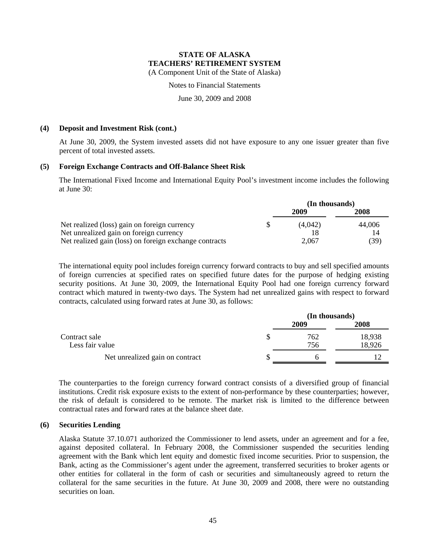Notes to Financial Statements

June 30, 2009 and 2008

#### **(4) Deposit and Investment Risk (cont.)**

At June 30, 2009, the System invested assets did not have exposure to any one issuer greater than five percent of total invested assets.

#### **(5) Foreign Exchange Contracts and Off-Balance Sheet Risk**

The International Fixed Income and International Equity Pool's investment income includes the following at June 30:

|                                                        | (In thousands) |        |  |
|--------------------------------------------------------|----------------|--------|--|
|                                                        | 2009           | 2008   |  |
| Net realized (loss) gain on foreign currency           | (4.042)        | 44,006 |  |
| Net unrealized gain on foreign currency                | 18             | 14     |  |
| Net realized gain (loss) on foreign exchange contracts | 2,067          | (39)   |  |

The international equity pool includes foreign currency forward contracts to buy and sell specified amounts of foreign currencies at specified rates on specified future dates for the purpose of hedging existing security positions. At June 30, 2009, the International Equity Pool had one foreign currency forward contract which matured in twenty-two days. The System had net unrealized gains with respect to forward contracts, calculated using forward rates at June 30, as follows:

|                                  | (In thousands) |                  |  |
|----------------------------------|----------------|------------------|--|
|                                  | 2009           | 2008             |  |
| Contract sale<br>Less fair value | 762<br>756     | 18,938<br>18,926 |  |
| Net unrealized gain on contract  |                |                  |  |

The counterparties to the foreign currency forward contract consists of a diversified group of financial institutions. Credit risk exposure exists to the extent of non-performance by these counterparties; however, the risk of default is considered to be remote. The market risk is limited to the difference between contractual rates and forward rates at the balance sheet date.

#### **(6) Securities Lending**

Alaska Statute 37.10.071 authorized the Commissioner to lend assets, under an agreement and for a fee, against deposited collateral. In February 2008, the Commissioner suspended the securities lending agreement with the Bank which lent equity and domestic fixed income securities. Prior to suspension, the Bank, acting as the Commissioner's agent under the agreement, transferred securities to broker agents or other entities for collateral in the form of cash or securities and simultaneously agreed to return the collateral for the same securities in the future. At June 30, 2009 and 2008, there were no outstanding securities on loan.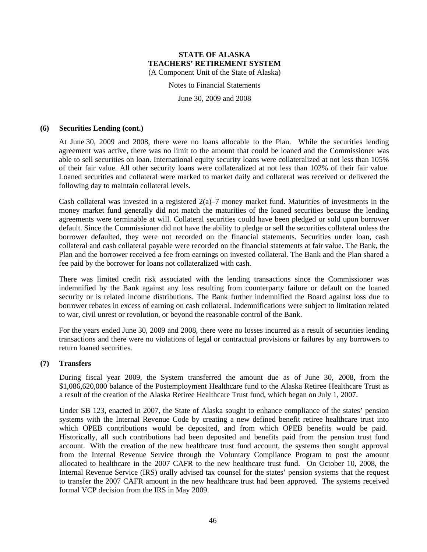Notes to Financial Statements

June 30, 2009 and 2008

#### **(6) Securities Lending (cont.)**

At June 30, 2009 and 2008, there were no loans allocable to the Plan. While the securities lending agreement was active, there was no limit to the amount that could be loaned and the Commissioner was able to sell securities on loan. International equity security loans were collateralized at not less than 105% of their fair value. All other security loans were collateralized at not less than 102% of their fair value. Loaned securities and collateral were marked to market daily and collateral was received or delivered the following day to maintain collateral levels.

Cash collateral was invested in a registered  $2(a)$ –7 money market fund. Maturities of investments in the money market fund generally did not match the maturities of the loaned securities because the lending agreements were terminable at will. Collateral securities could have been pledged or sold upon borrower default. Since the Commissioner did not have the ability to pledge or sell the securities collateral unless the borrower defaulted, they were not recorded on the financial statements. Securities under loan, cash collateral and cash collateral payable were recorded on the financial statements at fair value. The Bank, the Plan and the borrower received a fee from earnings on invested collateral. The Bank and the Plan shared a fee paid by the borrower for loans not collateralized with cash.

There was limited credit risk associated with the lending transactions since the Commissioner was indemnified by the Bank against any loss resulting from counterparty failure or default on the loaned security or is related income distributions. The Bank further indemnified the Board against loss due to borrower rebates in excess of earning on cash collateral. Indemnifications were subject to limitation related to war, civil unrest or revolution, or beyond the reasonable control of the Bank.

For the years ended June 30, 2009 and 2008, there were no losses incurred as a result of securities lending transactions and there were no violations of legal or contractual provisions or failures by any borrowers to return loaned securities.

### **(7) Transfers**

During fiscal year 2009, the System transferred the amount due as of June 30, 2008, from the \$1,086,620,000 balance of the Postemployment Healthcare fund to the Alaska Retiree Healthcare Trust as a result of the creation of the Alaska Retiree Healthcare Trust fund, which began on July 1, 2007.

Under SB 123, enacted in 2007, the State of Alaska sought to enhance compliance of the states' pension systems with the Internal Revenue Code by creating a new defined benefit retiree healthcare trust into which OPEB contributions would be deposited, and from which OPEB benefits would be paid. Historically, all such contributions had been deposited and benefits paid from the pension trust fund account. With the creation of the new healthcare trust fund account, the systems then sought approval from the Internal Revenue Service through the Voluntary Compliance Program to post the amount allocated to healthcare in the 2007 CAFR to the new healthcare trust fund. On October 10, 2008, the Internal Revenue Service (IRS) orally advised tax counsel for the states' pension systems that the request to transfer the 2007 CAFR amount in the new healthcare trust had been approved. The systems received formal VCP decision from the IRS in May 2009.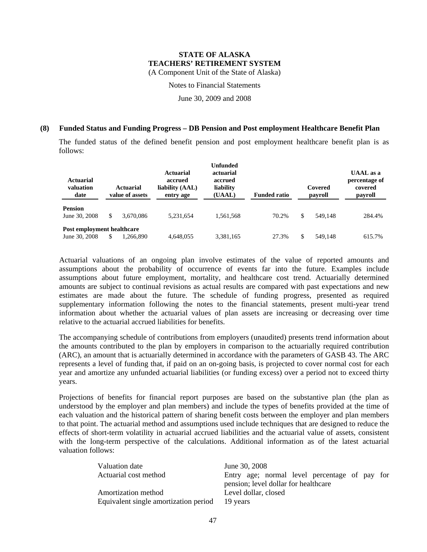Notes to Financial Statements

June 30, 2009 and 2008

#### **(8) Funded Status and Funding Progress – DB Pension and Post employment Healthcare Benefit Plan**

The funded status of the defined benefit pension and post employment healthcare benefit plan is as follows:

| Actuarial<br>valuation<br>date              |   | Actuarial<br>value of assets | <b>Actuarial</b><br>accrued<br>liability (AAL)<br>entry age | <b>Unfunded</b><br>actuarial<br>accrued<br>liability<br>(UAAL) | <b>Funded ratio</b> |   | Covered<br>payroll | <b>UAAL</b> as a<br>percentage of<br>covered<br>payroll |
|---------------------------------------------|---|------------------------------|-------------------------------------------------------------|----------------------------------------------------------------|---------------------|---|--------------------|---------------------------------------------------------|
| <b>Pension</b><br>June 30, 2008             | S | 3.670.086                    | 5.231.654                                                   | 1,561,568                                                      | 70.2%               | S | 549.148            | 284.4%                                                  |
| Post employment healthcare<br>June 30, 2008 |   | 1,266,890                    | 4,648,055                                                   | 3,381,165                                                      | 27.3%               |   | 549.148            | 615.7%                                                  |

Actuarial valuations of an ongoing plan involve estimates of the value of reported amounts and assumptions about the probability of occurrence of events far into the future. Examples include assumptions about future employment, mortality, and healthcare cost trend. Actuarially determined amounts are subject to continual revisions as actual results are compared with past expectations and new estimates are made about the future. The schedule of funding progress, presented as required supplementary information following the notes to the financial statements, present multi-year trend information about whether the actuarial values of plan assets are increasing or decreasing over time relative to the actuarial accrued liabilities for benefits.

The accompanying schedule of contributions from employers (unaudited) presents trend information about the amounts contributed to the plan by employers in comparison to the actuarially required contribution (ARC), an amount that is actuarially determined in accordance with the parameters of GASB 43. The ARC represents a level of funding that, if paid on an on-going basis, is projected to cover normal cost for each year and amortize any unfunded actuarial liabilities (or funding excess) over a period not to exceed thirty years.

Projections of benefits for financial report purposes are based on the substantive plan (the plan as understood by the employer and plan members) and include the types of benefits provided at the time of each valuation and the historical pattern of sharing benefit costs between the employer and plan members to that point. The actuarial method and assumptions used include techniques that are designed to reduce the effects of short-term volatility in actuarial accrued liabilities and the actuarial value of assets, consistent with the long-term perspective of the calculations. Additional information as of the latest actuarial valuation follows:

| Valuation date                                               | June 30, 2008                                                                         |
|--------------------------------------------------------------|---------------------------------------------------------------------------------------|
| Actuarial cost method                                        | Entry age; normal level percentage of pay for<br>pension; level dollar for healthcare |
| Amortization method<br>Equivalent single amortization period | Level dollar, closed<br>19 years                                                      |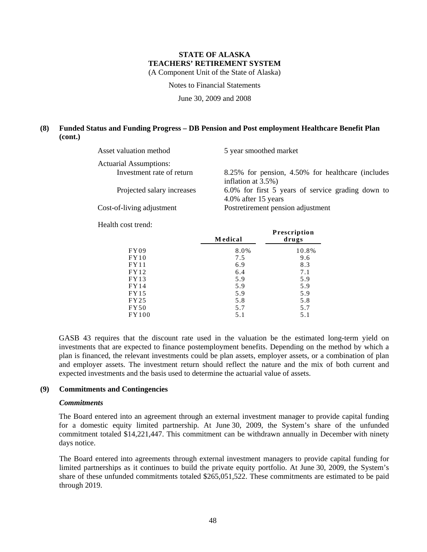Notes to Financial Statements

June 30, 2009 and 2008

### **(8) Funded Status and Funding Progress – DB Pension and Post employment Healthcare Benefit Plan (cont.)**

| Asset valuation method        | 5 year smoothed market                            |
|-------------------------------|---------------------------------------------------|
| <b>Actuarial Assumptions:</b> |                                                   |
| Investment rate of return     | 8.25% for pension, 4.50% for healthcare (includes |
|                               | inflation at $3.5\%$ )                            |
| Projected salary increases    | 6.0% for first 5 years of service grading down to |
|                               | 4.0% after 15 years                               |
| Cost-of-living adjustment     | Postretirement pension adjustment                 |
|                               |                                                   |

Health cost trend:

|             | <b>Medical</b> | <b>Prescription</b><br>drugs |
|-------------|----------------|------------------------------|
| FY09        | 8.0%           | 10.8%                        |
| FY10        | 7.5            | 9.6                          |
| FY11        | 6.9            | 8.3                          |
| FY12        | 6.4            | 7.1                          |
| FY13        | 5.9            | 5.9                          |
| FY14        | 5.9            | 5.9                          |
| FY15        | 5.9            | 5.9                          |
| FY25        | 5.8            | 5.8                          |
| <b>FY50</b> | 5.7            | 5.7                          |
| FY100       | 5.1            | 5.1                          |

GASB 43 requires that the discount rate used in the valuation be the estimated long-term yield on investments that are expected to finance postemployment benefits. Depending on the method by which a plan is financed, the relevant investments could be plan assets, employer assets, or a combination of plan and employer assets. The investment return should reflect the nature and the mix of both current and expected investments and the basis used to determine the actuarial value of assets.

### **(9) Commitments and Contingencies**

#### *Commitments*

The Board entered into an agreement through an external investment manager to provide capital funding for a domestic equity limited partnership. At June 30, 2009, the System's share of the unfunded commitment totaled \$14,221,447. This commitment can be withdrawn annually in December with ninety days notice.

The Board entered into agreements through external investment managers to provide capital funding for limited partnerships as it continues to build the private equity portfolio. At June 30, 2009, the System's share of these unfunded commitments totaled \$265,051,522. These commitments are estimated to be paid through 2019.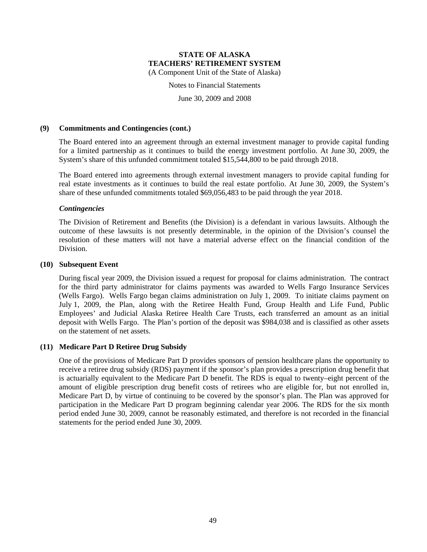Notes to Financial Statements

June 30, 2009 and 2008

#### **(9) Commitments and Contingencies (cont.)**

The Board entered into an agreement through an external investment manager to provide capital funding for a limited partnership as it continues to build the energy investment portfolio. At June 30, 2009, the System's share of this unfunded commitment totaled \$15,544,800 to be paid through 2018.

The Board entered into agreements through external investment managers to provide capital funding for real estate investments as it continues to build the real estate portfolio. At June 30, 2009, the System's share of these unfunded commitments totaled \$69,056,483 to be paid through the year 2018.

#### *Contingencies*

The Division of Retirement and Benefits (the Division) is a defendant in various lawsuits. Although the outcome of these lawsuits is not presently determinable, in the opinion of the Division's counsel the resolution of these matters will not have a material adverse effect on the financial condition of the Division.

#### **(10) Subsequent Event**

During fiscal year 2009, the Division issued a request for proposal for claims administration. The contract for the third party administrator for claims payments was awarded to Wells Fargo Insurance Services (Wells Fargo). Wells Fargo began claims administration on July 1, 2009. To initiate claims payment on July 1, 2009, the Plan, along with the Retiree Health Fund, Group Health and Life Fund, Public Employees' and Judicial Alaska Retiree Health Care Trusts, each transferred an amount as an initial deposit with Wells Fargo. The Plan's portion of the deposit was \$984,038 and is classified as other assets on the statement of net assets.

#### **(11) Medicare Part D Retiree Drug Subsidy**

One of the provisions of Medicare Part D provides sponsors of pension healthcare plans the opportunity to receive a retiree drug subsidy (RDS) payment if the sponsor's plan provides a prescription drug benefit that is actuarially equivalent to the Medicare Part D benefit. The RDS is equal to twenty–eight percent of the amount of eligible prescription drug benefit costs of retirees who are eligible for, but not enrolled in, Medicare Part D, by virtue of continuing to be covered by the sponsor's plan. The Plan was approved for participation in the Medicare Part D program beginning calendar year 2006. The RDS for the six month period ended June 30, 2009, cannot be reasonably estimated, and therefore is not recorded in the financial statements for the period ended June 30, 2009.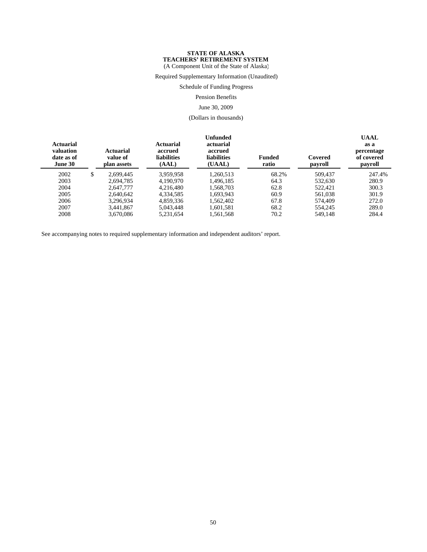(A Component Unit of the State of Alaska)

Required Supplementary Information (Unaudited)

Schedule of Funding Progress

Pension Benefits

#### June 30, 2009

(Dollars in thousands)

| <b>Actuarial</b><br>valuation<br>date as of<br>June 30 |   | Actuarial<br>value of<br>plan assets | <b>Actuarial</b><br>accrued<br><b>liabilities</b><br>(AAL) | Unfunded<br>actuarial<br>accrued<br><b>liabilities</b><br>(UAAL) | <b>Funded</b><br>ratio | Covered<br>payroll | <b>UAAL</b><br>as a<br>percentage<br>of covered<br>payroll |
|--------------------------------------------------------|---|--------------------------------------|------------------------------------------------------------|------------------------------------------------------------------|------------------------|--------------------|------------------------------------------------------------|
| 2002                                                   | S | 2.699.445                            | 3.959.958                                                  | 1,260,513                                                        | 68.2%                  | 509,437            | 247.4%                                                     |
| 2003                                                   |   | 2.694.785                            | 4.190.970                                                  | 1.496.185                                                        | 64.3                   | 532.630            | 280.9                                                      |
| 2004                                                   |   | 2,647,777                            | 4.216.480                                                  | 1.568.703                                                        | 62.8                   | 522,421            | 300.3                                                      |
| 2005                                                   |   | 2.640.642                            | 4,334,585                                                  | 1.693.943                                                        | 60.9                   | 561,038            | 301.9                                                      |
| 2006                                                   |   | 3.296.934                            | 4.859.336                                                  | 1.562.402                                                        | 67.8                   | 574.409            | 272.0                                                      |
| 2007                                                   |   | 3.441.867                            | 5.043.448                                                  | 1,601,581                                                        | 68.2                   | 554,245            | 289.0                                                      |
| 2008                                                   |   | 3.670.086                            | 5,231,654                                                  | 1,561,568                                                        | 70.2                   | 549,148            | 284.4                                                      |

See accompanying notes to required supplementary information and independent auditors' report.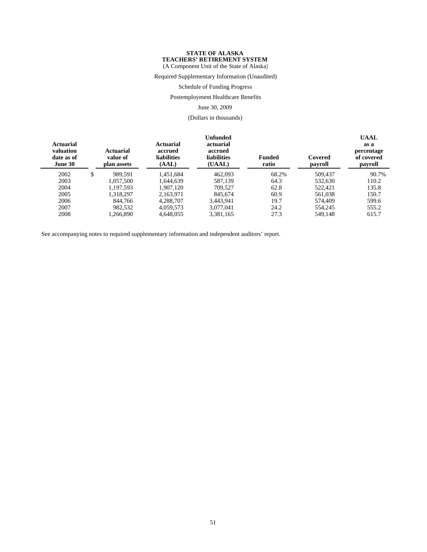(A Component Unit of the State of Alaska)

Required Supplementary Information (Unaudited)

Schedule of Funding Progress

Postemployment Healthcare Benefits

June 30, 2009

(Dollars in thousands)

| Actuarial<br>valuation<br>date as of<br>June 30 | <b>Actuarial</b><br>value of<br>plan assets | <b>Actuarial</b><br>accrued<br><b>liabilities</b><br>(AAL) | <b>Unfunded</b><br>actuarial<br>accrued<br><b>liabilities</b><br>(UAAL) | <b>Funded</b><br>ratio | Covered<br>payroll | <b>UAAL</b><br>as a<br>percentage<br>of covered<br>payroll |
|-------------------------------------------------|---------------------------------------------|------------------------------------------------------------|-------------------------------------------------------------------------|------------------------|--------------------|------------------------------------------------------------|
| 2002                                            | \$<br>989.591                               | 1,451,684                                                  | 462,093                                                                 | 68.2%                  | 509,437            | 90.7%                                                      |
| 2003                                            | 1,057,500                                   | 1.644.639                                                  | 587.139                                                                 | 64.3                   | 532.630            | 110.2                                                      |
| 2004                                            | 1.197.593                                   | 1.907.120                                                  | 709.527                                                                 | 62.8                   | 522,421            | 135.8                                                      |
| 2005                                            | 1.318.297                                   | 2.163.971                                                  | 845.674                                                                 | 60.9                   | 561.038            | 150.7                                                      |
| 2006                                            | 844,766                                     | 4.288.707                                                  | 3.443.941                                                               | 19.7                   | 574,409            | 599.6                                                      |
| 2007                                            | 982.532                                     | 4.059.573                                                  | 3.077.041                                                               | 24.2                   | 554,245            | 555.2                                                      |
| 2008                                            | 1.266.890                                   | 4.648.055                                                  | 3,381,165                                                               | 27.3                   | 549.148            | 615.7                                                      |

See accompanying notes to required supplementary information and independent auditors' report.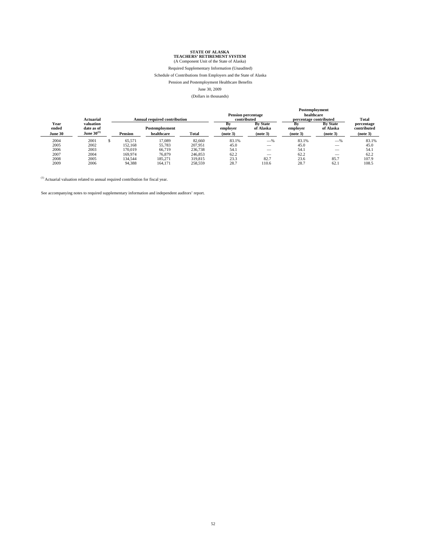Required Supplementary Information (Unaudited)

#### Schedule of Contributions from Employers and the State of Alaska

Pension and Postemployment Healthcare Benefits

#### June 30, 2009

#### (Dollars in thousands)

**Postemployment**

|                                            |                |                              |         | 1.9999244940744444                  |                                          |                                          |                                          |                                       |
|--------------------------------------------|----------------|------------------------------|---------|-------------------------------------|------------------------------------------|------------------------------------------|------------------------------------------|---------------------------------------|
| Actuarial                                  |                |                              |         |                                     |                                          |                                          |                                          | Total                                 |
| valuation<br>date as of<br>June $30^{(1)}$ | <b>Pension</b> | Postemployment<br>healthcare | Total   | в<br>employer<br>(note 3)           | <b>By State</b><br>of Alaska<br>(note 3) | Bv<br>employer<br>(note 3)               | <b>By State</b><br>of Alaska<br>(note 3) | percentage<br>contributed<br>(note 3) |
| 2001                                       | 65.571         | 17.089                       | 82,660  | 83.1%                               | $-$ %                                    | 83.1%                                    | $-$ %                                    | 83.1%                                 |
| 2002                                       | 152.168        | 55,783                       | 207.951 | 45.0                                |                                          | 45.0                                     | $\overline{\phantom{0}}$                 | 45.0                                  |
| 2003                                       | 170.019        | 66.719                       | 236,738 | 54.1                                |                                          | 54.1                                     | __                                       | 54.1                                  |
| 2004                                       | 169,974        | 76.879                       | 246,853 | 62.2                                | __                                       | 62.2                                     | $\overline{\phantom{0}}$                 | 62.2                                  |
| 2005                                       | 134.544        | 185.271                      | 319,815 | 23.3                                | 82.7                                     | 23.6                                     | 85.7                                     | 107.9                                 |
| 2006                                       | 94,388         | 164,171                      | 258,559 | 28.7                                | 110.6                                    | 28.7                                     | 62.1                                     | 108.5                                 |
|                                            |                |                              |         | <b>Annual required contribution</b> |                                          | <b>Pension percentage</b><br>contributed |                                          | healthcare<br>percentage contributed  |

 $(1)$  Actuarial valuation related to annual required contribution for fiscal year.

See accompanying notes to required supplementary information and independent auditors' report.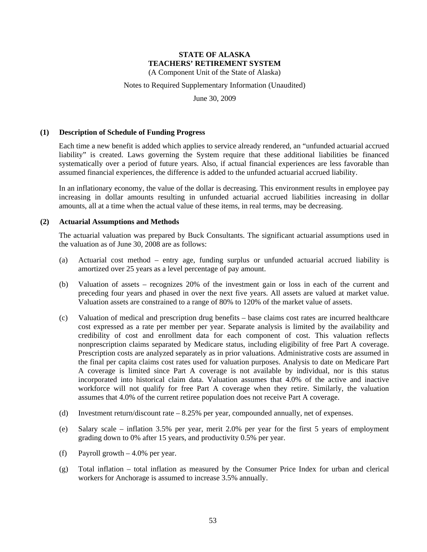(A Component Unit of the State of Alaska)

#### Notes to Required Supplementary Information (Unaudited)

June 30, 2009

#### **(1) Description of Schedule of Funding Progress**

Each time a new benefit is added which applies to service already rendered, an "unfunded actuarial accrued liability" is created. Laws governing the System require that these additional liabilities be financed systematically over a period of future years. Also, if actual financial experiences are less favorable than assumed financial experiences, the difference is added to the unfunded actuarial accrued liability.

In an inflationary economy, the value of the dollar is decreasing. This environment results in employee pay increasing in dollar amounts resulting in unfunded actuarial accrued liabilities increasing in dollar amounts, all at a time when the actual value of these items, in real terms, may be decreasing.

#### **(2) Actuarial Assumptions and Methods**

The actuarial valuation was prepared by Buck Consultants. The significant actuarial assumptions used in the valuation as of June 30, 2008 are as follows:

- (a) Actuarial cost method entry age, funding surplus or unfunded actuarial accrued liability is amortized over 25 years as a level percentage of pay amount.
- (b) Valuation of assets recognizes 20% of the investment gain or loss in each of the current and preceding four years and phased in over the next five years. All assets are valued at market value. Valuation assets are constrained to a range of 80% to 120% of the market value of assets.
- (c) Valuation of medical and prescription drug benefits base claims cost rates are incurred healthcare cost expressed as a rate per member per year. Separate analysis is limited by the availability and credibility of cost and enrollment data for each component of cost. This valuation reflects nonprescription claims separated by Medicare status, including eligibility of free Part A coverage. Prescription costs are analyzed separately as in prior valuations. Administrative costs are assumed in the final per capita claims cost rates used for valuation purposes. Analysis to date on Medicare Part A coverage is limited since Part A coverage is not available by individual, nor is this status incorporated into historical claim data. Valuation assumes that 4.0% of the active and inactive workforce will not qualify for free Part A coverage when they retire. Similarly, the valuation assumes that 4.0% of the current retiree population does not receive Part A coverage.
- (d) Investment return/discount rate 8.25% per year, compounded annually, net of expenses.
- (e) Salary scale inflation 3.5% per year, merit 2.0% per year for the first 5 years of employment grading down to 0% after 15 years, and productivity 0.5% per year.
- (f) Payroll growth 4.0% per year.
- (g) Total inflation total inflation as measured by the Consumer Price Index for urban and clerical workers for Anchorage is assumed to increase 3.5% annually.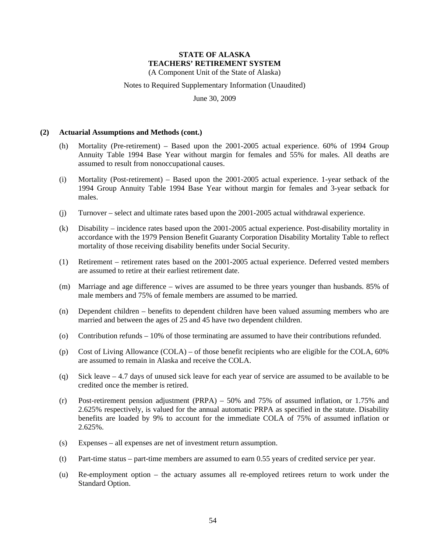(A Component Unit of the State of Alaska)

Notes to Required Supplementary Information (Unaudited)

June 30, 2009

#### **(2) Actuarial Assumptions and Methods (cont.)**

- (h) Mortality (Pre-retirement) Based upon the 2001-2005 actual experience. 60% of 1994 Group Annuity Table 1994 Base Year without margin for females and 55% for males. All deaths are assumed to result from nonoccupational causes.
- (i) Mortality (Post-retirement) Based upon the 2001-2005 actual experience. 1-year setback of the 1994 Group Annuity Table 1994 Base Year without margin for females and 3-year setback for males.
- (j) Turnover select and ultimate rates based upon the 2001-2005 actual withdrawal experience.
- (k) Disability incidence rates based upon the 2001-2005 actual experience. Post-disability mortality in accordance with the 1979 Pension Benefit Guaranty Corporation Disability Mortality Table to reflect mortality of those receiving disability benefits under Social Security.
- (1) Retirement retirement rates based on the 2001-2005 actual experience. Deferred vested members are assumed to retire at their earliest retirement date.
- (m) Marriage and age difference wives are assumed to be three years younger than husbands. 85% of male members and 75% of female members are assumed to be married.
- (n) Dependent children benefits to dependent children have been valued assuming members who are married and between the ages of 25 and 45 have two dependent children.
- (o) Contribution refunds 10% of those terminating are assumed to have their contributions refunded.
- (p) Cost of Living Allowance (COLA) of those benefit recipients who are eligible for the COLA, 60% are assumed to remain in Alaska and receive the COLA.
- (q) Sick leave 4.7 days of unused sick leave for each year of service are assumed to be available to be credited once the member is retired.
- (r) Post-retirement pension adjustment (PRPA) 50% and 75% of assumed inflation, or 1.75% and 2.625% respectively, is valued for the annual automatic PRPA as specified in the statute. Disability benefits are loaded by 9% to account for the immediate COLA of 75% of assumed inflation or 2.625%.
- (s) Expenses all expenses are net of investment return assumption.
- (t) Part-time status part-time members are assumed to earn 0.55 years of credited service per year.
- (u) Re-employment option the actuary assumes all re-employed retirees return to work under the Standard Option.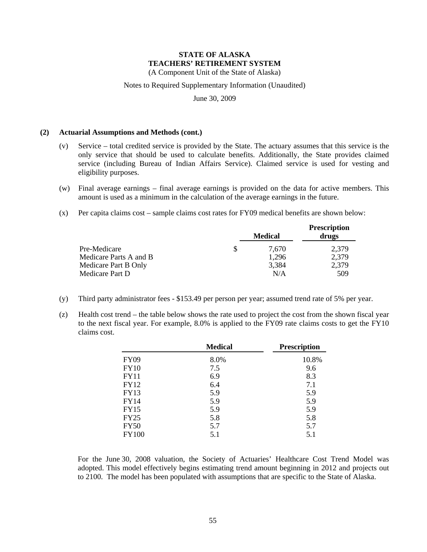(A Component Unit of the State of Alaska)

Notes to Required Supplementary Information (Unaudited)

June 30, 2009

#### **(2) Actuarial Assumptions and Methods (cont.)**

- (v) Service total credited service is provided by the State. The actuary assumes that this service is the only service that should be used to calculate benefits. Additionally, the State provides claimed service (including Bureau of Indian Affairs Service). Claimed service is used for vesting and eligibility purposes.
- (w) Final average earnings final average earnings is provided on the data for active members. This amount is used as a minimum in the calculation of the average earnings in the future.
- (x) Per capita claims cost sample claims cost rates for FY09 medical benefits are shown below:

|                        |   | <b>Medical</b> | <b>Prescription</b><br>drugs |
|------------------------|---|----------------|------------------------------|
| Pre-Medicare           | S | 7.670          | 2,379                        |
| Medicare Parts A and B |   | 1.296          | 2,379                        |
| Medicare Part B Only   |   | 3,384          | 2,379                        |
| Medicare Part D        |   | N/A            | 509                          |

- (y) Third party administrator fees \$153.49 per person per year; assumed trend rate of 5% per year.
- (z) Health cost trend the table below shows the rate used to project the cost from the shown fiscal year to the next fiscal year. For example, 8.0% is applied to the FY09 rate claims costs to get the FY10 claims cost.

|              | <b>Medical</b> | <b>Prescription</b> |
|--------------|----------------|---------------------|
| <b>FY09</b>  | 8.0%           | 10.8%               |
| <b>FY10</b>  | 7.5            | 9.6                 |
| <b>FY11</b>  | 6.9            | 8.3                 |
| <b>FY12</b>  | 6.4            | 7.1                 |
| <b>FY13</b>  | 5.9            | 5.9                 |
| <b>FY14</b>  | 5.9            | 5.9                 |
| <b>FY15</b>  | 5.9            | 5.9                 |
| <b>FY25</b>  | 5.8            | 5.8                 |
| <b>FY50</b>  | 5.7            | 5.7                 |
| <b>FY100</b> | 5.1            | 5.1                 |

For the June 30, 2008 valuation, the Society of Actuaries' Healthcare Cost Trend Model was adopted. This model effectively begins estimating trend amount beginning in 2012 and projects out to 2100. The model has been populated with assumptions that are specific to the State of Alaska.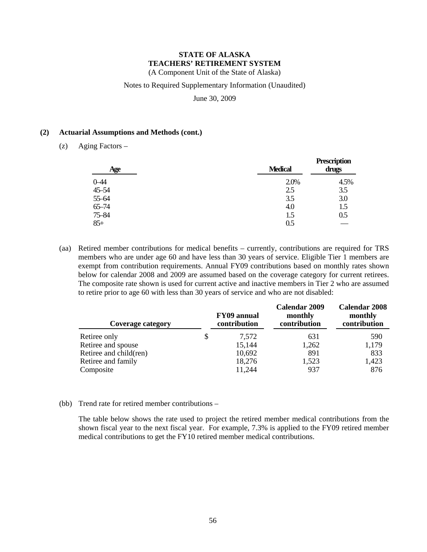(A Component Unit of the State of Alaska)

#### Notes to Required Supplementary Information (Unaudited)

June 30, 2009

#### **(2) Actuarial Assumptions and Methods (cont.)**

(z) Aging Factors –

| Age               | <b>Medical</b> | <b>Prescription</b><br>drugs |
|-------------------|----------------|------------------------------|
|                   | 2.0%           | 4.5%                         |
| $0 - 44$<br>45-54 | 2.5            | 3.5                          |
| 55-64             | 3.5            | 3.0                          |
| $65 - 74$         | 4.0            | 1.5                          |
| 75-84             | 1.5            | 0.5                          |
| $85+$             | 0.5            |                              |

(aa) Retired member contributions for medical benefits – currently, contributions are required for TRS members who are under age 60 and have less than 30 years of service. Eligible Tier 1 members are exempt from contribution requirements. Annual FY09 contributions based on monthly rates shown below for calendar 2008 and 2009 are assumed based on the coverage category for current retirees. The composite rate shown is used for current active and inactive members in Tier 2 who are assumed to retire prior to age 60 with less than 30 years of service and who are not disabled:

| Coverage category      | FY09 annual<br>contribution | <b>Calendar 2009</b><br>monthly<br>contribution | <b>Calendar 2008</b><br>monthly<br>contribution |
|------------------------|-----------------------------|-------------------------------------------------|-------------------------------------------------|
| Retiree only           | \$<br>7,572                 | 631                                             | 590                                             |
| Retiree and spouse     | 15,144                      | 1,262                                           | 1,179                                           |
| Retiree and child(ren) | 10,692                      | 891                                             | 833                                             |
| Retiree and family     | 18,276                      | 1,523                                           | 1,423                                           |
| Composite              | 11,244                      | 937                                             | 876                                             |

#### (bb) Trend rate for retired member contributions –

The table below shows the rate used to project the retired member medical contributions from the shown fiscal year to the next fiscal year. For example, 7.3% is applied to the FY09 retired member medical contributions to get the FY10 retired member medical contributions.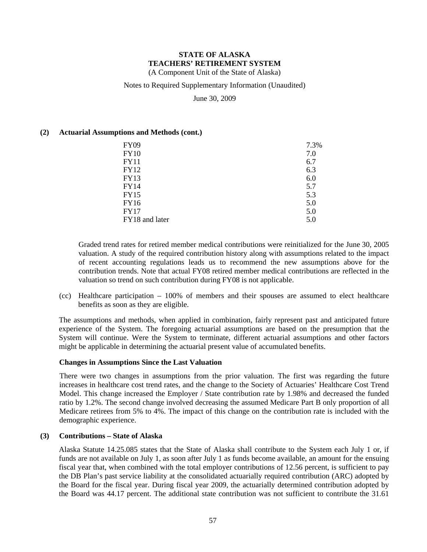(A Component Unit of the State of Alaska)

### Notes to Required Supplementary Information (Unaudited)

June 30, 2009

### **(2) Actuarial Assumptions and Methods (cont.)**

| <b>FY09</b>    | 7.3% |
|----------------|------|
| <b>FY10</b>    | 7.0  |
| FY11           | 6.7  |
| FY12           | 6.3  |
| FY13           | 6.0  |
| FY14           | 5.7  |
| <b>FY15</b>    | 5.3  |
| FY16           | 5.0  |
| <b>FY17</b>    | 5.0  |
| FY18 and later | 5.0  |

Graded trend rates for retired member medical contributions were reinitialized for the June 30, 2005 valuation. A study of the required contribution history along with assumptions related to the impact of recent accounting regulations leads us to recommend the new assumptions above for the contribution trends. Note that actual FY08 retired member medical contributions are reflected in the valuation so trend on such contribution during FY08 is not applicable.

(cc) Healthcare participation – 100% of members and their spouses are assumed to elect healthcare benefits as soon as they are eligible.

The assumptions and methods, when applied in combination, fairly represent past and anticipated future experience of the System. The foregoing actuarial assumptions are based on the presumption that the System will continue. Were the System to terminate, different actuarial assumptions and other factors might be applicable in determining the actuarial present value of accumulated benefits.

### **Changes in Assumptions Since the Last Valuation**

There were two changes in assumptions from the prior valuation. The first was regarding the future increases in healthcare cost trend rates, and the change to the Society of Actuaries' Healthcare Cost Trend Model. This change increased the Employer / State contribution rate by 1.98% and decreased the funded ratio by 1.2%. The second change involved decreasing the assumed Medicare Part B only proportion of all Medicare retirees from 5% to 4%. The impact of this change on the contribution rate is included with the demographic experience.

#### **(3) Contributions – State of Alaska**

Alaska Statute 14.25.085 states that the State of Alaska shall contribute to the System each July 1 or, if funds are not available on July 1, as soon after July 1 as funds become available, an amount for the ensuing fiscal year that, when combined with the total employer contributions of 12.56 percent, is sufficient to pay the DB Plan's past service liability at the consolidated actuarially required contribution (ARC) adopted by the Board for the fiscal year. During fiscal year 2009, the actuarially determined contribution adopted by the Board was 44.17 percent. The additional state contribution was not sufficient to contribute the 31.61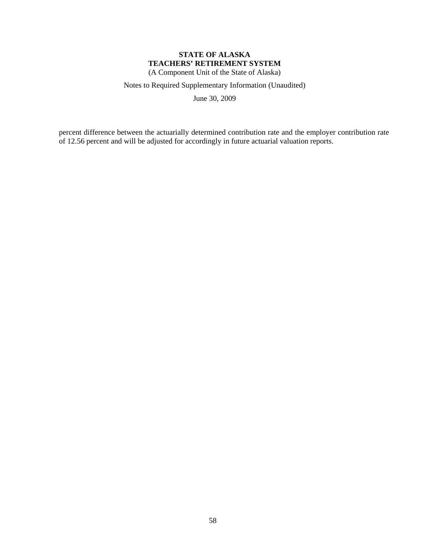(A Component Unit of the State of Alaska)

Notes to Required Supplementary Information (Unaudited)

June 30, 2009

percent difference between the actuarially determined contribution rate and the employer contribution rate of 12.56 percent and will be adjusted for accordingly in future actuarial valuation reports.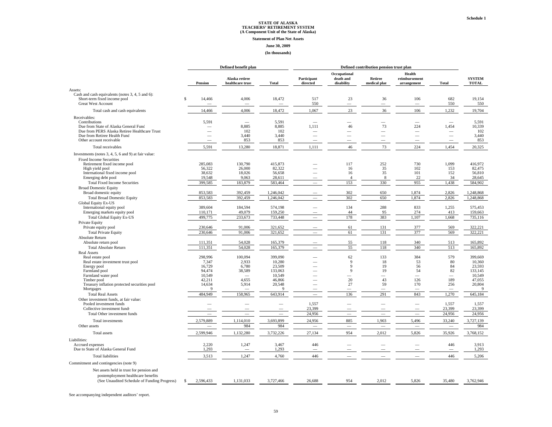#### **Statement of Plan Net Assets**

#### **June 30, 2009**

#### **(In thousands)**

|                                                                                                                                         |    | Defined benefit plan              |                                    |                                    | Defined contribution pension trust plan |                                         |                                |                                        |                                   |                                 |
|-----------------------------------------------------------------------------------------------------------------------------------------|----|-----------------------------------|------------------------------------|------------------------------------|-----------------------------------------|-----------------------------------------|--------------------------------|----------------------------------------|-----------------------------------|---------------------------------|
|                                                                                                                                         |    | Pension                           | Alaska retiree<br>healthcare trust | <b>Total</b>                       | Participant<br>directed                 | Occupational<br>death and<br>disability | Retiree<br>medical plar        | Health<br>reimbursement<br>arrangement | <b>Total</b>                      | <b>SYSTEM</b><br><b>TOTAL</b>   |
| Assets:                                                                                                                                 |    |                                   |                                    |                                    |                                         |                                         |                                |                                        |                                   |                                 |
| Cash and cash equivalents (notes 3, 4, 5 and 6):<br>Short-term fixed income pool<br><b>Great West Account</b>                           | \$ | 14,466                            | 4,006<br>$\overline{\phantom{a}}$  | 18,472<br>$\overline{\phantom{a}}$ | 517<br>550                              | 23<br>$\overline{\phantom{a}}$          | 36<br>$\frac{1}{2}$            | 106<br>$\sim$                          | 682<br>550                        | 19,154<br>550                   |
| Total cash and cash equivalents                                                                                                         |    | 14,466                            | 4,006                              | 18,472                             | 1,067                                   | 23                                      | 36                             | 106                                    | 1,232                             | 19,704                          |
| Receivables:                                                                                                                            |    |                                   |                                    |                                    |                                         |                                         |                                |                                        |                                   |                                 |
| Contributions<br>Due from State of Alaska General Fund<br>Due from PERS Alaska Retiree Healthcare Trust<br>Due from Retiree Health Fund |    | 5,591<br>$\overline{\phantom{0}}$ | 8,885<br>102<br>3,440              | 5,591<br>8,885<br>102<br>3,440     | 1,111                                   | 46                                      | 73<br>$\overline{\phantom{a}}$ | 224<br>$\overline{\phantom{a}}$        | 1,454<br>$\overline{\phantom{0}}$ | 5,591<br>10,339<br>102<br>3,440 |
| Other account receivable                                                                                                                |    | $\overline{\phantom{0}}$          | 853                                | 853                                | $\overline{\phantom{0}}$                | $\overline{\phantom{0}}$                |                                | $\overline{\phantom{0}}$               |                                   | 853                             |
| Total receivables                                                                                                                       |    | 5,591                             | 13,280                             | 18,871                             | 1,111                                   | 46                                      | 73                             | 224                                    | 1,454                             | 20,325                          |
| Investments (notes 3, 4, 5, 6 and 9) at fair value:                                                                                     |    |                                   |                                    |                                    |                                         |                                         |                                |                                        |                                   |                                 |
| <b>Fixed Income Securities</b><br>Retirement fixed income pool<br>High yield pool<br>International fixed income pool                    |    | 285.083<br>56,322<br>38,632       | 130,790<br>26,000<br>18,026        | 415,873<br>82,322<br>56,658        |                                         | 117<br>16<br>16                         | 252<br>35<br>35                | 730<br>102<br>101                      | 1,099<br>153<br>152               | 416.972<br>82,475<br>56,810     |
| Emerging debt pool                                                                                                                      |    | 19,548                            | 9,063                              | 28,611                             |                                         | $\overline{4}$                          | 8                              | 22                                     | 34                                | 28,645                          |
| <b>Total Fixed Income Securities</b><br><b>Broad Domestic Equity</b>                                                                    |    | 399,585                           | 183,879                            | 583,464                            |                                         | 153                                     | 330                            | 955                                    | 1,438                             | 584,902                         |
| Broad domestic equity                                                                                                                   |    | 853,583                           | 392,459                            | 1,246,042                          |                                         | 302                                     | 650                            | 1,874                                  | 2,826                             | 1,248,868                       |
| <b>Total Broad Domestic Equity</b>                                                                                                      |    | 853,583                           | 392,459                            | 1,246,042                          |                                         | 302                                     | 650                            | 1,874                                  | 2,826                             | 1,248,868                       |
| Global Equity Ex-US<br>International equity pool                                                                                        |    | 389,604                           | 184,594                            | 574,198                            |                                         | 134                                     | 288                            | 833                                    | 1,255                             | 575,453                         |
| Emerging markets equity pool                                                                                                            |    | 110,171                           | 49,079                             | 159,250                            |                                         | 44<br>178                               | 95<br>383                      | 274                                    | 413                               | 159,663                         |
| <b>Total Global Equity Ex-US</b><br>Private Equity                                                                                      |    | 499,775                           | 233,673                            | 733,448                            |                                         |                                         |                                | 1,107                                  | 1,668                             | 735,116                         |
| Private equity pool                                                                                                                     |    | 230,646                           | 91,006                             | 321,652                            |                                         | 61                                      | 131                            | 377                                    | 569                               | 322.221                         |
| <b>Total Private Equity</b>                                                                                                             |    | 230,646                           | 91,006                             | 321,652                            |                                         | 61                                      | 131                            | 377                                    | 569                               | 322,221                         |
| Absolute Return                                                                                                                         |    |                                   |                                    |                                    |                                         |                                         |                                |                                        |                                   |                                 |
| Absolute return pool                                                                                                                    |    | 111,351                           | 54,028                             | 165,379                            |                                         | 55                                      | 118                            | 340                                    | 513                               | 165,892                         |
| <b>Total Absolute Return</b>                                                                                                            |    | 111,351                           | 54,028                             | 165,379                            |                                         | 55                                      | 118                            | 340                                    | 513                               | 165,892                         |
| <b>Real Assets</b>                                                                                                                      |    |                                   |                                    |                                    |                                         |                                         |                                |                                        |                                   |                                 |
| Real estate pool                                                                                                                        |    | 298,996<br>7,347                  | 100,094<br>2,933                   | 399,090<br>10,280                  |                                         | 62<br>9                                 | 133<br>18                      | 384<br>53                              | 579<br>80                         | 399,669<br>10,360               |
| Real estate investment trust pool<br>Energy pool                                                                                        |    | 16,729                            | 6,780                              | 23,509                             |                                         | 9                                       | 19                             | 56                                     | 84                                | 23,593                          |
| Farmland pool                                                                                                                           |    | 94,474                            | 38,589                             | 133,063                            |                                         | 9                                       | 19                             | 54                                     | 82                                | 133,145                         |
| Farmland water pool                                                                                                                     |    | 10.549                            |                                    | 10,549                             |                                         |                                         | $\overline{\phantom{a}}$       | $\overline{\phantom{a}}$               |                                   | 10,549                          |
| Timber pool                                                                                                                             |    | 42,211                            | 4,655                              | 46,866                             |                                         | 20                                      | 43                             | 126                                    | 189                               | 47,055                          |
| Treasury inflation protected securities pool                                                                                            |    | 14,634<br>$\mathbf Q$             | 5,914                              | 20,548<br>$\mathbf Q$              |                                         | 27                                      | 59                             | 170                                    | 256                               | 20,804<br>9                     |
| Mortgages<br><b>Total Real Assets</b>                                                                                                   |    | 484,949                           | 158,965                            | 643,914                            | $\equiv$                                | 136                                     | 291                            | 843                                    | 1,270                             | 645,184                         |
| Other investment funds, at fair value:                                                                                                  |    |                                   |                                    |                                    |                                         |                                         |                                |                                        |                                   |                                 |
| Pooled investment funds                                                                                                                 |    |                                   |                                    |                                    | 1,557                                   |                                         |                                |                                        | 1,557                             | 1,557                           |
| Collective investment funds                                                                                                             |    |                                   |                                    | ÷.                                 | 23.399                                  |                                         | $\overline{\phantom{a}}$       | <u>—</u>                               | 23,399                            | 23,399                          |
| Total Other investment funds                                                                                                            |    |                                   | $\overline{\phantom{0}}$           | ÷,                                 | 24,956                                  |                                         | $\sim$                         |                                        | 24,956                            | 24,956                          |
| Total investments                                                                                                                       |    | 2,579,889                         | 1,114,010                          | 3,693,899                          | 24,956                                  | 885                                     | 1,903                          | 5,496                                  | 33,240                            | 3,727,139                       |
| Other assets                                                                                                                            |    |                                   | 984                                | 984                                | $\overline{\phantom{0}}$                | $\overline{\phantom{0}}$                | $\frac{1}{2}$                  | $\overline{\phantom{0}}$               | $\overline{\phantom{0}}$          | 984                             |
| <b>Total</b> assets                                                                                                                     |    | 2,599,946                         | 1,132,280                          | 3,732,226                          | 27,134                                  | 954                                     | 2,012                          | 5,826                                  | 35,926                            | 3,768,152                       |
| Liabilities:                                                                                                                            |    |                                   |                                    |                                    |                                         |                                         |                                |                                        |                                   |                                 |
| Accrued expenses<br>Due to State of Alaska General Fund                                                                                 |    | 2,220<br>1,293                    | 1,247                              | 3,467<br>1,293                     | 446                                     |                                         |                                |                                        | 446                               | 3,913<br>1,293                  |
| <b>Total liabilities</b>                                                                                                                |    | 3,513                             | 1,247                              | 4,760                              | 446                                     |                                         |                                |                                        | 446                               | 5,206                           |
| Commitment and contingencies (note 9)                                                                                                   |    |                                   |                                    |                                    |                                         |                                         |                                |                                        |                                   |                                 |
| Net assets held in trust for pension and                                                                                                |    |                                   |                                    |                                    |                                         |                                         |                                |                                        |                                   |                                 |
| postemployment healthcare benefits                                                                                                      |    |                                   |                                    |                                    |                                         |                                         |                                |                                        |                                   |                                 |
| (See Unaudited Schedule of Funding Progress)                                                                                            | £. | 2,596,433                         | 1,131,033                          | 3,727,466                          | 26,688                                  | 954                                     | 2,012                          | 5,826                                  | 35,480                            | 3,762,946                       |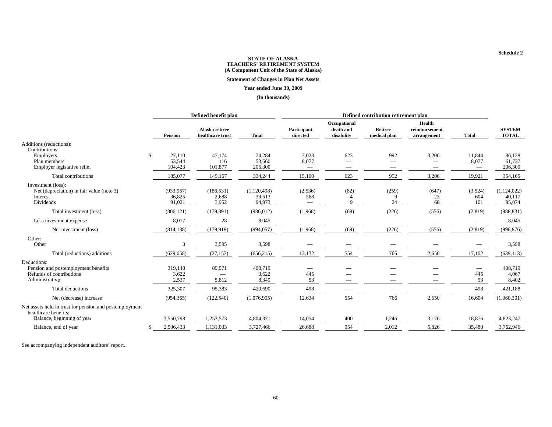#### **Statement of Changes in Plan Net Assets**

#### **Year ended June 30, 2009**

#### **(In thousands)**

|                                                                                                               | Defined benefit plan |                                |                                    |                                 |                         |                                         |                                                      |                                        |                                      |                                 |
|---------------------------------------------------------------------------------------------------------------|----------------------|--------------------------------|------------------------------------|---------------------------------|-------------------------|-----------------------------------------|------------------------------------------------------|----------------------------------------|--------------------------------------|---------------------------------|
|                                                                                                               |                      | <b>Pension</b>                 | Alaska retiree<br>healthcare trust | <b>Total</b>                    | Participant<br>directed | Occupational<br>death and<br>disability | Retiree<br>medical plan                              | Health<br>reimbursement<br>arrangement | <b>Total</b>                         | <b>SYSTEM</b><br><b>TOTAL</b>   |
| Additions (reductions):<br>Contributions:                                                                     |                      |                                |                                    |                                 |                         |                                         |                                                      |                                        |                                      |                                 |
| Employers<br>Plan members<br>Employer legislative relief                                                      | $\mathbf{\$}$        | 27,110<br>53,544<br>104,423    | 47,174<br>116<br>101,877           | 74,284<br>53,660<br>206,300     | 7,023<br>8,077          | 623                                     | 992<br>$\overline{\phantom{0}}$<br>$\hspace{0.05cm}$ | 3,206<br>$\overline{\phantom{m}}$      | 11,844<br>8,077<br>$\hspace{0.05cm}$ | 86,128<br>61,737<br>206,300     |
| Total contributions                                                                                           |                      | 185,077                        | 149,167                            | 334,244                         | 15,100                  | 623                                     | 992                                                  | 3,206                                  | 19,921                               | 354,165                         |
| Investment (loss):<br>Net (depreciation) in fair value (note 3)<br>Interest<br>Dividends                      |                      | (933, 967)<br>36,825<br>91,021 | (186, 531)<br>2,688<br>3,952       | (1,120,498)<br>39,513<br>94,973 | (2,536)<br>568          | (82)<br>$\Omega$                        | (259)<br>9<br>24                                     | (647)<br>23<br>68                      | (3,524)<br>604<br>101                | (1,124,022)<br>40,117<br>95,074 |
| Total investment (loss)                                                                                       |                      | (806, 121)                     | (179, 891)                         | (986, 012)                      | (1,968)                 | (69)                                    | (226)                                                | (556)                                  | (2,819)                              | (988, 831)                      |
| Less investment expense                                                                                       |                      | 8,017                          | 28                                 | 8,045                           |                         | $\sim$                                  | $\sim$                                               |                                        | $\hspace{0.1mm}-\hspace{0.1mm}$      | 8,045                           |
| Net investment (loss)                                                                                         |                      | (814, 138)                     | (179, 919)                         | (994, 057)                      | (1,968)                 | (69)                                    | (226)                                                | (556)                                  | (2,819)                              | (996, 876)                      |
| Other:<br>Other                                                                                               |                      | 3                              | 3,595                              | 3,598                           |                         |                                         |                                                      |                                        |                                      | 3,598                           |
| Total (reductions) additions                                                                                  |                      | (629, 058)                     | (27, 157)                          | (656, 215)                      | 13,132                  | 554                                     | 766                                                  | 2,650                                  | 17,102                               | (639, 113)                      |
| Deductions:<br>Pension and postemployment benefits<br>Refunds of contributions<br>Administrative              |                      | 319,148<br>3,622<br>2,537      | 89,571<br>5,812                    | 408,719<br>3,622<br>8,349       | 445<br>53               |                                         |                                                      | $\overline{\phantom{0}}$               | 445<br>53                            | 408,719<br>4,067<br>8,402       |
| Total deductions                                                                                              |                      | 325,307                        | 95,383                             | 420,690                         | 498                     |                                         |                                                      |                                        | 498                                  | 421,188                         |
| Net (decrease) increase                                                                                       |                      | (954, 365)                     | (122, 540)                         | (1,076,905)                     | 12,634                  | 554                                     | 766                                                  | 2,650                                  | 16,604                               | (1,060,301)                     |
| Net assets held in trust for pension and postemployment<br>healthcare benefits:<br>Balance, beginning of year |                      | 3,550,798                      | 1,253,573                          | 4,804,371                       | 14,054                  | 400                                     | 1,246                                                | 3,176                                  | 18,876                               | 4,823,247                       |
| Balance, end of year                                                                                          |                      | 2,596,433                      | 1,131,033                          | 3,727,466                       | 26,688                  | 954                                     | 2,012                                                | 5,826                                  | 35,480                               | 3,762,946                       |
|                                                                                                               |                      |                                |                                    |                                 |                         |                                         |                                                      |                                        |                                      |                                 |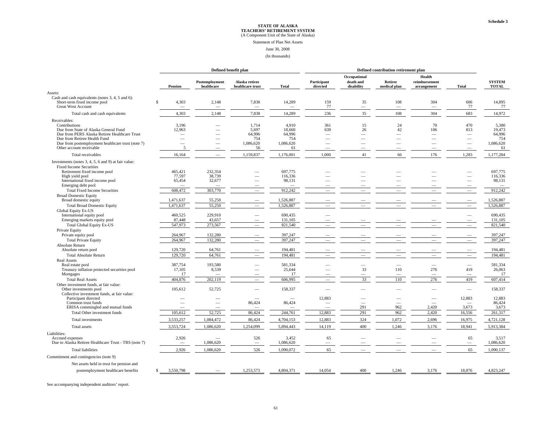#### Statement of Plan Net Assets

#### June 30, 2008

#### (In thousands)

|                                                                                                                                                                                                                                           |    | Defined benefit plan                             |                                        |                                                    |                                                     | Defined contribution retirement plan                               |                                                                  |                                 |                                        |                                                                                                                            |                                                     |
|-------------------------------------------------------------------------------------------------------------------------------------------------------------------------------------------------------------------------------------------|----|--------------------------------------------------|----------------------------------------|----------------------------------------------------|-----------------------------------------------------|--------------------------------------------------------------------|------------------------------------------------------------------|---------------------------------|----------------------------------------|----------------------------------------------------------------------------------------------------------------------------|-----------------------------------------------------|
|                                                                                                                                                                                                                                           |    | <b>Pension</b>                                   | Postemployment<br>healthcare           | Alaska retiree<br>healthcare trust                 | Total                                               | Participant<br>directed                                            | Occupational<br>death and<br>disability                          | Retiree<br>medical plan         | Health<br>reimbursement<br>arrangement | Total                                                                                                                      | <b>SYSTEM</b><br><b>TOTAL</b>                       |
| Assets:                                                                                                                                                                                                                                   |    |                                                  |                                        |                                                    |                                                     |                                                                    |                                                                  |                                 |                                        |                                                                                                                            |                                                     |
| Cash and cash equivalents (notes 3, 4, 5 and 6):<br>Short-term fixed income pool<br><b>Great West Account</b>                                                                                                                             | £. | 4,303                                            | 2,148                                  | 7,838                                              | 14,289                                              | 159<br>77                                                          | 35<br>$\overline{\phantom{0}}$                                   | 108<br>$\overline{\phantom{0}}$ | 304<br>$\overline{\phantom{a}}$        | 606<br>77                                                                                                                  | 14,895<br>77                                        |
| Total cash and cash equivalents                                                                                                                                                                                                           |    | 4,303                                            | 2,148                                  | 7,838                                              | 14,289                                              | 236                                                                | 35                                                               | 108                             | 304                                    | 683                                                                                                                        | 14,972                                              |
| Receivables:                                                                                                                                                                                                                              |    |                                                  |                                        |                                                    |                                                     |                                                                    |                                                                  |                                 |                                        |                                                                                                                            |                                                     |
| Contributions<br>Due from State of Alaska General Fund<br>Due from PERS Alaska Retiree Healthcare Trust<br>Due from Retiree Health Fund<br>Due from postemployment healthcare trust (note 7)<br>Other account receivable                  |    | 3,196<br>12,963<br>$\overline{\phantom{0}}$<br>5 |                                        | 1,714<br>5,697<br>64,996<br>754<br>1,086,620<br>56 | 4,910<br>18,660<br>64,996<br>754<br>1,086,620<br>61 | 361<br>639<br>$\overline{\phantom{a}}$<br>$\overline{\phantom{a}}$ | 15<br>26<br>$\overline{\phantom{0}}$<br>$\overline{\phantom{0}}$ | 24<br>42                        | 70<br>106                              | 470<br>813<br>$\overline{\phantom{a}}$<br>$\overline{\phantom{0}}$<br>$\overline{\phantom{0}}$<br>$\overline{\phantom{m}}$ | 5,380<br>19,473<br>64,996<br>754<br>1,086,620<br>61 |
| Total receivables                                                                                                                                                                                                                         |    | 16,164                                           |                                        | 1,159,837                                          | 1,176,001                                           | 1,000                                                              | 41                                                               | 66                              | 176                                    | 1,283                                                                                                                      | 1,177,284                                           |
| Investments (notes 3, 4, 5, 6 and 9) at fair value:<br><b>Fixed Income Securities</b><br>Retirement fixed income pool<br>High yield pool<br>International fixed income pool<br>Emerging debt pool<br><b>Total Fixed Income Securities</b> |    | 465,421<br>77,597<br>65,454<br>608.472           | 232,354<br>38,739<br>32,677<br>303,770 | ÷.                                                 | 697,775<br>116,336<br>98,131<br>912.242             |                                                                    |                                                                  |                                 |                                        | $\overline{\phantom{m}}$<br>$\overline{\phantom{a}}$                                                                       | 697,775<br>116,336<br>98,131<br>912,242             |
| <b>Broad Domestic Equity</b>                                                                                                                                                                                                              |    |                                                  |                                        |                                                    |                                                     |                                                                    |                                                                  | -                               | $\overline{\phantom{a}}$               |                                                                                                                            |                                                     |
| Broad domestic equity<br><b>Total Broad Domestic Equity</b>                                                                                                                                                                               |    | 1,471,637<br>1,471,637                           | 55,250<br>55,250                       | ÷.                                                 | 1,526,887<br>1.526.887                              |                                                                    |                                                                  |                                 |                                        | $\overline{\phantom{0}}$                                                                                                   | 1,526,887<br>1,526,887                              |
| <b>Global Equity Ex-US</b><br>International equity pool<br>Emerging markets equity pool<br><b>Total Global Equity Ex-US</b>                                                                                                               |    | 460,525<br>87,448<br>547,973                     | 229,910<br>43,657<br>273,567           | $\overline{\phantom{0}}$                           | 690,435<br>131,105<br>821,540                       |                                                                    |                                                                  |                                 |                                        | $\overline{\phantom{a}}$                                                                                                   | 690,435<br>131,105<br>821,540                       |
| Private Equity                                                                                                                                                                                                                            |    |                                                  |                                        |                                                    |                                                     |                                                                    |                                                                  |                                 |                                        |                                                                                                                            |                                                     |
| Private equity pool<br><b>Total Private Equity</b>                                                                                                                                                                                        |    | 264,967<br>264,967                               | 132.280<br>132.280                     |                                                    | 397.247<br>397,247                                  |                                                                    |                                                                  |                                 |                                        |                                                                                                                            | 397,247<br>397,247                                  |
| Absolute Return                                                                                                                                                                                                                           |    |                                                  |                                        |                                                    |                                                     |                                                                    |                                                                  |                                 |                                        |                                                                                                                            |                                                     |
| Absolute return pool                                                                                                                                                                                                                      |    | 129,720                                          | 64,761                                 |                                                    | 194.481                                             |                                                                    |                                                                  |                                 |                                        |                                                                                                                            | 194,481                                             |
| <b>Total Absolute Return</b>                                                                                                                                                                                                              |    | 129,720                                          | 64,761                                 |                                                    | 194,481                                             |                                                                    |                                                                  |                                 |                                        |                                                                                                                            | 194,481                                             |
| <b>Real Assets</b><br>Real estate pool<br>Treasury inflation protected securities pool                                                                                                                                                    |    | 387,754<br>17,105                                | 193,580<br>8,539                       | $\overline{\phantom{a}}$                           | 581,334<br>25,644                                   |                                                                    | 33                                                               | 110                             | 276                                    | 419                                                                                                                        | 581,334<br>26,063                                   |
| Mortgages                                                                                                                                                                                                                                 |    | 17                                               |                                        |                                                    | 17                                                  |                                                                    | $\overline{\phantom{0}}$                                         | $\overline{\phantom{0}}$        | $\sim$                                 | $\overline{\phantom{0}}$                                                                                                   | 17                                                  |
| <b>Total Real Assets</b>                                                                                                                                                                                                                  |    | 404,876                                          | 202,119                                |                                                    | 606,995                                             |                                                                    | 33                                                               | 110                             | 276                                    | 419                                                                                                                        | 607,414                                             |
| Other investment funds, at fair value:<br>Other investments pool<br>Collective investment funds, at fair value:                                                                                                                           |    | 105,612                                          | 52,725                                 |                                                    | 158,337                                             |                                                                    |                                                                  |                                 |                                        | $\overline{\phantom{0}}$                                                                                                   | 158,337                                             |
| Participant directed                                                                                                                                                                                                                      |    |                                                  |                                        |                                                    |                                                     | 12,883                                                             |                                                                  |                                 |                                        | 12,883                                                                                                                     | 12,883                                              |
| Common trust funds                                                                                                                                                                                                                        |    | $\overline{\phantom{0}}$                         | $\overline{\phantom{0}}$               | 86,424                                             | 86,424                                              |                                                                    | 291                                                              | 962                             | 2,420                                  |                                                                                                                            | 86,424                                              |
| ERISA commingled and mutual funds<br>Total Other investment funds                                                                                                                                                                         |    | 105,612                                          | 52,725                                 | 86,424                                             | 244,761                                             | 12,883                                                             | 291                                                              | 962                             | 2,420                                  | 3,673<br>16,556                                                                                                            | 3,673<br>261,317                                    |
|                                                                                                                                                                                                                                           |    |                                                  |                                        |                                                    |                                                     |                                                                    |                                                                  |                                 |                                        |                                                                                                                            |                                                     |
| Total investments                                                                                                                                                                                                                         |    | 3,533,257                                        | 1,084,472                              | 86,424                                             | 4,704,153                                           | 12,883                                                             | 324                                                              | 1,072                           | 2,696                                  | 16,975                                                                                                                     | 4,721,128                                           |
| Total assets                                                                                                                                                                                                                              |    | 3,553,724                                        | 1,086,620                              | 1,254,099                                          | 5,894,443                                           | 14,119                                                             | 400                                                              | 1,246                           | 3,176                                  | 18,941                                                                                                                     | 5,913,384                                           |
| Liabilities:<br>Accrued expenses<br>Due to Alaska Retiree Healthcare Trust - TRS (note 7)                                                                                                                                                 |    | 2,926<br>$\overline{\phantom{a}}$                | 1,086,620                              | 526<br>$\overline{\phantom{m}}$                    | 3,452<br>1,086,620                                  | 65<br>$\sim$                                                       |                                                                  | $\overline{\phantom{0}}$        |                                        | 65                                                                                                                         | 3,517<br>1,086,620                                  |
| <b>Total liabilities</b>                                                                                                                                                                                                                  |    | 2,926                                            | 1,086,620                              | 526                                                | 1,090,072                                           | 65                                                                 |                                                                  |                                 |                                        | 65                                                                                                                         | 1,090,137                                           |
| Commitment and contingencies (note 9)                                                                                                                                                                                                     |    |                                                  |                                        |                                                    |                                                     |                                                                    |                                                                  |                                 |                                        |                                                                                                                            |                                                     |
|                                                                                                                                                                                                                                           |    |                                                  |                                        |                                                    |                                                     |                                                                    |                                                                  |                                 |                                        |                                                                                                                            |                                                     |
| Net assets held in trust for pension and                                                                                                                                                                                                  |    |                                                  |                                        |                                                    |                                                     |                                                                    |                                                                  |                                 |                                        |                                                                                                                            |                                                     |
| postemployment healthcare benefits                                                                                                                                                                                                        | S. | 3,550,798                                        |                                        | 1,253,573                                          | 4,804,371                                           | 14,054                                                             | 400                                                              | 1,246                           | 3,176                                  | 18,876                                                                                                                     | 4.823,247                                           |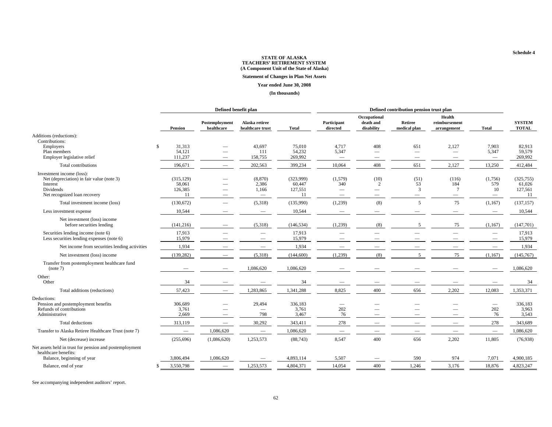#### **Statement of Changes in Plan Net Assets**

#### **Year ended June 30, 2008**

#### **(In thousands)**

|                                                                                                                                 |              | Defined benefit plan                  |                                 |                                                               |                                      | Defined contribution pension trust plan           |                                                                           |                                        |                                                                             |                                                             |                                        |
|---------------------------------------------------------------------------------------------------------------------------------|--------------|---------------------------------------|---------------------------------|---------------------------------------------------------------|--------------------------------------|---------------------------------------------------|---------------------------------------------------------------------------|----------------------------------------|-----------------------------------------------------------------------------|-------------------------------------------------------------|----------------------------------------|
|                                                                                                                                 |              | <b>Pension</b>                        | Postemployment<br>healthcare    | Alaska retiree<br>healthcare trust                            | <b>Total</b>                         | Participant<br>directed                           | Occupational<br>death and<br>disability                                   | Retiree<br>medical plan                | Health<br>reimbursement<br>arrangement                                      | <b>Total</b>                                                | <b>SYSTEM</b><br><b>TOTAL</b>          |
| Additions (reductions):<br>Contributions:                                                                                       |              |                                       |                                 |                                                               |                                      |                                                   |                                                                           |                                        |                                                                             |                                                             |                                        |
| Employers<br>Plan members<br>Employer legislative relief                                                                        | <sup>S</sup> | 31,313<br>54,121<br>111,237           |                                 | 43,697<br>111<br>158,755                                      | 75,010<br>54,232<br>269,992          | 4,717<br>5,347<br>$\overline{\phantom{m}}$        | 408<br>$\hspace{0.1mm}-\hspace{0.1mm}$<br>$\hspace{0.1mm}-\hspace{0.1mm}$ | 651<br>$\hspace{0.1mm}-\hspace{0.1mm}$ | 2,127<br>$\hspace{0.1mm}-\hspace{0.1mm}$<br>$\hspace{0.1mm}-\hspace{0.1mm}$ | 7,903<br>5,347<br>$\overline{\phantom{m}}$                  | 82,913<br>59,579<br>269,992            |
| Total contributions                                                                                                             |              | 196,671                               |                                 | 202,563                                                       | 399,234                              | 10,064                                            | 408                                                                       | 651                                    | 2,127                                                                       | 13,250                                                      | 412,484                                |
| Investment income (loss):<br>Net (depreciation) in fair value (note 3)<br>Interest<br>Dividends<br>Net recognized loan recovery |              | (315, 129)<br>58,061<br>126,385<br>11 |                                 | (8, 870)<br>2,386<br>1,166<br>$\hspace{0.1mm}-\hspace{0.1mm}$ | (323,999)<br>60,447<br>127,551<br>11 | (1,579)<br>340<br>$\hspace{0.1mm}-\hspace{0.1mm}$ | (10)<br>2                                                                 | (51)<br>53<br>3                        | (116)<br>184<br>$7\phantom{.0}$<br>$\overline{\phantom{m}}$                 | (1,756)<br>579<br>10<br>$\hspace{0.1mm}-\hspace{0.1mm}$     | (325, 755)<br>61,026<br>127,561<br>-11 |
| Total investment income (loss)                                                                                                  |              | (130, 672)                            |                                 | (5,318)                                                       | (135,990)                            | (1,239)                                           | (8)                                                                       | $\overline{5}$                         | 75                                                                          | (1,167)                                                     | (137, 157)                             |
| Less investment expense                                                                                                         |              | 10,544                                |                                 | $\hspace{1.0cm} \rule{1.5cm}{0.15cm}$                         | 10,544                               | $\hspace{0.1mm}-\hspace{0.1mm}$                   | -                                                                         |                                        | -                                                                           | $\hspace{0.1mm}-\hspace{0.1mm}$                             | 10,544                                 |
| Net investment (loss) income<br>before securities lending                                                                       |              | (141, 216)                            |                                 | (5,318)                                                       | (146, 534)                           | (1,239)                                           | (8)                                                                       | 5                                      | 75                                                                          | (1,167)                                                     | (147,701)                              |
| Securities lending income (note 6)<br>Less securities lending expenses (note 6)                                                 |              | 17,913<br>15,979                      |                                 | $\hspace{0.1mm}-\hspace{0.1mm}$                               | 17,913<br>15,979                     |                                                   |                                                                           |                                        |                                                                             | $\overline{\phantom{0}}$<br>$\hspace{0.1mm}-\hspace{0.1mm}$ | 17,913<br>15,979                       |
| Net income from securities lending activities                                                                                   |              | 1,934                                 |                                 | $\hspace{0.1mm}-\hspace{0.1mm}$                               | 1,934                                |                                                   |                                                                           |                                        |                                                                             | $\hspace{0.1mm}-\hspace{0.1mm}$                             | 1,934                                  |
| Net investment (loss) income                                                                                                    |              | (139, 282)                            | -                               | (5,318)                                                       | (144,600)                            | (1,239)                                           | (8)                                                                       | .5                                     | 75                                                                          | (1,167)                                                     | (145,767)                              |
| Transfer from postemployment healthcare fund<br>(note 7)                                                                        |              |                                       |                                 | 1,086,620                                                     | 1,086,620                            |                                                   |                                                                           |                                        |                                                                             |                                                             | 1,086,620                              |
| Other:<br>Other                                                                                                                 |              | 34                                    |                                 |                                                               | 34                                   |                                                   |                                                                           |                                        |                                                                             |                                                             | 34                                     |
| Total additions (reductions)                                                                                                    |              | 57,423                                | $\overline{\phantom{a}}$        | 1,283,865                                                     | 1,341,288                            | 8,825                                             | 400                                                                       | 656                                    | 2,202                                                                       | 12,083                                                      | 1,353,371                              |
| Deductions:<br>Pension and postemployment benefits<br>Refunds of contributions<br>Administrative                                |              | 306,689<br>3,761<br>2,669             |                                 | 29,494<br>798                                                 | 336,183<br>3,761<br>3,467            | 202<br>76                                         | $\overline{\phantom{a}}$                                                  |                                        |                                                                             | $\hspace{0.1mm}-\hspace{0.1mm}$<br>202<br>76                | 336,183<br>3,963<br>3,543              |
| Total deductions                                                                                                                |              | 313,119                               |                                 | 30,292                                                        | 343,411                              | 278                                               |                                                                           |                                        |                                                                             | 278                                                         | 343,689                                |
| Transfer to Alaska Retiree Healthcare Trust (note 7)                                                                            |              | $\overline{\phantom{a}}$              | 1,086,620                       | $\overline{\phantom{m}}$                                      | 1,086,620                            | $\overline{\phantom{m}}$                          |                                                                           |                                        | $\overline{\phantom{m}}$                                                    | $\overline{\phantom{m}}$                                    | 1,086,620                              |
| Net (decrease) increase                                                                                                         |              | (255,696)                             | (1,086,620)                     | 1,253,573                                                     | (88, 743)                            | 8,547                                             | 400                                                                       | 656                                    | 2,202                                                                       | 11,805                                                      | (76,938)                               |
| Net assets held in trust for pension and postemployment<br>healthcare benefits:                                                 |              |                                       |                                 |                                                               |                                      |                                                   |                                                                           |                                        |                                                                             |                                                             |                                        |
| Balance, beginning of year                                                                                                      |              | 3,806,494                             | 1,086,620                       |                                                               | 4,893,114                            | 5,507                                             |                                                                           | 590                                    | 974                                                                         | 7,071                                                       | 4,900,185                              |
| Balance, end of year                                                                                                            |              | 3,550,798                             | $\hspace{0.1mm}-\hspace{0.1mm}$ | 1,253,573                                                     | 4,804,371                            | 14,054                                            | 400                                                                       | 1,246                                  | 3,176                                                                       | 18,876                                                      | 4,823,247                              |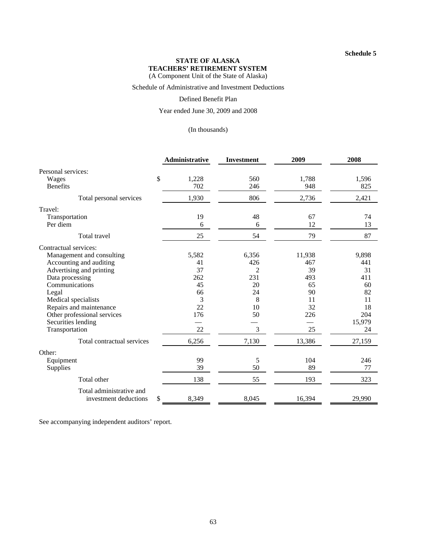Schedule of Administrative and Investment Deductions

Defined Benefit Plan

Year ended June 30, 2009 and 2008

(In thousands)

|                             | <b>Administrative</b> | Investment     | 2009   | 2008   |
|-----------------------------|-----------------------|----------------|--------|--------|
| Personal services:          |                       |                |        |        |
| \$<br>Wages                 | 1,228                 | 560            | 1,788  | 1,596  |
| <b>Benefits</b>             | 702                   | 246            | 948    | 825    |
| Total personal services     | 1,930                 | 806            | 2,736  | 2,421  |
| Travel:                     |                       |                |        |        |
| Transportation              | 19                    | 48             | 67     | 74     |
| Per diem                    | 6                     | 6              | 12     | 13     |
| Total travel                | 25                    | 54             | 79     | 87     |
| Contractual services:       |                       |                |        |        |
| Management and consulting   | 5,582                 | 6,356          | 11,938 | 9,898  |
| Accounting and auditing     | 41                    | 426            | 467    | 441    |
| Advertising and printing    | 37                    | $\overline{2}$ | 39     | 31     |
| Data processing             | 262                   | 231            | 493    | 411    |
| Communications              | 45                    | 20             | 65     | 60     |
| Legal                       | 66                    | 24             | 90     | 82     |
| Medical specialists         | 3                     | 8              | 11     | 11     |
| Repairs and maintenance     | 22                    | 10             | 32     | 18     |
| Other professional services | 176                   | 50             | 226    | 204    |
| Securities lending          |                       |                |        | 15,979 |
| Transportation              | 22                    | 3              | 25     | 24     |
| Total contractual services  | 6,256                 | 7,130          | 13,386 | 27,159 |
| Other:                      |                       |                |        |        |
| Equipment                   | 99                    | 5              | 104    | 246    |
| Supplies                    | 39                    | 50             | 89     | 77     |
| Total other                 | 138                   | 55             | 193    | 323    |
| Total administrative and    |                       |                |        |        |
| \$<br>investment deductions | 8,349                 | 8,045          | 16,394 | 29,990 |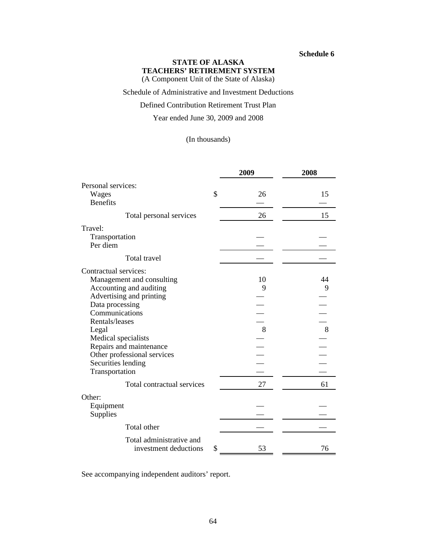#### **Schedule 6**

## **STATE OF ALASKA TEACHERS' RETIREMENT SYSTEM**

(A Component Unit of the State of Alaska)

Schedule of Administrative and Investment Deductions

## Defined Contribution Retirement Trust Plan

#### Year ended June 30, 2009 and 2008

### (In thousands)

|                                                   | 2009     | 2008 |
|---------------------------------------------------|----------|------|
| Personal services:                                |          |      |
| Wages                                             | \$<br>26 | 15   |
| <b>Benefits</b>                                   |          |      |
| Total personal services                           | 26       | 15   |
| Travel:                                           |          |      |
| Transportation                                    |          |      |
| Per diem                                          |          |      |
| Total travel                                      |          |      |
| Contractual services:                             |          |      |
| Management and consulting                         | 10       | 44   |
| Accounting and auditing                           | 9        | 9    |
| Advertising and printing                          |          |      |
| Data processing<br>Communications                 |          |      |
| Rentals/leases                                    |          |      |
| Legal                                             | 8        | 8    |
| Medical specialists                               |          |      |
| Repairs and maintenance                           |          |      |
| Other professional services                       |          |      |
| Securities lending                                |          |      |
| Transportation                                    |          |      |
| Total contractual services                        | 27       | 61   |
| Other:                                            |          |      |
| Equipment<br>Supplies                             |          |      |
| Total other                                       |          |      |
| Total administrative and<br>investment deductions | \$<br>53 | 76   |